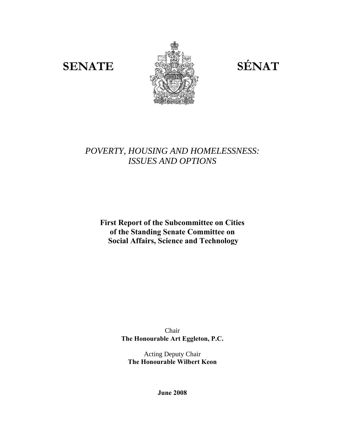

# *POVERTY, HOUSING AND HOMELESSNESS: ISSUES AND OPTIONS*

**First Report of the Subcommittee on Cities of the Standing Senate Committee on Social Affairs, Science and Technology** 

> Chair **The Honourable Art Eggleton, P.C.**

Acting Deputy Chair **The Honourable Wilbert Keon** 

**June 2008**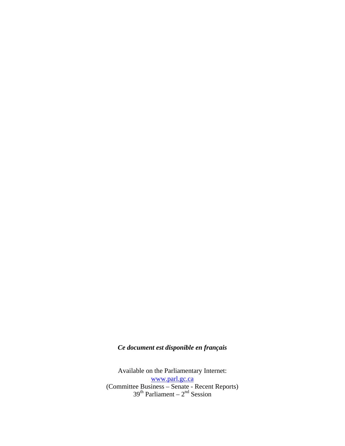# *Ce document est disponible en français*

Available on the Parliamentary Internet: www.parl.gc.ca (Committee Business – Senate - Recent Reports)  $39<sup>th</sup>$  Parliament –  $2<sup>nd</sup>$  Session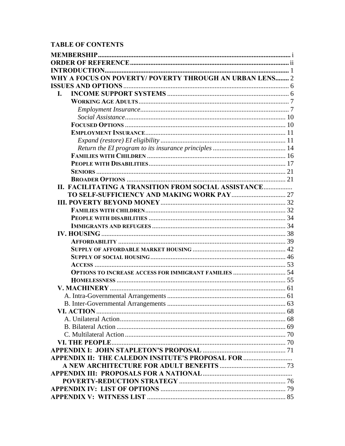# **TABLE OF CONTENTS**

| WHY A FOCUS ON POVERTY/ POVERTY THROUGH AN URBAN LENS 2      |  |
|--------------------------------------------------------------|--|
|                                                              |  |
| L.                                                           |  |
|                                                              |  |
|                                                              |  |
|                                                              |  |
|                                                              |  |
|                                                              |  |
|                                                              |  |
|                                                              |  |
|                                                              |  |
|                                                              |  |
|                                                              |  |
|                                                              |  |
| II. FACILITATING A TRANSITION FROM SOCIAL ASSISTANCE         |  |
|                                                              |  |
|                                                              |  |
|                                                              |  |
|                                                              |  |
|                                                              |  |
|                                                              |  |
|                                                              |  |
|                                                              |  |
|                                                              |  |
|                                                              |  |
| <b>OPTIONS TO INCREASE ACCESS FOR IMMIGRANT FAMILIES  54</b> |  |
|                                                              |  |
|                                                              |  |
|                                                              |  |
|                                                              |  |
|                                                              |  |
|                                                              |  |
|                                                              |  |
|                                                              |  |
|                                                              |  |
| APPENDIX II: THE CALEDON INSITUTE'S PROPOSAL FOR             |  |
|                                                              |  |
|                                                              |  |
|                                                              |  |
|                                                              |  |
|                                                              |  |
|                                                              |  |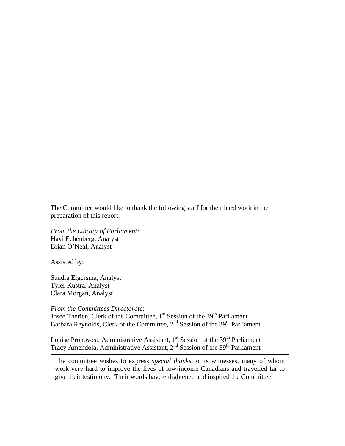The Committee would like to thank the following staff for their hard work in the preparation of this report:

*From the Library of Parliament:*  Havi Echenberg, Analyst Brian O`Neal, Analyst

Assisted by:

Sandra Elgersma, Analyst Tyler Kustra, Analyst Clara Morgan, Analyst

*From the Committees Directorate*:

Josée Thérien, Clerk of the Committee, 1<sup>st</sup> Session of the 39<sup>th</sup> Parliament Barbara Reynolds, Clerk of the Committee,  $2<sup>nd</sup>$  Session of the 39<sup>th</sup> Parliament

Louise Pronovost, Administrative Assistant,  $1<sup>st</sup>$  Session of the 39<sup>th</sup> Parliament Tracy Amendola, Administrative Assistant, 2<sup>nd</sup> Session of the 39<sup>th</sup> Parliament

The committee wishes to express *special thanks* to its witnesses, many of whom work very hard to improve the lives of low-income Canadians and travelled far to give their testimony. Their words have enlightened and inspired the Committee.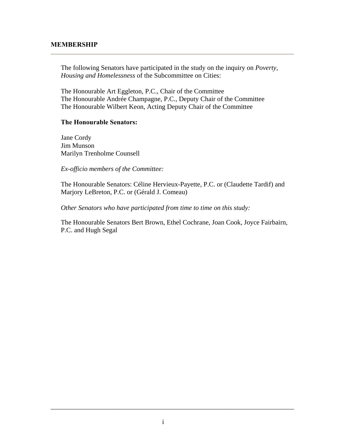### **MEMBERSHIP**

The following Senators have participated in the study on the inquiry on *Poverty, Housing and Homelessness* of the Subcommittee on Cities:

The Honourable Art Eggleton, P.C., Chair of the Committee The Honourable Andrée Champagne, P.C., Deputy Chair of the Committee The Honourable Wilbert Keon, Acting Deputy Chair of the Committee

#### **The Honourable Senators:**

Jane Cordy Jim Munson Marilyn Trenholme Counsell

*Ex-officio members of the Committee:* 

The Honourable Senators: Céline Hervieux-Payette, P.C. or (Claudette Tardif) and Marjory LeBreton, P.C. or (Gérald J. Comeau)

*Other Senators who have participated from time to time on this study:* 

The Honourable Senators Bert Brown, Ethel Cochrane, Joan Cook, Joyce Fairbairn, P.C. and Hugh Segal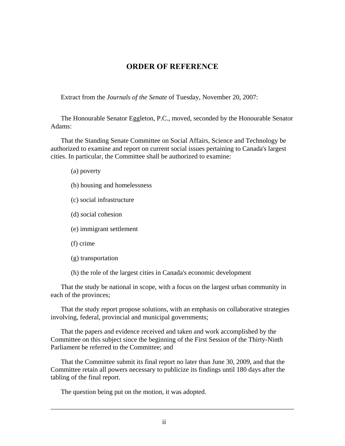# **ORDER OF REFERENCE**

Extract from the *Journals of the Senate* of Tuesday, November 20, 2007:

The Honourable Senator Eggleton, P.C., moved, seconded by the Honourable Senator Adams:

That the Standing Senate Committee on Social Affairs, Science and Technology be authorized to examine and report on current social issues pertaining to Canada's largest cities. In particular, the Committee shall be authorized to examine:

(a) poverty

(b) housing and homelessness

(c) social infrastructure

(d) social cohesion

(e) immigrant settlement

(f) crime

(g) transportation

(h) the role of the largest cities in Canada's economic development

That the study be national in scope, with a focus on the largest urban community in each of the provinces;

That the study report propose solutions, with an emphasis on collaborative strategies involving, federal, provincial and municipal governments;

That the papers and evidence received and taken and work accomplished by the Committee on this subject since the beginning of the First Session of the Thirty-Ninth Parliament be referred to the Committee; and

That the Committee submit its final report no later than June 30, 2009, and that the Committee retain all powers necessary to publicize its findings until 180 days after the tabling of the final report.

\_\_\_\_\_\_\_\_\_\_\_\_\_\_\_\_\_\_\_\_\_\_\_\_\_\_\_\_\_\_\_\_\_\_\_\_\_\_\_\_\_\_\_\_\_\_\_\_\_\_\_\_\_\_\_\_\_\_\_\_\_\_\_\_\_\_\_\_\_\_\_\_

The question being put on the motion, it was adopted.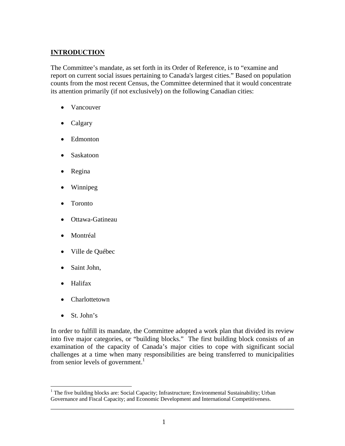# **INTRODUCTION**

The Committee's mandate, as set forth in its Order of Reference, is to "examine and report on current social issues pertaining to Canada's largest cities." Based on population counts from the most recent Census, the Committee determined that it would concentrate its attention primarily (if not exclusively) on the following Canadian cities:

- Vancouver
- Calgary
- Edmonton
- Saskatoon
- Regina
- Winnipeg
- Toronto
- Ottawa-Gatineau
- Montréal
- Ville de Québec
- Saint John,
- Halifax
- Charlottetown
- St. John's

<u>.</u>

In order to fulfill its mandate, the Committee adopted a work plan that divided its review into five major categories, or "building blocks." The first building block consists of an examination of the capacity of Canada's major cities to cope with significant social challenges at a time when many responsibilities are being transferred to municipalities from senior levels of government.<sup>1</sup>

<sup>&</sup>lt;sup>1</sup> The five building blocks are: Social Capacity; Infrastructure; Environmental Sustainability; Urban Governance and Fiscal Capacity; and Economic Development and International Competitiveness.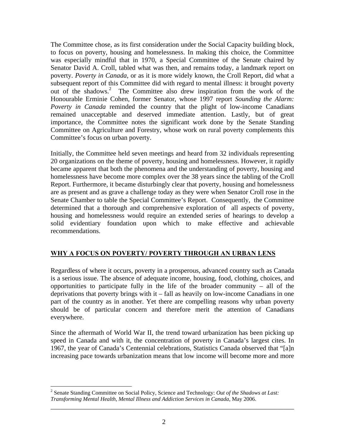The Committee chose, as its first consideration under the Social Capacity building block, to focus on poverty, housing and homelessness. In making this choice, the Committee was especially mindful that in 1970, a Special Committee of the Senate chaired by Senator David A. Croll, tabled what was then, and remains today, a landmark report on poverty. *Poverty in Canada*, or as it is more widely known, the Croll Report, did what a subsequent report of this Committee did with regard to mental illness: it brought poverty out of the shadows.<sup>2</sup> The Committee also drew inspiration from the work of the Honourable Erminie Cohen, former Senator, whose 1997 report *Sounding the Alarm: Poverty in Canada* reminded the country that the plight of low-income Canadians remained unacceptable and deserved immediate attention. Lastly, but of great importance, the Committee notes the significant work done by the Senate Standing Committee on Agriculture and Forestry, whose work on rural poverty complements this Committee's focus on urban poverty.

Initially, the Committee held seven meetings and heard from 32 individuals representing 20 organizations on the theme of poverty, housing and homelessness. However, it rapidly became apparent that both the phenomena and the understanding of poverty, housing and homelessness have become more complex over the 38 years since the tabling of the Croll Report. Furthermore, it became disturbingly clear that poverty, housing and homelessness are as present and as grave a challenge today as they were when Senator Croll rose in the Senate Chamber to table the Special Committee's Report. Consequently, the Committee determined that a thorough and comprehensive exploration of all aspects of poverty, housing and homelessness would require an extended series of hearings to develop a solid evidentiary foundation upon which to make effective and achievable recommendations.

# **WHY A FOCUS ON POVERTY/ POVERTY THROUGH AN URBAN LENS**

Regardless of where it occurs, poverty in a prosperous, advanced country such as Canada is a serious issue. The absence of adequate income, housing, food, clothing, choices, and opportunities to participate fully in the life of the broader community – all of the deprivations that poverty brings with it – fall as heavily on low-income Canadians in one part of the country as in another. Yet there are compelling reasons why urban poverty should be of particular concern and therefore merit the attention of Canadians everywhere.

Since the aftermath of World War II, the trend toward urbanization has been picking up speed in Canada and with it, the concentration of poverty in Canada's largest cites. In 1967, the year of Canada's Centennial celebrations, Statistics Canada observed that "[a]n increasing pace towards urbanization means that low income will become more and more

<u>.</u>

<sup>2</sup> Senate Standing Committee on Social Policy, Science and Technology: *Out of the Shadows at Last: Transforming Mental Health, Mental Illness and Addiction Services in Canada*, May 2006.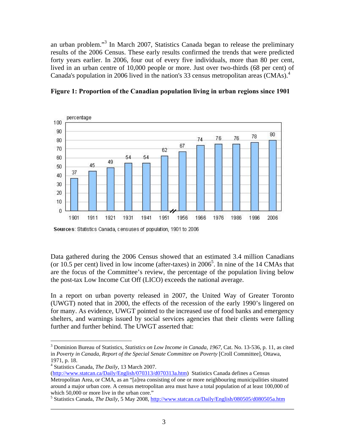an urban problem."<sup>3</sup> In March 2007, Statistics Canada began to release the preliminary results of the 2006 Census. These early results confirmed the trends that were predicted forty years earlier. In 2006, four out of every five individuals, more than 80 per cent, lived in an urban centre of 10,000 people or more. Just over two-thirds (68 per cent) of Canada's population in 2006 lived in the nation's 33 census metropolitan areas (CMAs).<sup>4</sup>



**Figure 1: Proportion of the Canadian population living in urban regions since 1901** 

Sources: Statistics Canada, censuses of population, 1901 to 2006

Data gathered during the 2006 Census showed that an estimated 3.4 million Canadians (or 10.5 per cent) lived in low income (after-taxes) in  $2006^5$ . In nine of the 14 CMAs that are the focus of the Committee's review, the percentage of the population living below the post-tax Low Income Cut Off (LICO) exceeds the national average.

In a report on urban poverty released in 2007, the United Way of Greater Toronto (UWGT) noted that in 2000, the effects of the recession of the early 1990's lingered on for many. As evidence, UWGT pointed to the increased use of food banks and emergency shelters, and warnings issued by social services agencies that their clients were falling further and further behind. The UWGT asserted that:

 $\overline{a}$ <sup>3</sup> Dominion Bureau of Statistics, Statistics on Low Income in Canada, 1967, Cat. No. 13-536, p. 11, as cited in *Poverty in Canada, Report of the Special Senate Committee on Poverty* [Croll Committee], Ottawa, 1971, p. 18.

<sup>4</sup> Statistics Canada, *The Daily*, 13 March 2007.

<sup>(</sup>http://www.statcan.ca/Daily/English/070313/d070313a.htm) Statistics Canada defines a Census Metropolitan Area, or CMA, as an "[a]rea consisting of one or more neighbouring municipalities situated around a major urban core. A census metropolitan area must have a total population of at least 100,000 of which 50,000 or more live in the urban core."

<sup>&</sup>lt;sup>5</sup> Statistics Canada, *The Daily*, 5 May 2008, http://www.statcan.ca/Daily/English/080505/d080505a.htm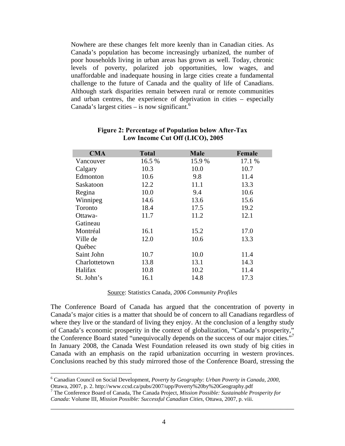Nowhere are these changes felt more keenly than in Canadian cities. As Canada's population has become increasingly urbanized, the number of poor households living in urban areas has grown as well. Today, chronic levels of poverty, polarized job opportunities, low wages, and unaffordable and inadequate housing in large cities create a fundamental challenge to the future of Canada and the quality of life of Canadians. Although stark disparities remain between rural or remote communities and urban centres, the experience of deprivation in cities – especially Canada's largest cities – is now significant. $6$ 

| <b>CMA</b>    | <b>Total</b> | <b>Male</b> | Female |
|---------------|--------------|-------------|--------|
| Vancouver     | 16.5 %       | 15.9%       | 17.1 % |
| Calgary       | 10.3         | 10.0        | 10.7   |
| Edmonton      | 10.6         | 9.8         | 11.4   |
| Saskatoon     | 12.2         | 11.1        | 13.3   |
| Regina        | 10.0         | 9.4         | 10.6   |
| Winnipeg      | 14.6         | 13.6        | 15.6   |
| Toronto       | 18.4         | 17.5        | 19.2   |
| Ottawa-       | 11.7         | 11.2        | 12.1   |
| Gatineau      |              |             |        |
| Montréal      | 16.1         | 15.2        | 17.0   |
| Ville de      | 12.0         | 10.6        | 13.3   |
| Québec        |              |             |        |
| Saint John    | 10.7         | 10.0        | 11.4   |
| Charlottetown | 13.8         | 13.1        | 14.3   |
| Halifax       | 10.8         | 10.2        | 11.4   |
| St. John's    | 16.1         | 14.8        | 17.3   |

#### **Figure 2: Percentage of Population below After-Tax Low Income Cut Off (LICO), 2005**

Source: Statistics Canada, *2006 Community Profiles*

The Conference Board of Canada has argued that the concentration of poverty in Canada's major cities is a matter that should be of concern to all Canadians regardless of where they live or the standard of living they enjoy. At the conclusion of a lengthy study of Canada's economic prosperity in the context of globalization, "Canada's prosperity," the Conference Board stated "unequivocally depends on the success of our major cities."<sup>7</sup> In January 2008, the Canada West Foundation released its own study of big cities in Canada with an emphasis on the rapid urbanization occurring in western provinces. Conclusions reached by this study mirrored those of the Conference Board, stressing the

1

<sup>6</sup> Canadian Council on Social Development, *Poverty by Geography: Urban Poverty in Canada, 2000*, Ottawa, 2007, p. 2. http://www.ccsd.ca/pubs/2007/upp/Poverty%20by%20Geography.pdf

<sup>7</sup> The Conference Board of Canada, The Canada Project, *Mission Possible: Sustainable Prosperity for Canada*: Volume III*, Mission Possible: Successful Canadian Cities*, Ottawa, 2007, p. viii.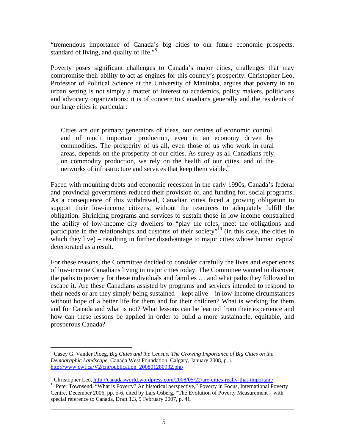"tremendous importance of Canada's big cities to our future economic prospects, standard of living, and quality of life."<sup>8</sup>

Poverty poses significant challenges to Canada's major cities, challenges that may compromise their ability to act as engines for this country's prosperity. Christopher Leo, Professor of Political Science at the University of Manitoba, argues that poverty in an urban setting is not simply a matter of interest to academics, policy makers, politicians and advocacy organizations: it is of concern to Canadians generally and the residents of our large cities in particular:

Cities are our primary generators of ideas, our centres of economic control, and of much important production, even in an economy driven by commodities. The prosperity of us all, even those of us who work in rural areas, depends on the prosperity of our cities. As surely as all Canadians rely on commodity production, we rely on the health of our cities, and of the networks of infrastructure and services that keep them viable.<sup>9</sup>

Faced with mounting debts and economic recession in the early 1990s, Canada's federal and provincial governments reduced their provision of, and funding for, social programs. As a consequence of this withdrawal, Canadian cities faced a growing obligation to support their low-income citizens, without the resources to adequately fulfill the obligation. Shrinking programs and services to sustain those in low income constrained the ability of low-income city dwellers to "play the roles, meet the obligations and participate in the relationships and customs of their society<sup> $n^{10}$ </sup> (in this case, the cities in which they live) – resulting in further disadvantage to major cities whose human capital deteriorated as a result.

For these reasons, the Committee decided to consider carefully the lives and experiences of low-income Canadians living in major cities today. The Committee wanted to discover the paths to poverty for these individuals and families … and what paths they followed to escape it. Are these Canadians assisted by programs and services intended to respond to their needs or are they simply being sustained – kept alive – in low-income circumstances without hope of a better life for them and for their children? What is working for them and for Canada and what is not? What lessons can be learned from their experience and how can these lessons be applied in order to build a more sustainable, equitable, and prosperous Canada?

 8 Casey G. Vander Ploeg, *Big Cities and the Census: The Growing Importance of Big Cities on the Demographic Landscape*, Canada West Foundation, Calgary, January 2008, p. i. http://www.cwf.ca/V2/cnt/publication\_200801280932.php

<sup>&</sup>lt;sup>9</sup> Christopher Leo, http://canadasworld.wordpress.com/2008/05/22/are-cities-really-that-important/

<sup>&</sup>lt;sup>10</sup> Peter Townsend, "What is Poverty? An historical perspective," Poverty in Focus, International Poverty Centre, December 2006, pp. 5-6, cited by Lars Osberg, "The Evolution of Poverty Measurement – with special reference to Canada, Draft 1.3, 9 February 2007, p. 41.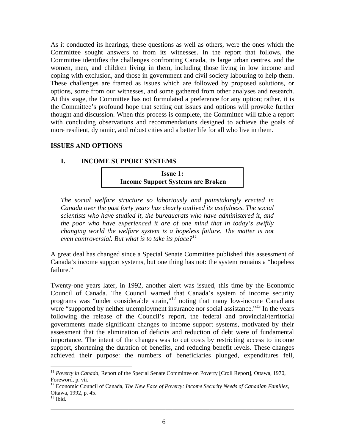As it conducted its hearings, these questions as well as others, were the ones which the Committee sought answers to from its witnesses. In the report that follows, the Committee identifies the challenges confronting Canada, its large urban centres, and the women, men, and children living in them, including those living in low income and coping with exclusion, and those in government and civil society labouring to help them. These challenges are framed as issues which are followed by proposed solutions, or options, some from our witnesses, and some gathered from other analyses and research. At this stage, the Committee has not formulated a preference for any option; rather, it is the Committee's profound hope that setting out issues and options will provoke further thought and discussion. When this process is complete, the Committee will table a report with concluding observations and recommendations designed to achieve the goals of more resilient, dynamic, and robust cities and a better life for all who live in them.

### **ISSUES AND OPTIONS**

#### **I. INCOME SUPPORT SYSTEMS**

**Issue 1: Income Support Systems are Broken** 

*The social welfare structure so laboriously and painstakingly erected in Canada over the past forty years has clearly outlived its usefulness. The social scientists who have studied it, the bureaucrats who have administered it, and the poor who have experienced it are of one mind that in today's swiftly changing world the welfare system is a hopeless failure. The matter is not even controversial. But what is to take its place?11*

A great deal has changed since a Special Senate Committee published this assessment of Canada's income support systems, but one thing has not: the system remains a "hopeless failure."

Twenty-one years later, in 1992, another alert was issued, this time by the Economic Council of Canada. The Council warned that Canada's system of income security programs was "under considerable strain,"12 noting that many low-income Canadians were "supported by neither unemployment insurance nor social assistance."<sup>13</sup> In the years following the release of the Council's report, the federal and provincial/territorial governments made significant changes to income support systems, motivated by their assessment that the elimination of deficits and reduction of debt were of fundamental importance. The intent of the changes was to cut costs by restricting access to income support, shortening the duration of benefits, and reducing benefit levels. These changes achieved their purpose: the numbers of beneficiaries plunged, expenditures fell,

\_\_\_\_\_\_\_\_\_\_\_\_\_\_\_\_\_\_\_\_\_\_\_\_\_\_\_\_\_\_\_\_\_\_\_\_\_\_\_\_\_\_\_\_\_\_\_\_\_\_\_\_\_\_\_\_\_\_\_\_\_\_\_\_\_\_\_\_\_\_\_\_

 $\overline{a}$ 

<sup>&</sup>lt;sup>11</sup> Poverty in Canada, Report of the Special Senate Committee on Poverty [Croll Report], Ottawa, 1970, Foreword, p. vii.

<sup>&</sup>lt;sup>12</sup> Economic Council of Canada, *The New Face of Poverty: Income Security Needs of Canadian Families*, Ottawa, 1992, p. 45.

 $13$  Ibid.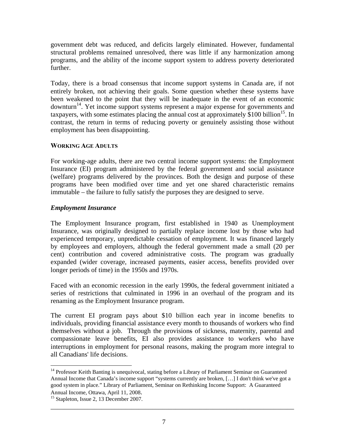government debt was reduced, and deficits largely eliminated. However, fundamental structural problems remained unresolved, there was little if any harmonization among programs, and the ability of the income support system to address poverty deteriorated further.

Today, there is a broad consensus that income support systems in Canada are, if not entirely broken, not achieving their goals. Some question whether these systems have been weakened to the point that they will be inadequate in the event of an economic downturn<sup>14</sup>. Yet income support systems represent a major expense for governments and taxpayers, with some estimates placing the annual cost at approximately  $\tilde{\$}100$  billion<sup>15</sup>. In contrast, the return in terms of reducing poverty or genuinely assisting those without employment has been disappointing.

### **WORKING AGE ADULTS**

For working-age adults, there are two central income support systems: the Employment Insurance (EI) program administered by the federal government and social assistance (welfare) programs delivered by the provinces. Both the design and purpose of these programs have been modified over time and yet one shared characteristic remains immutable – the failure to fully satisfy the purposes they are designed to serve.

# *Employment Insurance*

The Employment Insurance program, first established in 1940 as Unemployment Insurance, was originally designed to partially replace income lost by those who had experienced temporary, unpredictable cessation of employment. It was financed largely by employees and employers, although the federal government made a small (20 per cent) contribution and covered administrative costs. The program was gradually expanded (wider coverage, increased payments, easier access, benefits provided over longer periods of time) in the 1950s and 1970s.

Faced with an economic recession in the early 1990s, the federal government initiated a series of restrictions that culminated in 1996 in an overhaul of the program and its renaming as the Employment Insurance program.

The current EI program pays about \$10 billion each year in income benefits to individuals, providing financial assistance every month to thousands of workers who find themselves without a job. Through the provisions of sickness, maternity, parental and compassionate leave benefits, EI also provides assistance to workers who have interruptions in employment for personal reasons, making the program more integral to all Canadians' life decisions.

\_\_\_\_\_\_\_\_\_\_\_\_\_\_\_\_\_\_\_\_\_\_\_\_\_\_\_\_\_\_\_\_\_\_\_\_\_\_\_\_\_\_\_\_\_\_\_\_\_\_\_\_\_\_\_\_\_\_\_\_\_\_\_\_\_\_\_\_\_\_\_\_

Annual Income, Ottawa, April 11, 2008. 15 Stapleton, Issue 2, 13 December 2007.

 $\overline{a}$ <sup>14</sup> Professor Keith Banting is unequivocal, stating before a Library of Parliament Seminar on Guaranteed Annual Income that Canada's income support "systems currently are broken, […] I don't think we've got a good system in place." Library of Parliament, Seminar on Rethinking Income Support: A Guaranteed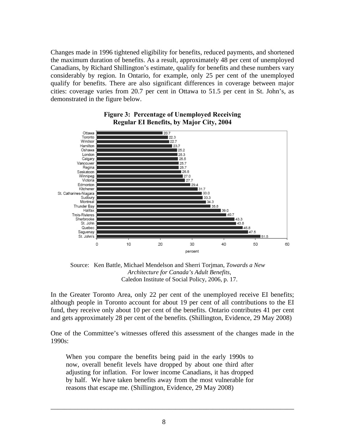Changes made in 1996 tightened eligibility for benefits, reduced payments, and shortened the maximum duration of benefits. As a result, approximately 48 per cent of unemployed Canadians, by Richard Shillington's estimate, qualify for benefits and these numbers vary considerably by region. In Ontario, for example, only 25 per cent of the unemployed qualify for benefits. There are also significant differences in coverage between major cities: coverage varies from 20.7 per cent in Ottawa to 51.5 per cent in St. John's, as demonstrated in the figure below.



### **Figure 3: Percentage of Unemployed Receiving Regular EI Benefits, by Major City, 2004**

Source: Ken Battle, Michael Mendelson and Sherri Torjman, *Towards a New Architecture for Canada's Adult Benefits*, Caledon Institute of Social Policy, 2006, p. 17.

In the Greater Toronto Area, only 22 per cent of the unemployed receive EI benefits; although people in Toronto account for about 19 per cent of all contributions to the EI fund, they receive only about 10 per cent of the benefits. Ontario contributes 41 per cent and gets approximately 28 per cent of the benefits. (Shillington, Evidence, 29 May 2008)

One of the Committee's witnesses offered this assessment of the changes made in the 1990s:

When you compare the benefits being paid in the early 1990s to now, overall benefit levels have dropped by about one third after adjusting for inflation. For lower income Canadians, it has dropped by half. We have taken benefits away from the most vulnerable for reasons that escape me. (Shillington, Evidence, 29 May 2008)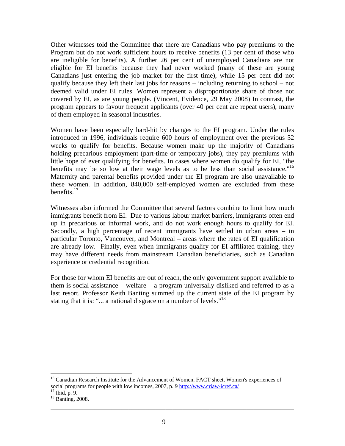Other witnesses told the Committee that there are Canadians who pay premiums to the Program but do not work sufficient hours to receive benefits (13 per cent of those who are ineligible for benefits). A further 26 per cent of unemployed Canadians are not eligible for EI benefits because they had never worked (many of these are young Canadians just entering the job market for the first time), while 15 per cent did not qualify because they left their last jobs for reasons – including returning to school – not deemed valid under EI rules. Women represent a disproportionate share of those not covered by EI, as are young people. (Vincent, Evidence, 29 May 2008) In contrast, the program appears to favour frequent applicants (over 40 per cent are repeat users), many of them employed in seasonal industries.

Women have been especially hard-hit by changes to the EI program. Under the rules introduced in 1996, individuals require 600 hours of employment over the previous 52 weeks to qualify for benefits. Because women make up the majority of Canadians holding precarious employment (part-time or temporary jobs), they pay premiums with little hope of ever qualifying for benefits. In cases where women do qualify for EI, "the benefits may be so low at their wage levels as to be less than social assistance."<sup>16</sup> Maternity and parental benefits provided under the EI program are also unavailable to these women. In addition, 840,000 self-employed women are excluded from these benefits. $17$ 

Witnesses also informed the Committee that several factors combine to limit how much immigrants benefit from EI. Due to various labour market barriers, immigrants often end up in precarious or informal work, and do not work enough hours to qualify for EI. Secondly, a high percentage of recent immigrants have settled in urban areas – in particular Toronto, Vancouver, and Montreal – areas where the rates of EI qualification are already low. Finally, even when immigrants qualify for EI affiliated training, they may have different needs from mainstream Canadian beneficiaries, such as Canadian experience or credential recognition.

For those for whom EI benefits are out of reach, the only government support available to them is social assistance – welfare – a program universally disliked and referred to as a last resort. Professor Keith Banting summed up the current state of the EI program by stating that it is: "... a national disgrace on a number of levels."<sup>18</sup>

\_\_\_\_\_\_\_\_\_\_\_\_\_\_\_\_\_\_\_\_\_\_\_\_\_\_\_\_\_\_\_\_\_\_\_\_\_\_\_\_\_\_\_\_\_\_\_\_\_\_\_\_\_\_\_\_\_\_\_\_\_\_\_\_\_\_\_\_\_\_\_\_

 $\overline{a}$ 

<sup>&</sup>lt;sup>16</sup> Canadian Research Institute for the Advancement of Women, FACT sheet, Women's experiences of social programs for people with low incomes, 2007, p. 9 http://www.criaw-icref.ca/ <sup>17</sup> Ibid, p. 9.

<sup>&</sup>lt;sup>18</sup> Banting, 2008.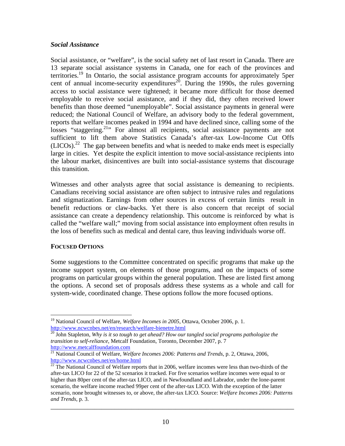### *Social Assistance*

Social assistance, or "welfare", is the social safety net of last resort in Canada. There are 13 separate social assistance systems in Canada, one for each of the provinces and territories.<sup>19</sup> In Ontario, the social assistance program accounts for approximately 5per cent of annual income-security expenditures<sup>20</sup>. During the 1990s, the rules governing access to social assistance were tightened; it became more difficult for those deemed employable to receive social assistance, and if they did, they often received lower benefits than those deemed "unemployable". Social assistance payments in general were reduced; the National Council of Welfare, an advisory body to the federal government, reports that welfare incomes peaked in 1994 and have declined since, calling some of the losses "staggering.<sup>21</sup>" For almost all recipients, social assistance payments are not sufficient to lift them above Statistics Canada's after-tax Low-Income Cut Offs  $(LICOs).<sup>22</sup>$  The gap between benefits and what is needed to make ends meet is especially large in cities. Yet despite the explicit intention to move social-assistance recipients into the labour market, disincentives are built into social-assistance systems that discourage this transition.

Witnesses and other analysts agree that social assistance is demeaning to recipients. Canadians receiving social assistance are often subject to intrusive rules and regulations and stigmatization. Earnings from other sources in excess of certain limits result in benefit reductions or claw-backs. Yet there is also concern that receipt of social assistance can create a dependency relationship. This outcome is reinforced by what is called the "welfare wall;" moving from social assistance into employment often results in the loss of benefits such as medical and dental care, thus leaving individuals worse off.

#### **FOCUSED OPTIONS**

Some suggestions to the Committee concentrated on specific programs that make up the income support system, on elements of those programs, and on the impacts of some programs on particular groups within the general population. These are listed first among the options. A second set of proposals address these systems as a whole and call for system-wide, coordinated change. These options follow the more focused options.

<sup>1</sup> <sup>19</sup> National Council of Welfare, *Welfare Incomes in 2005*, Ottawa, October 2006, p. 1.<br>http://www.ncwcnbes.net/en/research/welfare-bienetre.html

 $\frac{1}{20}$  John Stapleton, Why is it so tough to get ahead? How our tangled social programs pathologize the *transition to self-reliance*, Metcalf Foundation, Toronto, December 2007, p. 7<br>http://www.metcalffoundation.com

<sup>&</sup>lt;sup>21</sup> National Council of Welfare, *Welfare Incomes 2006: Patterns and Trends*, p. 2, Ottawa, 2006, http://www.ncwcnbes.net/en/home.html<br><sup>22</sup> The National Council of Welfare reports that in 2006, welfare incomes were less than two-thirds of the

after-tax LICO for 22 of the 52 scenarios it tracked. For five scenarios welfare incomes were equal to or higher than 80per cent of the after-tax LICO, and in Newfoundland and Labrador, under the lone-parent scenario, the welfare income reached 99per cent of the after-tax LICO. With the exception of the latter scenario, none brought witnesses to, or above, the after-tax LICO. Source: *Welfare Incomes 2006: Patterns and Trends*, p. 3.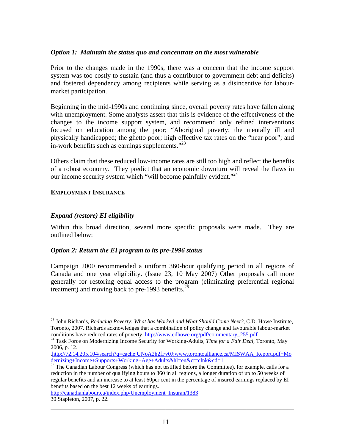#### *Option 1: Maintain the status quo and concentrate on the most vulnerable*

Prior to the changes made in the 1990s, there was a concern that the income support system was too costly to sustain (and thus a contributor to government debt and deficits) and fostered dependency among recipients while serving as a disincentive for labourmarket participation.

Beginning in the mid-1990s and continuing since, overall poverty rates have fallen along with unemployment. Some analysts assert that this is evidence of the effectiveness of the changes to the income support system, and recommend only refined interventions focused on education among the poor; "Aboriginal poverty; the mentally ill and physically handicapped; the ghetto poor; high effective tax rates on the "near poor"; and in-work benefits such as earnings supplements. $123$ 

Others claim that these reduced low-income rates are still too high and reflect the benefits of a robust economy. They predict that an economic downturn will reveal the flaws in our income security system which "will become painfully evident."<sup>24</sup>

### **EMPLOYMENT INSURANCE**

### *Expand (restore) EI eligibility*

 $\overline{a}$ 

Within this broad direction, several more specific proposals were made. They are outlined below:

#### *Option 2: Return the EI program to its pre-1996 status*

Campaign 2000 recommended a uniform 360-hour qualifying period in all regions of Canada and one year eligibility. (Issue 23, 10 May 2007) Other proposals call more generally for restoring equal access to the program (eliminating preferential regional treatment) and moving back to pre-1993 benefits. $^{25}$ 

\_\_\_\_\_\_\_\_\_\_\_\_\_\_\_\_\_\_\_\_\_\_\_\_\_\_\_\_\_\_\_\_\_\_\_\_\_\_\_\_\_\_\_\_\_\_\_\_\_\_\_\_\_\_\_\_\_\_\_\_\_\_\_\_\_\_\_\_\_\_\_\_

http://canadianlabour.ca/index.php/Unemployment\_Insuran/1383 30 Stapleton, 2007, p. 22.

<sup>23</sup> John Richards, *Reducing Poverty: What has Worked and What Should Come Next?*, C.D. Howe Institute, Toronto, 2007. Richards acknowledges that a combination of policy change and favourable labour-market conditions have reduced rates of poverty. http://www.cdhowe.org/pdf/commentary 255.pdf.

<sup>&</sup>lt;sup>24</sup> Task Force on Modernizing Income Security for Working-Adults, *Time for a Fair Deal*, Toronto, May 2006, p. 12.

<sup>.</sup>http://72.14.205.104/search?q=cache:UNoA2h2fFv0J:www.torontoalliance.ca/MISWAA\_Report.pdf+Mo dernizing+Income+Supports+Working+Age+Adults&hl=en&ct=clnk&cd=1

<sup>&</sup>lt;sup>25</sup> The Canadian Labour Congress (which has not testified before the Committee), for example, calls for a reduction in the number of qualifying hours to 360 in all regions, a longer duration of up to 50 weeks of regular benefits and an increase to at least 60per cent in the percentage of insured earnings replaced by EI benefits based on the best 12 weeks of earnings.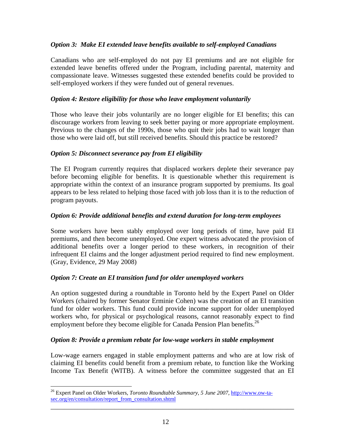### *Option 3: Make EI extended leave benefits available to self-employed Canadians*

Canadians who are self-employed do not pay EI premiums and are not eligible for extended leave benefits offered under the Program, including parental, maternity and compassionate leave. Witnesses suggested these extended benefits could be provided to self-employed workers if they were funded out of general revenues.

### *Option 4: Restore eligibility for those who leave employment voluntarily*

Those who leave their jobs voluntarily are no longer eligible for EI benefits; this can discourage workers from leaving to seek better paying or more appropriate employment. Previous to the changes of the 1990s, those who quit their jobs had to wait longer than those who were laid off, but still received benefits. Should this practice be restored?

### *Option 5: Disconnect severance pay from EI eligibility*

The EI Program currently requires that displaced workers deplete their severance pay before becoming eligible for benefits. It is questionable whether this requirement is appropriate within the context of an insurance program supported by premiums. Its goal appears to be less related to helping those faced with job loss than it is to the reduction of program payouts.

### *Option 6: Provide additional benefits and extend duration for long-term employees*

Some workers have been stably employed over long periods of time, have paid EI premiums, and then become unemployed. One expert witness advocated the provision of additional benefits over a longer period to these workers, in recognition of their infrequent EI claims and the longer adjustment period required to find new employment. (Gray, Evidence, 29 May 2008)

### *Option 7: Create an EI transition fund for older unemployed workers*

An option suggested during a roundtable in Toronto held by the Expert Panel on Older Workers (chaired by former Senator Erminie Cohen) was the creation of an EI transition fund for older workers. This fund could provide income support for older unemployed workers who, for physical or psychological reasons, cannot reasonably expect to find employment before they become eligible for Canada Pension Plan benefits.<sup>26</sup>

#### *Option 8: Provide a premium rebate for low-wage workers in stable employment*

Low-wage earners engaged in stable employment patterns and who are at low risk of claiming EI benefits could benefit from a premium rebate, to function like the Working Income Tax Benefit (WITB). A witness before the committee suggested that an EI

\_\_\_\_\_\_\_\_\_\_\_\_\_\_\_\_\_\_\_\_\_\_\_\_\_\_\_\_\_\_\_\_\_\_\_\_\_\_\_\_\_\_\_\_\_\_\_\_\_\_\_\_\_\_\_\_\_\_\_\_\_\_\_\_\_\_\_\_\_\_\_\_

 $\overline{a}$ 

<sup>26</sup> Expert Panel on Older Workers, *Toronto Roundtable Summary, 5 June 2007*, http://www.ow-tasec.org/en/consultation/report\_from\_consultation.shtml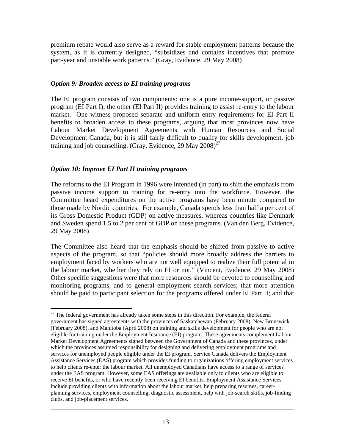premium rebate would also serve as a reward for stable employment patterns because the system, as it is currently designed, "subsidizes and contains incentives that promote part-year and unstable work patterns." (Gray, Evidence, 29 May 2008)

### *Option 9: Broaden access to EI training programs*

The EI program consists of two components: one is a pure income-support, or passive program (EI Part I); the other (EI Part II) provides training to assist re-entry to the labour market. One witness proposed separate and uniform entry requirements for EI Part II benefits to broaden access to these programs, arguing that most provinces now have Labour Market Development Agreements with Human Resources and Social Development Canada, but it is still fairly difficult to qualify for skills development, job training and job counselling. (Gray, Evidence, 29 May  $2008$ )<sup>27</sup>

# *Option 10: Improve EI Part II training programs*

 $\overline{a}$ 

The reforms to the EI Program in 1996 were intended (in part) to shift the emphasis from passive income support to training for re-entry into the workforce. However, the Committee heard expenditures on the active programs have been minute compared to those made by Nordic countries. For example, Canada spends less than half a per cent of its Gross Domestic Product (GDP) on active measures, whereas countries like Denmark and Sweden spend 1.5 to 2 per cent of GDP on these programs. (Van den Berg, Evidence, 29 May 2008)

The Committee also heard that the emphasis should be shifted from passive to active aspects of the program, so that "policies should more broadly address the barriers to employment faced by workers who are not well equipped to realize their full potential in the labour market, whether they rely on EI or not." (Vincent, Evidence, 29 May 2008) Other specific suggestions were that more resources should be devoted to counselling and monitoring programs, and to general employment search services; that more attention should be paid to participant selection for the programs offered under EI Part II; and that

 $27$  The federal government has already taken some steps in this direction. For example, the federal government has signed agreements with the provinces of Saskatchewan (February 2008), New Brunswick (February 2008), and Manitoba (April 2008) on training and skills development for people who are not eligible for training under the Employment Insurance (EI) program. These agreements complement Labour Market Development Agreements signed between the Government of Canada and these provinces, under which the provinces assumed responsibility for designing and delivering employment programs and services for unemployed people eligible under the EI program. Service Canada delivers the Employment Assistance Services (EAS) program which provides funding to organizations offering employment services to help clients re-enter the labour market. All unemployed Canadians have access to a range of services under the EAS program. However, some EAS offerings are available only to clients who are eligible to receive EI benefits, or who have recently been receiving EI benefits. Employment Assistance Services include providing clients with information about the labour market, help preparing resumes, careerplanning services, employment counselling, diagnostic assessment, help with job-search skills, job-finding clubs, and job-placement services.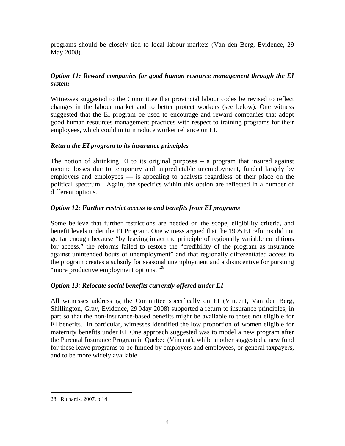programs should be closely tied to local labour markets (Van den Berg, Evidence, 29 May 2008).

# *Option 11: Reward companies for good human resource management through the EI system*

Witnesses suggested to the Committee that provincial labour codes be revised to reflect changes in the labour market and to better protect workers (see below). One witness suggested that the EI program be used to encourage and reward companies that adopt good human resources management practices with respect to training programs for their employees, which could in turn reduce worker reliance on EI.

### *Return the EI program to its insurance principles*

The notion of shrinking EI to its original purposes  $-$  a program that insured against income losses due to temporary and unpredictable unemployment, funded largely by employers and employees — is appealing to analysts regardless of their place on the political spectrum. Again, the specifics within this option are reflected in a number of different options.

# *Option 12: Further restrict access to and benefits from EI programs*

Some believe that further restrictions are needed on the scope, eligibility criteria, and benefit levels under the EI Program. One witness argued that the 1995 EI reforms did not go far enough because "by leaving intact the principle of regionally variable conditions for access," the reforms failed to restore the "credibility of the program as insurance against unintended bouts of unemployment" and that regionally differentiated access to the program creates a subsidy for seasonal unemployment and a disincentive for pursuing "more productive employment options."<sup>28</sup>

# *Option 13: Relocate social benefits currently offered under EI*

All witnesses addressing the Committee specifically on EI (Vincent, Van den Berg, Shillington, Gray, Evidence, 29 May 2008) supported a return to insurance principles, in part so that the non-insurance-based benefits might be available to those not eligible for EI benefits. In particular, witnesses identified the low proportion of women eligible for maternity benefits under EI. One approach suggested was to model a new program after the Parental Insurance Program in Quebec (Vincent), while another suggested a new fund for these leave programs to be funded by employers and employees, or general taxpayers, and to be more widely available.

 $\overline{a}$ 

<sup>28.</sup> Richards, 2007, p.14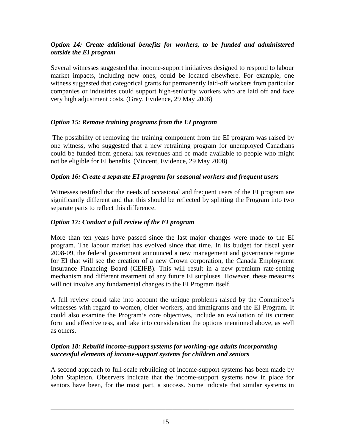# *Option 14: Create additional benefits for workers, to be funded and administered outside the EI program*

Several witnesses suggested that income-support initiatives designed to respond to labour market impacts, including new ones, could be located elsewhere. For example, one witness suggested that categorical grants for permanently laid-off workers from particular companies or industries could support high-seniority workers who are laid off and face very high adjustment costs. (Gray, Evidence, 29 May 2008)

# *Option 15: Remove training programs from the EI program*

The possibility of removing the training component from the EI program was raised by one witness, who suggested that a new retraining program for unemployed Canadians could be funded from general tax revenues and be made available to people who might not be eligible for EI benefits. (Vincent, Evidence, 29 May 2008)

# *Option 16: Create a separate EI program for seasonal workers and frequent users*

Witnesses testified that the needs of occasional and frequent users of the EI program are significantly different and that this should be reflected by splitting the Program into two separate parts to reflect this difference.

# *Option 17: Conduct a full review of the EI program*

More than ten years have passed since the last major changes were made to the EI program. The labour market has evolved since that time. In its budget for fiscal year 2008-09, the federal government announced a new management and governance regime for EI that will see the creation of a new Crown corporation, the Canada Employment Insurance Financing Board (CEIFB). This will result in a new premium rate-setting mechanism and different treatment of any future EI surpluses. However, these measures will not involve any fundamental changes to the EI Program itself.

A full review could take into account the unique problems raised by the Committee's witnesses with regard to women, older workers, and immigrants and the EI Program. It could also examine the Program's core objectives, include an evaluation of its current form and effectiveness, and take into consideration the options mentioned above, as well as others.

# *Option 18: Rebuild income-support systems for working-age adults incorporating successful elements of income-support systems for children and seniors*

A second approach to full-scale rebuilding of income-support systems has been made by John Stapleton. Observers indicate that the income-support systems now in place for seniors have been, for the most part, a success. Some indicate that similar systems in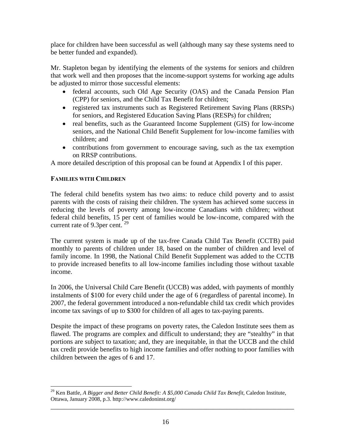place for children have been successful as well (although many say these systems need to be better funded and expanded).

Mr. Stapleton began by identifying the elements of the systems for seniors and children that work well and then proposes that the income-support systems for working age adults be adjusted to mirror those successful elements:

- federal accounts, such Old Age Security (OAS) and the Canada Pension Plan (CPP) for seniors, and the Child Tax Benefit for children;
- registered tax instruments such as Registered Retirement Saving Plans (RRSPs) for seniors, and Registered Education Saving Plans (RESPs) for children;
- real benefits, such as the Guaranteed Income Supplement (GIS) for low-income seniors, and the National Child Benefit Supplement for low-income families with children; and
- contributions from government to encourage saving, such as the tax exemption on RRSP contributions.

A more detailed description of this proposal can be found at Appendix I of this paper.

### **FAMILIES WITH CHILDREN**

The federal child benefits system has two aims: to reduce child poverty and to assist parents with the costs of raising their children. The system has achieved some success in reducing the levels of poverty among low-income Canadians with children; without federal child benefits, 15 per cent of families would be low-income, compared with the current rate of 9.3 per cent.  $29$ 

The current system is made up of the tax-free Canada Child Tax Benefit (CCTB) paid monthly to parents of children under 18, based on the number of children and level of family income. In 1998, the National Child Benefit Supplement was added to the CCTB to provide increased benefits to all low-income families including those without taxable income.

In 2006, the Universal Child Care Benefit (UCCB) was added, with payments of monthly instalments of \$100 for every child under the age of 6 (regardless of parental income). In 2007, the federal government introduced a non-refundable child tax credit which provides income tax savings of up to \$300 for children of all ages to tax-paying parents.

Despite the impact of these programs on poverty rates, the Caledon Institute sees them as flawed. The programs are complex and difficult to understand; they are "stealthy" in that portions are subject to taxation; and, they are inequitable, in that the UCCB and the child tax credit provide benefits to high income families and offer nothing to poor families with children between the ages of 6 and 17.

 $\overline{a}$ <sup>29</sup> Ken Battle, *A Bigger and Better Child Benefit: A \$5,000 Canada Child Tax Benefit*, Caledon Institute, Ottawa, January 2008, p.3. http://www.caledoninst.org/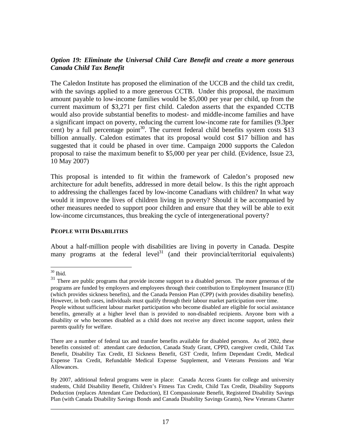### *Option 19: Eliminate the Universal Child Care Benefit and create a more generous Canada Child Tax Benefit*

The Caledon Institute has proposed the elimination of the UCCB and the child tax credit, with the savings applied to a more generous CCTB. Under this proposal, the maximum amount payable to low-income families would be \$5,000 per year per child, up from the current maximum of \$3,271 per first child. Caledon asserts that the expanded CCTB would also provide substantial benefits to modest- and middle-income families and have a significant impact on poverty, reducing the current low-income rate for families (9.3per cent) by a full percentage point<sup>30</sup>. The current federal child benefits system costs \$13 billion annually. Caledon estimates that its proposal would cost \$17 billion and has suggested that it could be phased in over time. Campaign 2000 supports the Caledon proposal to raise the maximum benefit to \$5,000 per year per child. (Evidence, Issue 23, 10 May 2007)

This proposal is intended to fit within the framework of Caledon's proposed new architecture for adult benefits, addressed in more detail below. Is this the right approach to addressing the challenges faced by low-income Canadians with children? In what way would it improve the lives of children living in poverty? Should it be accompanied by other measures needed to support poor children and ensure that they will be able to exit low-income circumstances, thus breaking the cycle of intergenerational poverty?

#### **PEOPLE WITH DISABILITIES**

About a half-million people with disabilities are living in poverty in Canada. Despite many programs at the federal level<sup>31</sup> (and their provincial/territorial equivalents)

 $\overline{a}$ 

 $30$  Ibid.

<sup>&</sup>lt;sup>31</sup> There are public programs that provide income support to a disabled person. The more generous of the programs are funded by employers and employees through their contribution to Employment Insurance (EI) (which provides sickness benefits), and the Canada Pension Plan (CPP) (with provides disability benefits). However, in both cases, individuals must qualify through their labour market participation over time.

People without sufficient labour market participation who become disabled are eligible for social assistance benefits, generally at a higher level than is provided to non-disabled recipients. Anyone born with a disability or who becomes disabled as a child does not receive any direct income support, unless their parents qualify for welfare.

There are a number of federal tax and transfer benefits available for disabled persons. As of 2002, these benefits consisted of: attendant care deduction, Canada Study Grant, CPPD, caregiver credit, Child Tax Benefit, Disability Tax Credit, EI Sickness Benefit, GST Credit, Infirm Dependant Credit, Medical Expense Tax Credit, Refundable Medical Expense Supplement, and Veterans Pensions and War Allowances.

By 2007, additional federal programs were in place: Canada Access Grants for college and university students, Child Disability Benefit, Children's Fitness Tax Credit, Child Tax Credit, Disability Supports Deduction (replaces Attendant Care Deduction), EI Compassionate Benefit, Registered Disability Savings Plan (with Canada Disability Savings Bonds and Canada Disability Savings Grants), New Veterans Charter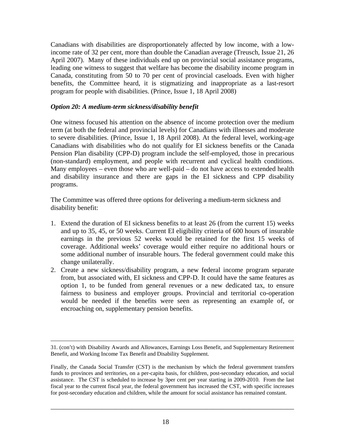Canadians with disabilities are disproportionately affected by low income, with a lowincome rate of 32 per cent, more than double the Canadian average (Treusch, Issue 21, 26 April 2007). Many of these individuals end up on provincial social assistance programs, leading one witness to suggest that welfare has become the disability income program in Canada, constituting from 50 to 70 per cent of provincial caseloads. Even with higher benefits, the Committee heard, it is stigmatizing and inappropriate as a last-resort program for people with disabilities. (Prince, Issue 1, 18 April 2008)

### *Option 20: A medium-term sickness/disability benefit*

One witness focused his attention on the absence of income protection over the medium term (at both the federal and provincial levels) for Canadians with illnesses and moderate to severe disabilities. (Prince, Issue 1, 18 April 2008). At the federal level, working-age Canadians with disabilities who do not qualify for EI sickness benefits or the Canada Pension Plan disability (CPP-D) program include the self-employed, those in precarious (non-standard) employment, and people with recurrent and cyclical health conditions. Many employees – even those who are well-paid – do not have access to extended health and disability insurance and there are gaps in the EI sickness and CPP disability programs.

The Committee was offered three options for delivering a medium-term sickness and disability benefit:

- 1. Extend the duration of EI sickness benefits to at least 26 (from the current 15) weeks and up to 35, 45, or 50 weeks. Current EI eligibility criteria of 600 hours of insurable earnings in the previous 52 weeks would be retained for the first 15 weeks of coverage. Additional weeks' coverage would either require no additional hours or some additional number of insurable hours. The federal government could make this change unilaterally.
- 2. Create a new sickness/disability program, a new federal income program separate from, but associated with, EI sickness and CPP-D. It could have the same features as option 1, to be funded from general revenues or a new dedicated tax, to ensure fairness to business and employer groups. Provincial and territorial co-operation would be needed if the benefits were seen as representing an example of, or encroaching on, supplementary pension benefits.

 <sup>31. (</sup>con't) with Disability Awards and Allowances, Earnings Loss Benefit, and Supplementary Retirement Benefit, and Working Income Tax Benefit and Disability Supplement.

Finally, the Canada Social Transfer (CST) is the mechanism by which the federal government transfers funds to provinces and territories, on a per-capita basis, for children, post-secondary education, and social assistance. The CST is scheduled to increase by 3per cent per year starting in 2009-2010. From the last fiscal year to the current fiscal year, the federal government has increased the CST, with specific increases for post-secondary education and children, while the amount for social assistance has remained constant.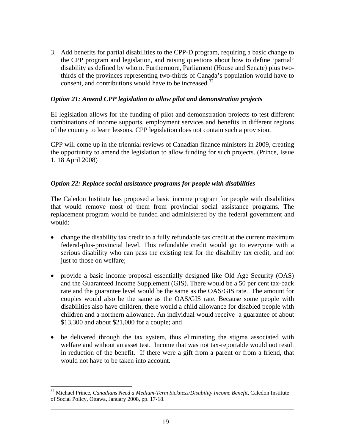3. Add benefits for partial disabilities to the CPP-D program, requiring a basic change to the CPP program and legislation, and raising questions about how to define 'partial' disability as defined by whom. Furthermore, Parliament (House and Senate) plus twothirds of the provinces representing two-thirds of Canada's population would have to consent, and contributions would have to be increased. $32$ 

### *Option 21: Amend CPP legislation to allow pilot and demonstration projects*

EI legislation allows for the funding of pilot and demonstration projects to test different combinations of income supports, employment services and benefits in different regions of the country to learn lessons. CPP legislation does not contain such a provision.

CPP will come up in the triennial reviews of Canadian finance ministers in 2009, creating the opportunity to amend the legislation to allow funding for such projects. (Prince, Issue 1, 18 April 2008)

### *Option 22: Replace social assistance programs for people with disabilities*

The Caledon Institute has proposed a basic income program for people with disabilities that would remove most of them from provincial social assistance programs. The replacement program would be funded and administered by the federal government and would:

- change the disability tax credit to a fully refundable tax credit at the current maximum federal-plus-provincial level. This refundable credit would go to everyone with a serious disability who can pass the existing test for the disability tax credit, and not just to those on welfare;
- provide a basic income proposal essentially designed like Old Age Security (OAS) and the Guaranteed Income Supplement (GIS). There would be a 50 per cent tax-back rate and the guarantee level would be the same as the OAS/GIS rate. The amount for couples would also be the same as the OAS/GIS rate. Because some people with disabilities also have children, there would a child allowance for disabled people with children and a northern allowance. An individual would receive a guarantee of about \$13,300 and about \$21,000 for a couple; and
- be delivered through the tax system, thus eliminating the stigma associated with welfare and without an asset test. Income that was not tax-reportable would not result in reduction of the benefit. If there were a gift from a parent or from a friend, that would not have to be taken into account.

 $\overline{a}$ 

<sup>32</sup> Michael Prince, *Canadians Need a Medium-Term Sickness/Disability Income Benefit*, Caledon Institute of Social Policy, Ottawa, January 2008, pp. 17-18.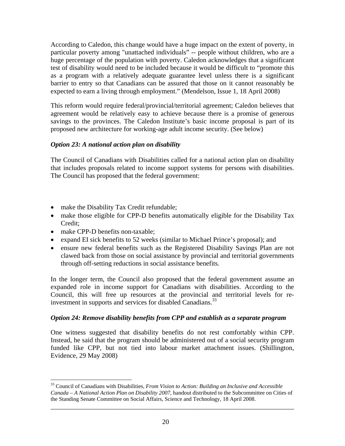According to Caledon, this change would have a huge impact on the extent of poverty, in particular poverty among "unattached individuals" -- people without children, who are a huge percentage of the population with poverty. Caledon acknowledges that a significant test of disability would need to be included because it would be difficult to "promote this as a program with a relatively adequate guarantee level unless there is a significant barrier to entry so that Canadians can be assured that those on it cannot reasonably be expected to earn a living through employment." (Mendelson, Issue 1, 18 April 2008)

This reform would require federal/provincial/territorial agreement; Caledon believes that agreement would be relatively easy to achieve because there is a promise of generous savings to the provinces. The Caledon Institute's basic income proposal is part of its proposed new architecture for working-age adult income security. (See below)

# *Option 23: A national action plan on disability*

The Council of Canadians with Disabilities called for a national action plan on disability that includes proposals related to income support systems for persons with disabilities. The Council has proposed that the federal government:

- make the Disability Tax Credit refundable;
- make those eligible for CPP-D benefits automatically eligible for the Disability Tax Credit;
- make CPP-D benefits non-taxable;

 $\overline{a}$ 

- expand EI sick benefits to 52 weeks (similar to Michael Prince's proposal); and
- ensure new federal benefits such as the Registered Disability Savings Plan are not clawed back from those on social assistance by provincial and territorial governments through off-setting reductions in social assistance benefits.

In the longer term, the Council also proposed that the federal government assume an expanded role in income support for Canadians with disabilities. According to the Council, this will free up resources at the provincial and territorial levels for reinvestment in supports and services for disabled Canadians.<sup>33</sup>

### *Option 24: Remove disability benefits from CPP and establish as a separate program*

One witness suggested that disability benefits do not rest comfortably within CPP. Instead, he said that the program should be administered out of a social security program funded like CPP, but not tied into labour market attachment issues. (Shillington, Evidence, 29 May 2008)

<sup>33</sup> Council of Canadians with Disabilities, *From Vision to Action: Building an Inclusive and Accessible Canada – A National Action Plan on Disability 2007*, handout distributed to the Subcommittee on Cities of the Standing Senate Committee on Social Affairs, Science and Technology, 18 April 2008.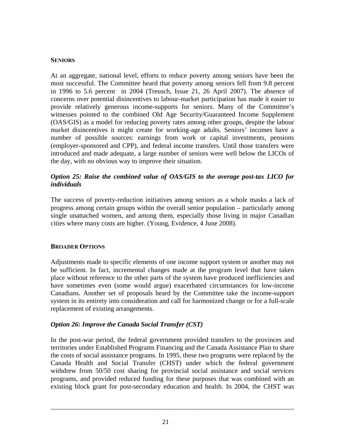### **SENIORS**

At an aggregate, national level, efforts to reduce poverty among seniors have been the most successful. The Committee heard that poverty among seniors fell from 9.8 percent in 1996 to 5.6 percent in 2004 (Treusch, Issue 21, 26 April 2007). The absence of concerns over potential disincentives to labour-market participation has made it easier to provide relatively generous income-supports for seniors. Many of the Committee's witnesses pointed to the combined Old Age Security/Guaranteed Income Supplement (OAS/GIS) as a model for reducing poverty rates among other groups, despite the labour market disincentives it might create for working-age adults. Seniors' incomes have a number of possible sources: earnings from work or capital investments, pensions (employer-sponsored and CPP), and federal income transfers. Until those transfers were introduced and made adequate, a large number of seniors were well below the LICOs of the day, with no obvious way to improve their situation.

### *Option 25: Raise the combined value of OAS/GIS to the average post-tax LICO for individuals*

The success of poverty-reduction initiatives among seniors as a whole masks a lack of progress among certain groups within the overall senior population – particularly among single unattached women, and among them, especially those living in major Canadian cities where many costs are higher. (Young, Evidence, 4 June 2008).

### **BROADER OPTIONS**

Adjustments made to specific elements of one income support system or another may not be sufficient. In fact, incremental changes made at the program level that have taken place without reference to the other parts of the system have produced inefficiencies and have sometimes even (some would argue) exacerbated circumstances for low-income Canadians. Another set of proposals heard by the Committee take the income-support system in its entirety into consideration and call for harmonized change or for a full-scale replacement of existing arrangements.

# *Option 26: Improve the Canada Social Transfer (CST)*

In the post-war period, the federal government provided transfers to the provinces and territories under Established Programs Financing and the Canada Assistance Plan to share the costs of social assistance programs. In 1995, these two programs were replaced by the Canada Health and Social Transfer (CHST) under which the federal government withdrew from 50/50 cost sharing for provincial social assistance and social services programs, and provided reduced funding for these purposes that was combined with an existing block grant for post-secondary education and health. In 2004, the CHST was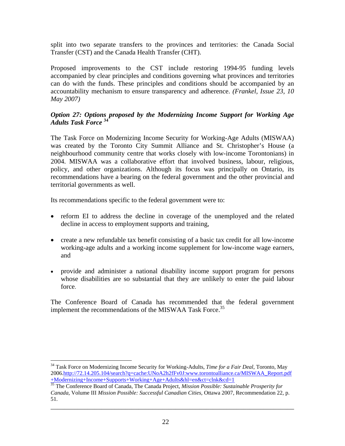split into two separate transfers to the provinces and territories: the Canada Social Transfer (CST) and the Canada Health Transfer (CHT).

Proposed improvements to the CST include restoring 1994-95 funding levels accompanied by clear principles and conditions governing what provinces and territories can do with the funds. These principles and conditions should be accompanied by an accountability mechanism to ensure transparency and adherence. *(Frankel, Issue 23, 10 May 2007)* 

### *Option 27: Options proposed by the Modernizing Income Support for Working Age Adults Task Force* **<sup>34</sup>**

The Task Force on Modernizing Income Security for Working-Age Adults (MISWAA) was created by the Toronto City Summit Alliance and St. Christopher's House (a neighbourhood community centre that works closely with low-income Torontonians) in 2004. MISWAA was a collaborative effort that involved business, labour, religious, policy, and other organizations. Although its focus was principally on Ontario, its recommendations have a bearing on the federal government and the other provincial and territorial governments as well.

Its recommendations specific to the federal government were to:

 $\overline{a}$ 

- reform EI to address the decline in coverage of the unemployed and the related decline in access to employment supports and training,
- create a new refundable tax benefit consisting of a basic tax credit for all low-income working-age adults and a working income supplement for low-income wage earners, and
- provide and administer a national disability income support program for persons whose disabilities are so substantial that they are unlikely to enter the paid labour force.

The Conference Board of Canada has recommended that the federal government implement the recommendations of the MISWAA Task Force.<sup>35</sup>

<sup>34</sup> Task Force on Modernizing Income Security for Working-Adults, *Time for a Fair Deal*, Toronto, May 2006.http://72.14.205.104/search?q=cache:UNoA2h2fFv0J:www.torontoalliance.ca/MISWAA\_Report.pdf +Modernizing+Income+Supports+Working+Age+Adults&hl=en&ct=clnk&cd=1 35 The Conference Board of Canada, The Canada Project, *Mission Possible: Sustainable Prosperity for* 

*Canada*, Volume III *Mission Possible: Successful Canadian Cities*, Ottawa 2007, Recommendation 22, p. 51.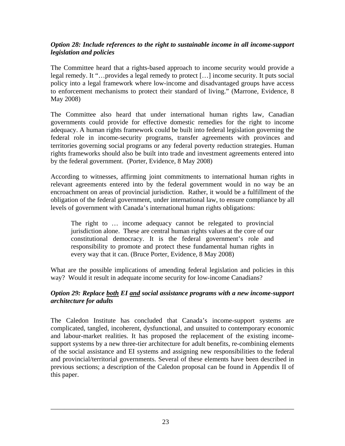### *Option 28: Include references to the right to sustainable income in all income-support legislation and policies*

The Committee heard that a rights-based approach to income security would provide a legal remedy. It "…provides a legal remedy to protect […] income security. It puts social policy into a legal framework where low-income and disadvantaged groups have access to enforcement mechanisms to protect their standard of living." (Marrone, Evidence, 8 May 2008)

The Committee also heard that under international human rights law, Canadian governments could provide for effective domestic remedies for the right to income adequacy. A human rights framework could be built into federal legislation governing the federal role in income-security programs, transfer agreements with provinces and territories governing social programs or any federal poverty reduction strategies. Human rights frameworks should also be built into trade and investment agreements entered into by the federal government. (Porter, Evidence, 8 May 2008)

According to witnesses, affirming joint commitments to international human rights in relevant agreements entered into by the federal government would in no way be an encroachment on areas of provincial jurisdiction. Rather, it would be a fulfillment of the obligation of the federal government, under international law, to ensure compliance by all levels of government with Canada's international human rights obligations:

The right to … income adequacy cannot be relegated to provincial jurisdiction alone. These are central human rights values at the core of our constitutional democracy. It is the federal government's role and responsibility to promote and protect these fundamental human rights in every way that it can. (Bruce Porter, Evidence, 8 May 2008)

What are the possible implications of amending federal legislation and policies in this way? Would it result in adequate income security for low-income Canadians?

# *Option 29: Replace both EI and social assistance programs with a new income-support architecture for adults*

The Caledon Institute has concluded that Canada's income-support systems are complicated, tangled, incoherent, dysfunctional, and unsuited to contemporary economic and labour-market realities. It has proposed the replacement of the existing incomesupport systems by a new three-tier architecture for adult benefits, re-combining elements of the social assistance and EI systems and assigning new responsibilities to the federal and provincial/territorial governments. Several of these elements have been described in previous sections; a description of the Caledon proposal can be found in Appendix II of this paper.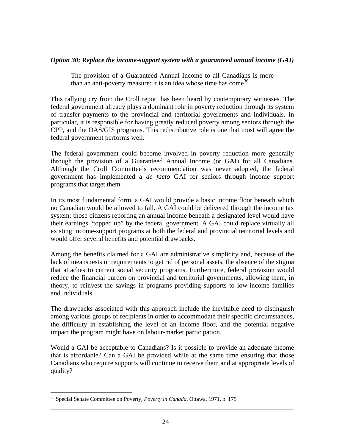#### *Option 30: Replace the income-support system with a guaranteed annual income (GAI)*

The provision of a Guaranteed Annual Income to all Canadians is more than an anti-poverty measure: it is an idea whose time has come  $36$ .

This rallying cry from the Croll report has been heard by contemporary witnesses. The federal government already plays a dominant role in poverty reduction through its system of transfer payments to the provincial and territorial governments and individuals. In particular, it is responsible for having greatly reduced poverty among seniors through the CPP, and the OAS/GIS programs. This redistributive role is one that most will agree the federal government performs well.

The federal government could become involved in poverty reduction more generally through the provision of a Guaranteed Annual Income (or GAI) for all Canadians. Although the Croll Committee's recommendation was never adopted, the federal government has implemented a *de facto* GAI for seniors through income support programs that target them.

In its most fundamental form, a GAI would provide a basic income floor beneath which no Canadian would be allowed to fall. A GAI could be delivered through the income tax system; those citizens reporting an annual income beneath a designated level would have their earnings "topped up" by the federal government. A GAI could replace virtually all existing income-support programs at both the federal and provincial territorial levels and would offer several benefits and potential drawbacks.

Among the benefits claimed for a GAI are administrative simplicity and, because of the lack of means tests or requirements to get rid of personal assets, the absence of the stigma that attaches to current social security programs. Furthermore, federal provision would reduce the financial burden on provincial and territorial governments, allowing them, in theory, to reinvest the savings in programs providing supports to low-income families and individuals.

The drawbacks associated with this approach include the inevitable need to distinguish among various groups of recipients in order to accommodate their specific circumstances, the difficulty in establishing the level of an income floor, and the potential negative impact the program might have on labour-market participation.

Would a GAI be acceptable to Canadians? Is it possible to provide an adequate income that is affordable? Can a GAI be provided while at the same time ensuring that those Canadians who require supports will continue to receive them and at appropriate levels of quality?

\_\_\_\_\_\_\_\_\_\_\_\_\_\_\_\_\_\_\_\_\_\_\_\_\_\_\_\_\_\_\_\_\_\_\_\_\_\_\_\_\_\_\_\_\_\_\_\_\_\_\_\_\_\_\_\_\_\_\_\_\_\_\_\_\_\_\_\_\_\_\_\_

 $\overline{a}$ 

<sup>36</sup> Special Senate Committee on Poverty, *Poverty in Canada*, Ottawa, 1971, p. 175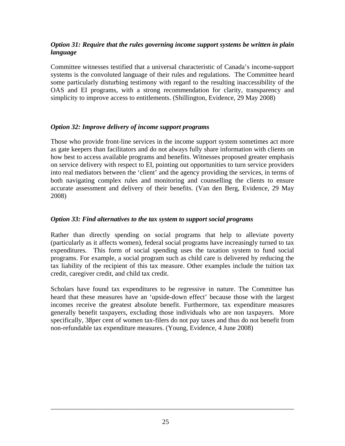### *Option 31: Require that the rules governing income support systems be written in plain language*

Committee witnesses testified that a universal characteristic of Canada's income-support systems is the convoluted language of their rules and regulations. The Committee heard some particularly disturbing testimony with regard to the resulting inaccessibility of the OAS and EI programs, with a strong recommendation for clarity, transparency and simplicity to improve access to entitlements. (Shillington, Evidence, 29 May 2008)

# *Option 32: Improve delivery of income support programs*

Those who provide front-line services in the income support system sometimes act more as gate keepers than facilitators and do not always fully share information with clients on how best to access available programs and benefits. Witnesses proposed greater emphasis on service delivery with respect to EI, pointing out opportunities to turn service providers into real mediators between the 'client' and the agency providing the services, in terms of both navigating complex rules and monitoring and counselling the clients to ensure accurate assessment and delivery of their benefits. (Van den Berg, Evidence, 29 May 2008)

### *Option 33: Find alternatives to the tax system to support social programs*

Rather than directly spending on social programs that help to alleviate poverty (particularly as it affects women), federal social programs have increasingly turned to tax expenditures. This form of social spending uses the taxation system to fund social programs. For example, a social program such as child care is delivered by reducing the tax liability of the recipient of this tax measure. Other examples include the tuition tax credit, caregiver credit, and child tax credit.

Scholars have found tax expenditures to be regressive in nature. The Committee has heard that these measures have an 'upside-down effect' because those with the largest incomes receive the greatest absolute benefit. Furthermore, tax expenditure measures generally benefit taxpayers, excluding those individuals who are non taxpayers. More specifically, 38per cent of women tax-filers do not pay taxes and thus do not benefit from non-refundable tax expenditure measures. (Young, Evidence, 4 June 2008)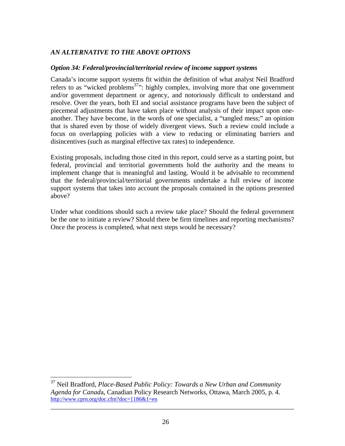# *AN ALTERNATIVE TO THE ABOVE OPTIONS*

#### *Option 34: Federal/provincial/territorial review of income support systems*

Canada's income support systems fit within the definition of what analyst Neil Bradford refers to as "wicked problems<sup>37</sup>": highly complex, involving more that one government and/or government department or agency, and notoriously difficult to understand and resolve. Over the years, both EI and social assistance programs have been the subject of piecemeal adjustments that have taken place without analysis of their impact upon oneanother. They have become, in the words of one specialist, a "tangled mess;" an opinion that is shared even by those of widely divergent views. Such a review could include a focus on overlapping policies with a view to reducing or eliminating barriers and disincentives (such as marginal effective tax rates) to independence.

Existing proposals, including those cited in this report, could serve as a starting point, but federal, provincial and territorial governments hold the authority and the means to implement change that is meaningful and lasting. Would it be advisable to recommend that the federal/provincial/territorial governments undertake a full review of income support systems that takes into account the proposals contained in the options presented above?

Under what conditions should such a review take place? Should the federal government be the one to initiate a review? Should there be firm timelines and reporting mechanisms? Once the process is completed, what next steps would be necessary?

<u>.</u>

<sup>37</sup> Neil Bradford, *Place-Based Public Policy: Towards a New Urban and Community Agenda for Canad*a, Canadian Policy Research Networks, Ottawa, March 2005, p. 4. http://www.cprn.org/doc.cfm?doc=1186&1=en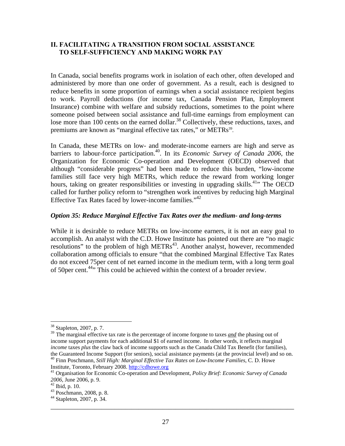### **II. FACILITATING A TRANSITION FROM SOCIAL ASSISTANCE TO SELF-SUFFICIENCY AND MAKING WORK PAY**

In Canada, social benefits programs work in isolation of each other, often developed and administered by more than one order of government. As a result, each is designed to reduce benefits in some proportion of earnings when a social assistance recipient begins to work. Payroll deductions (for income tax, Canada Pension Plan, Employment Insurance) combine with welfare and subsidy reductions, sometimes to the point where someone poised between social assistance and full-time earnings from employment can lose more than 100 cents on the earned dollar.<sup>38</sup> Collectively, these reductions, taxes, and premiums are known as "marginal effective tax rates," or METRs<sup>39</sup>.

In Canada, these METRs on low- and moderate-income earners are high and serve as barriers to labour-force participation.<sup>40</sup>. In its *Economic Survey of Canada 2006*, the Organization for Economic Co-operation and Development (OECD) observed that although "considerable progress" had been made to reduce this burden, "low-income families still face very high METRs, which reduce the reward from working longer hours, taking on greater responsibilities or investing in upgrading skills.<sup>41</sup> The OECD called for further policy reform to "strengthen work incentives by reducing high Marginal Effective Tax Rates faced by lower-income families."42

### *Option 35: Reduce Marginal Effective Tax Rates over the medium- and long-terms*

While it is desirable to reduce METRs on low-income earners, it is not an easy goal to accomplish. An analyst with the C.D. Howe Institute has pointed out there are "no magic resolutions" to the problem of high METRs<sup>43</sup>. Another analyst, however, recommended collaboration among officials to ensure "that the combined Marginal Effective Tax Rates do not exceed 75per cent of net earned income in the medium term, with a long term goal of 50per cent.<sup>44</sup><sup>,</sup> This could be achieved within the context of a broader review.

<sup>39</sup> The marginal effective tax rate is the percentage of income forgone to taxes *and* the phasing out of income support payments for each additional \$1 of earned income. In other words, it reflects marginal *income* taxes *plus* the claw back of income supports such as the Canada Child Tax Benefit (for families), the Guaranteed Income Support (for seniors), social assistance payments (at the provincial level) and so on. 40 Finn Poschmann, *Still High: Marginal Effective Tax Rates on Low-Income Families*, C. D. Howe Institute, Toron

 $\overline{a}$ 

<sup>38</sup> Stapleton, 2007, p. 7.

<sup>&</sup>lt;sup>41</sup> Organisation for Economic Co-operation and Development, *Policy Brief: Economic Survey of Canada <sup>2006</sup>*, June 2006, p. 9. 42 Ibid, p. 10.

<sup>43</sup> Poschmann, 2008, p. 8.

\_\_\_\_\_\_\_\_\_\_\_\_\_\_\_\_\_\_\_\_\_\_\_\_\_\_\_\_\_\_\_\_\_\_\_\_\_\_\_\_\_\_\_\_\_\_\_\_\_\_\_\_\_\_\_\_\_\_\_\_\_\_\_\_\_\_\_\_\_\_\_\_ 44 Stapleton, 2007, p. 34.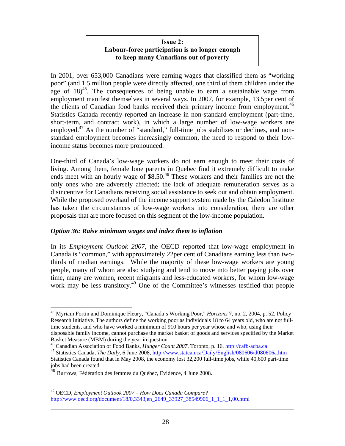# **Issue 2: Labour-force participation is no longer enough to keep many Canadians out of poverty**

In 2001, over 653,000 Canadians were earning wages that classified them as "working poor" (and 1.5 million people were directly affected, one third of them children under the age of  $18<sup>45</sup>$ . The consequences of being unable to earn a sustainable wage from employment manifest themselves in several ways. In 2007, for example, 13.5per cent of the clients of Canadian food banks received their primary income from employment.<sup>46</sup> Statistics Canada recently reported an increase in non-standard employment (part-time, short-term, and contract work), in which a large number of low-wage workers are employed.<sup>47</sup> As the number of "standard," full-time jobs stabilizes or declines, and nonstandard employment becomes increasingly common, the need to respond to their lowincome status becomes more pronounced.

One-third of Canada's low-wage workers do not earn enough to meet their costs of living. Among them, female lone parents in Quebec find it extremely difficult to make ends meet with an hourly wage of \$8.50.<sup>48</sup> These workers and their families are not the only ones who are adversely affected; the lack of adequate remuneration serves as a disincentive for Canadians receiving social assistance to seek out and obtain employment. While the proposed overhaul of the income support system made by the Caledon Institute has taken the circumstances of low-wage workers into consideration, there are other proposals that are more focused on this segment of the low-income population.

### *Option 36: Raise minimum wages and index them to inflation*

In its *Employment Outlook 2007*, the OECD reported that low-wage employment in Canada is "common," with approximately 22per cent of Canadians earning less than twothirds of median earnings. While the majority of these low-wage workers are young people, many of whom are also studying and tend to move into better paying jobs over time, many are women, recent migrants and less-educated workers, for whom low-wage work may be less transitory.<sup>49</sup> One of the Committee's witnesses testified that people

 $\overline{a}$ 

<sup>45</sup> Myriam Fortin and Dominique Fleury, "Canada's Working Poor," *Horizons* 7, no. 2, 2004, p. 52, Policy Research Initiative. The authors define the working poor as individuals 18 to 64 years old, who are not fulltime students, and who have worked a minimum of 910 hours per year whose and who, using their disposable family income, cannot purchase the market basket of goods and services specified by the Market

Basket Measure (MBM) during the year in question.<br><sup>46</sup> Canadian Association of Food Banks, *Hunger Count 2007*, Toronto, p. 16. http://cafb-acba.ca<br><sup>47</sup> Statistics Canada, *The Daily*, 6 June 2008, http://www.statcan.ca/Da

Statistics Canada found that in May 2008, the economy lost 32,200 full-time jobs, while 40,600 part-time jobs had been created.

 $^{48}$  Burrows, Fédération des femmes du Québec, Evidence, 4 June 2008.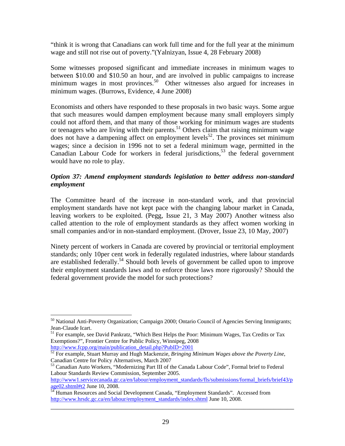"think it is wrong that Canadians can work full time and for the full year at the minimum wage and still not rise out of poverty."(Yalnizyan, Issue 4, 28 February 2008)

Some witnesses proposed significant and immediate increases in minimum wages to between \$10.00 and \$10.50 an hour, and are involved in public campaigns to increase minimum wages in most provinces.<sup>50</sup> Other witnesses also argued for increases in minimum wages. (Burrows, Evidence, 4 June 2008)

Economists and others have responded to these proposals in two basic ways. Some argue that such measures would dampen employment because many small employers simply could not afford them, and that many of those working for minimum wages are students or teenagers who are living with their parents.<sup>51</sup> Others claim that raising minimum wage does not have a dampening affect on employment levels<sup>52</sup>. The provinces set minimum wages; since a decision in 1996 not to set a federal minimum wage, permitted in the Canadian Labour Code for workers in federal jurisdictions,<sup>53</sup> the federal government would have no role to play.

### *Option 37: Amend employment standards legislation to better address non-standard employment*

The Committee heard of the increase in non-standard work, and that provincial employment standards have not kept pace with the changing labour market in Canada, leaving workers to be exploited. (Pegg, Issue 21, 3 May 2007) Another witness also called attention to the role of employment standards as they affect women working in small companies and/or in non-standard employment. (Drover, Issue 23, 10 May, 2007)

Ninety percent of workers in Canada are covered by provincial or territorial employment standards; only 10per cent work in federally regulated industries, where labour standards are established federally.54 Should both levels of government be called upon to improve their employment standards laws and to enforce those laws more rigorously? Should the federal government provide the model for such protections?

 $\overline{a}$ <sup>50</sup> National Anti-Poverty Organization; Campaign 2000; Ontario Council of Agencies Serving Immigrants; Jean-Claude Icart.

<sup>&</sup>lt;sup>51</sup> For example, see David Pankratz, "Which Best Helps the Poor: Minimum Wages, Tax Credits or Tax Exemptions?", Frontier Centre for Public Policy, Winnipeg, 2008<br>http://www.fcpp.org/main/publication\_detail.php?PubID=2001

<sup>&</sup>lt;sup>52</sup> For example, Stuart Murray and Hugh Mackenzie, *Bringing Minimum Wages above the Poverty Line*, Canadian Centre for Policy Alternatives, March 2007

<sup>&</sup>lt;sup>53</sup> Canadian Auto Workers, "Modernizing Part III of the Canada Labour Code", Formal brief to Federal Labour Standards Review Commission, September 2005.

http://www1.servicecanada.gc.ca/en/labour/employment\_standards/fls/submissions/formal\_briefs/brief43/p age02.shtml#t2 June 10, 2008. 54 Human Resources and Social Development Canada, "Employment Standards". Accessed from

http://www.hrsdc.gc.ca/en/labour/employment\_standards/index.shtml June 10, 2008.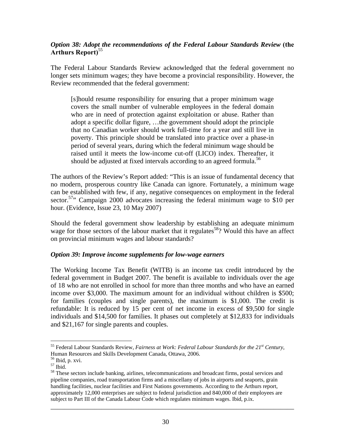# *Option 38: Adopt the recommendations of the Federal Labour Standards Review* **(the**  Arthurs Report)<sup>55</sup>

The Federal Labour Standards Review acknowledged that the federal government no longer sets minimum wages; they have become a provincial responsibility. However, the Review recommended that the federal government:

[s]hould resume responsibility for ensuring that a proper minimum wage covers the small number of vulnerable employees in the federal domain who are in need of protection against exploitation or abuse. Rather than adopt a specific dollar figure, …the government should adopt the principle that no Canadian worker should work full-time for a year and still live in poverty. This principle should be translated into practice over a phase-in period of several years, during which the federal minimum wage should be raised until it meets the low-income cut-off (LICO) index. Thereafter, it should be adjusted at fixed intervals according to an agreed formula.<sup>56</sup>

The authors of the Review's Report added: "This is an issue of fundamental decency that no modern, prosperous country like Canada can ignore. Fortunately, a minimum wage can be established with few, if any, negative consequences on employment in the federal sector.<sup>57</sup>" Campaign 2000 advocates increasing the federal minimum wage to \$10 per hour. (Evidence, Issue 23, 10 May 2007)

Should the federal government show leadership by establishing an adequate minimum wage for those sectors of the labour market that it regulates<sup>58</sup>? Would this have an affect on provincial minimum wages and labour standards?

### *Option 39: Improve income supplements for low-wage earners*

The Working Income Tax Benefit (WITB) is an income tax credit introduced by the federal government in Budget 2007. The benefit is available to individuals over the age of 18 who are not enrolled in school for more than three months and who have an earned income over \$3,000. The maximum amount for an individual without children is \$500; for families (couples and single parents), the maximum is \$1,000. The credit is refundable: It is reduced by 15 per cent of net income in excess of \$9,500 for single individuals and \$14,500 for families. It phases out completely at \$12,833 for individuals and \$21,167 for single parents and couples.

 $\overline{a}$ 55 Federal Labour Standards Review, *Fairness at Work: Federal Labour Standards for the 21st Century*, Human Resources and Skills Development Canada, Ottawa, 2006.

<sup>56</sup> Ibid, p. xvi.

 $^{\rm 57}$  Ibid.

<sup>&</sup>lt;sup>58</sup> These sectors include banking, airlines, telecommunications and broadcast firms, postal services and pipeline companies, road transportation firms and a miscellany of jobs in airports and seaports, grain handling facilities, nuclear facilities and First Nations governments. According to the Arthurs report, approximately 12,000 enterprises are subject to federal jurisdiction and 840,000 of their employees are subject to Part III of the Canada Labour Code which regulates minimum wages. Ibid, p.ix.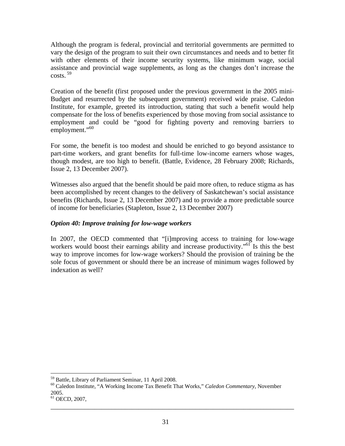Although the program is federal, provincial and territorial governments are permitted to vary the design of the program to suit their own circumstances and needs and to better fit with other elements of their income security systems, like minimum wage, social assistance and provincial wage supplements, as long as the changes don't increase the  $costs.$ <sup>59</sup>

Creation of the benefit (first proposed under the previous government in the 2005 mini-Budget and resurrected by the subsequent government) received wide praise. Caledon Institute, for example, greeted its introduction, stating that such a benefit would help compensate for the loss of benefits experienced by those moving from social assistance to employment and could be "good for fighting poverty and removing barriers to employment."<sup>60</sup>

For some, the benefit is too modest and should be enriched to go beyond assistance to part-time workers, and grant benefits for full-time low-income earners whose wages, though modest, are too high to benefit. (Battle, Evidence, 28 February 2008; Richards, Issue 2, 13 December 2007).

Witnesses also argued that the benefit should be paid more often, to reduce stigma as has been accomplished by recent changes to the delivery of Saskatchewan's social assistance benefits (Richards, Issue 2, 13 December 2007) and to provide a more predictable source of income for beneficiaries (Stapleton, Issue 2, 13 December 2007)

## *Option 40: Improve training for low-wage workers*

In 2007, the OECD commented that "[i]mproving access to training for low-wage workers would boost their earnings ability and increase productivity."<sup>61</sup> Is this the best way to improve incomes for low-wage workers? Should the provision of training be the sole focus of government or should there be an increase of minimum wages followed by indexation as well?

\_\_\_\_\_\_\_\_\_\_\_\_\_\_\_\_\_\_\_\_\_\_\_\_\_\_\_\_\_\_\_\_\_\_\_\_\_\_\_\_\_\_\_\_\_\_\_\_\_\_\_\_\_\_\_\_\_\_\_\_\_\_\_\_\_\_\_\_\_\_\_\_

1

<sup>&</sup>lt;sup>59</sup> Battle, Library of Parliament Seminar, 11 April 2008.<br><sup>60</sup> Caledon Institute, "A Working Income Tax Benefit That Works," *Caledon Commentary*, November 2005.

<sup>61</sup> OECD, 2007,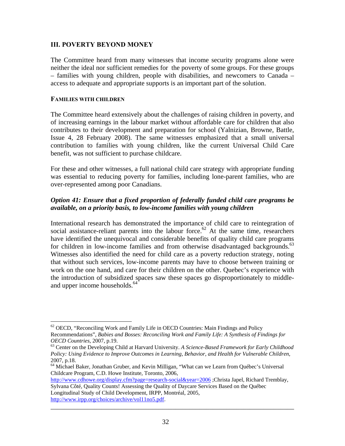#### **III. POVERTY BEYOND MONEY**

The Committee heard from many witnesses that income security programs alone were neither the ideal nor sufficient remedies for the poverty of some groups. For these groups – families with young children, people with disabilities, and newcomers to Canada – access to adequate and appropriate supports is an important part of the solution.

#### **FAMILIES WITH CHILDREN**

 $\overline{a}$ 

The Committee heard extensively about the challenges of raising children in poverty, and of increasing earnings in the labour market without affordable care for children that also contributes to their development and preparation for school (Yalnizian, Browne, Battle, Issue 4, 28 February 2008). The same witnesses emphasized that a small universal contribution to families with young children, like the current Universal Child Care benefit, was not sufficient to purchase childcare.

For these and other witnesses, a full national child care strategy with appropriate funding was essential to reducing poverty for families, including lone-parent families, who are over-represented among poor Canadians.

## *Option 41: Ensure that a fixed proportion of federally funded child care programs be available, on a priority basis, to low-income families with young children*

International research has demonstrated the importance of child care to reintegration of social assistance-reliant parents into the labour force.<sup>62</sup> At the same time, researchers have identified the unequivocal and considerable benefits of quality child care programs for children in low-income families and from otherwise disadvantaged backgrounds.<sup>63</sup> Witnesses also identified the need for child care as a poverty reduction strategy, noting that without such services, low-income parents may have to choose between training or work on the one hand, and care for their children on the other. Quebec's experience with the introduction of subsidized spaces saw these spaces go disproportionately to middleand upper income households.<sup>64</sup>

 $62$  OECD, "Reconciling Work and Family Life in OECD Countries: Main Findings and Policy Recommendations", *Babies and Bosses: Reconciling Work and Family Life: A Synthesis of Findings for OECD Countries*, 2007, p.19.<br><sup>63</sup> Center on the Developing Child at Harvard University. *A Science-Based Framework for Early Childhood* 

*Policy: Using Evidence to Improve Outcomes in Learning, Behavior, and Health for Vulnerable Children*, 2007, p.18.

<sup>&</sup>lt;sup>64</sup> Michael Baker, Jonathan Gruber, and Kevin Milligan, "What can we Learn from Québec's Universal Childcare Program, C.D. Howe Institute, Toronto, 2006,

http://www.cdhowe.org/display.cfm?page=research-social&year=2006 ;Christa Japel, Richard Tremblay, Sylvana Côté, Quality Counts! Assessing the Quality of Daycare Services Based on the Québec Longitudinal Study of Child Development, IRPP, Montréal, 2005, http://www.irpp.org/choices/archive/vol11no5.pdf.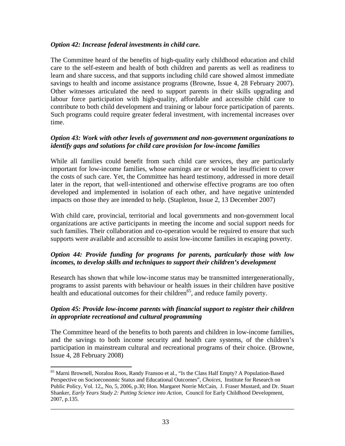#### *Option 42: Increase federal investments in child care.*

The Committee heard of the benefits of high-quality early childhood education and child care to the self-esteem and health of both children and parents as well as readiness to learn and share success, and that supports including child care showed almost immediate savings to health and income assistance programs (Browne, Issue 4, 28 February 2007). Other witnesses articulated the need to support parents in their skills upgrading and labour force participation with high-quality, affordable and accessible child care to contribute to both child development and training or labour force participation of parents. Such programs could require greater federal investment, with incremental increases over time.

#### *Option 43: Work with other levels of government and non-government organizations to identify gaps and solutions for child care provision for low-income families*

While all families could benefit from such child care services, they are particularly important for low-income families, whose earnings are or would be insufficient to cover the costs of such care. Yet, the Committee has heard testimony, addressed in more detail later in the report, that well-intentioned and otherwise effective programs are too often developed and implemented in isolation of each other, and have negative unintended impacts on those they are intended to help. (Stapleton, Issue 2, 13 December 2007)

With child care, provincial, territorial and local governments and non-government local organizations are active participants in meeting the income and social support needs for such families. Their collaboration and co-operation would be required to ensure that such supports were available and accessible to assist low-income families in escaping poverty.

## *Option 44: Provide funding for programs for parents, particularly those with low incomes, to develop skills and techniques to support their children's development*

Research has shown that while low-income status may be transmitted intergenerationally, programs to assist parents with behaviour or health issues in their children have positive health and educational outcomes for their children<sup>65</sup>, and reduce family poverty.

## *Option 45: Provide low-income parents with financial support to register their children in appropriate recreational and cultural programming*

The Committee heard of the benefits to both parents and children in low-income families, and the savings to both income security and health care systems, of the children's participation in mainstream cultural and recreational programs of their choice. (Browne, Issue 4, 28 February 2008)

 $\overline{a}$ <sup>65</sup> Marni Brownell, Noralou Roos, Randy Fransoo et al., "Is the Class Half Empty? A Population-Based Perspective on Socioeconomic Status and Educational Outcomes", *Choices*, Institute for Research on Public Policy, Vol. 12,, No, 5, 2006, p.30; Hon. Margaret Norrie McCain, J. Fraser Mustard, and Dr. Stuart Shanker, *Early Years Study 2: Putting Science into Action*, Council for Early Childhood Development, 2007, p.135.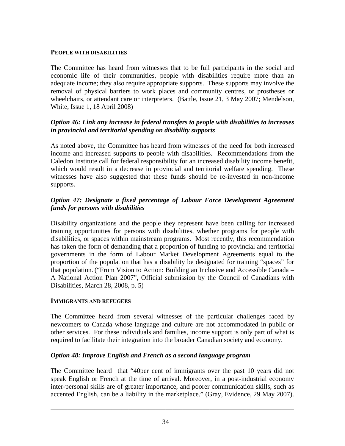#### **PEOPLE WITH DISABILITIES**

The Committee has heard from witnesses that to be full participants in the social and economic life of their communities, people with disabilities require more than an adequate income; they also require appropriate supports. These supports may involve the removal of physical barriers to work places and community centres, or prostheses or wheelchairs, or attendant care or interpreters. (Battle, Issue 21, 3 May 2007; Mendelson, White, Issue 1, 18 April 2008)

## *Option 46: Link any increase in federal transfers to people with disabilities to increases in provincial and territorial spending on disability supports*

As noted above, the Committee has heard from witnesses of the need for both increased income and increased supports to people with disabilities. Recommendations from the Caledon Institute call for federal responsibility for an increased disability income benefit, which would result in a decrease in provincial and territorial welfare spending. These witnesses have also suggested that these funds should be re-invested in non-income supports.

## *Option 47: Designate a fixed percentage of Labour Force Development Agreement funds for persons with disabilities*

Disability organizations and the people they represent have been calling for increased training opportunities for persons with disabilities, whether programs for people with disabilities, or spaces within mainstream programs. Most recently, this recommendation has taken the form of demanding that a proportion of funding to provincial and territorial governments in the form of Labour Market Development Agreements equal to the proportion of the population that has a disability be designated for training "spaces" for that population. ("From Vision to Action: Building an Inclusive and Accessible Canada – A National Action Plan 2007", Official submission by the Council of Canadians with Disabilities, March 28, 2008, p. 5)

#### **IMMIGRANTS AND REFUGEES**

The Committee heard from several witnesses of the particular challenges faced by newcomers to Canada whose language and culture are not accommodated in public or other services. For these individuals and families, income support is only part of what is required to facilitate their integration into the broader Canadian society and economy.

## *Option 48: Improve English and French as a second language program*

The Committee heard that "40per cent of immigrants over the past 10 years did not speak English or French at the time of arrival. Moreover, in a post-industrial economy inter-personal skills are of greater importance, and poorer communication skills, such as accented English, can be a liability in the marketplace." (Gray, Evidence, 29 May 2007).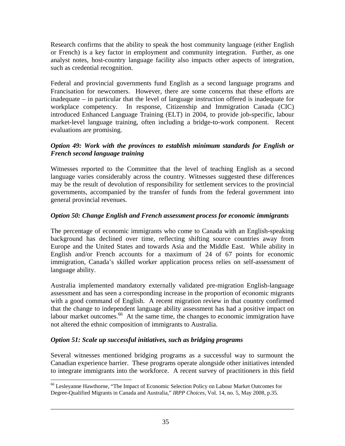Research confirms that the ability to speak the host community language (either English or French) is a key factor in employment and community integration. Further, as one analyst notes, host-country language facility also impacts other aspects of integration, such as credential recognition.

Federal and provincial governments fund English as a second language programs and Francisation for newcomers. However, there are some concerns that these efforts are inadequate – in particular that the level of language instruction offered is inadequate for workplace competency. In response, Citizenship and Immigration Canada (CIC) introduced Enhanced Language Training (ELT) in 2004, to provide job-specific, labour market-level language training, often including a bridge-to-work component. Recent evaluations are promising.

## *Option 49: Work with the provinces to establish minimum standards for English or French second language training*

Witnesses reported to the Committee that the level of teaching English as a second language varies considerably across the country. Witnesses suggested these differences may be the result of devolution of responsibility for settlement services to the provincial governments, accompanied by the transfer of funds from the federal government into general provincial revenues.

# *Option 50: Change English and French assessment process for economic immigrants*

The percentage of economic immigrants who come to Canada with an English-speaking background has declined over time, reflecting shifting source countries away from Europe and the United States and towards Asia and the Middle East. While ability in English and/or French accounts for a maximum of 24 of 67 points for economic immigration, Canada's skilled worker application process relies on self-assessment of language ability.

Australia implemented mandatory externally validated pre-migration English-language assessment and has seen a corresponding increase in the proportion of economic migrants with a good command of English. A recent migration review in that country confirmed that the change to independent language ability assessment has had a positive impact on labour market outcomes.<sup>66</sup> At the same time, the changes to economic immigration have not altered the ethnic composition of immigrants to Australia.

# *Option 51: Scale up successful initiatives, such as bridging programs*

Several witnesses mentioned bridging programs as a successful way to surmount the Canadian experience barrier. These programs operate alongside other initiatives intended to integrate immigrants into the workforce. A recent survey of practitioners in this field

 $\overline{a}$ 66 Lesleyanne Hawthorne, "The Impact of Economic Selection Policy on Labour Market Outcomes for Degree-Qualified Migrants in Canada and Australia," *IRPP Choices*, Vol. 14, no. 5, May 2008, p.35.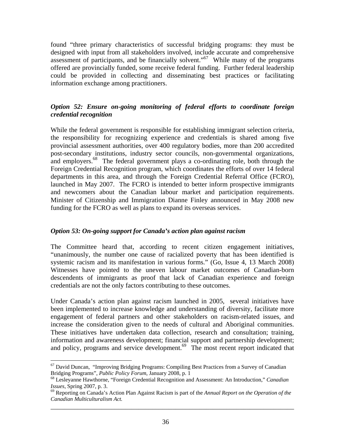found "three primary characteristics of successful bridging programs: they must be designed with input from all stakeholders involved, include accurate and comprehensive assessment of participants, and be financially solvent.<sup> $0.67$ </sup> While many of the programs offered are provincially funded, some receive federal funding. Further federal leadership could be provided in collecting and disseminating best practices or facilitating information exchange among practitioners.

## *Option 52: Ensure on-going monitoring of federal efforts to coordinate foreign credential recognition*

While the federal government is responsible for establishing immigrant selection criteria, the responsibility for recognizing experience and credentials is shared among five provincial assessment authorities, over 400 regulatory bodies, more than 200 accredited post-secondary institutions, industry sector councils, non-governmental organizations, and employers.<sup>68</sup> The federal government plays a co-ordinating role, both through the Foreign Credential Recognition program, which coordinates the efforts of over 14 federal departments in this area, and through the Foreign Credential Referral Office (FCRO), launched in May 2007. The FCRO is intended to better inform prospective immigrants and newcomers about the Canadian labour market and participation requirements. Minister of Citizenship and Immigration Dianne Finley announced in May 2008 new funding for the FCRO as well as plans to expand its overseas services.

## *Option 53: On-going support for Canada's action plan against racism*

The Committee heard that, according to recent citizen engagement initiatives, "unanimously, the number one cause of racialized poverty that has been identified is systemic racism and its manifestation in various forms." (Go, Issue 4, 13 March 2008) Witnesses have pointed to the uneven labour market outcomes of Canadian-born descendents of immigrants as proof that lack of Canadian experience and foreign credentials are not the only factors contributing to these outcomes.

Under Canada's action plan against racism launched in 2005, several initiatives have been implemented to increase knowledge and understanding of diversity, facilitate more engagement of federal partners and other stakeholders on racism-related issues, and increase the consideration given to the needs of cultural and Aboriginal communities. These initiatives have undertaken data collection, research and consultation; training, information and awareness development; financial support and partnership development; and policy, programs and service development.<sup>69</sup> The most recent report indicated that

 $\overline{a}$  $67$  David Duncan, "Improving Bridging Programs: Compiling Best Practices from a Survey of Canadian Bridging Programs", *Public Policy Forum*, January 2008, p. 1

<sup>&</sup>lt;sup>68</sup> Lesleyanne Hawthorne, "Foreign Credential Recognition and Assessment: An Introduction," *Canadian Issues*, Spring 2007, p. 3.<br><sup>69</sup> Reporting on Canada's Action Plan Against Racism is part of the *Annual Report on the Operation of the* 

\_\_\_\_\_\_\_\_\_\_\_\_\_\_\_\_\_\_\_\_\_\_\_\_\_\_\_\_\_\_\_\_\_\_\_\_\_\_\_\_\_\_\_\_\_\_\_\_\_\_\_\_\_\_\_\_\_\_\_\_\_\_\_\_\_\_\_\_\_\_\_\_ *Canadian Multiculturalism Act.*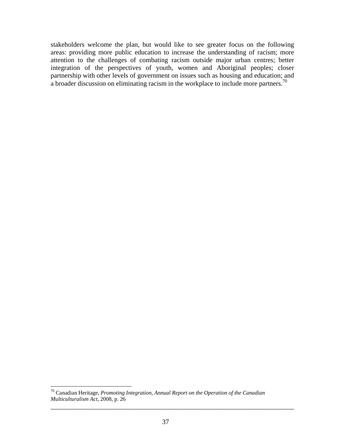stakeholders welcome the plan, but would like to see greater focus on the following areas: providing more public education to increase the understanding of racism; more attention to the challenges of combating racism outside major urban centres; better integration of the perspectives of youth, women and Aboriginal peoples; closer partnership with other levels of government on issues such as housing and education; and a broader discussion on eliminating racism in the workplace to include more partners.<sup>70</sup>

<u>.</u>

<sup>70</sup> Canadian Heritage, *Promoting Integration*, *Annual Report on the Operation of the Canadian Multiculturalism Act*, 2008, p. 26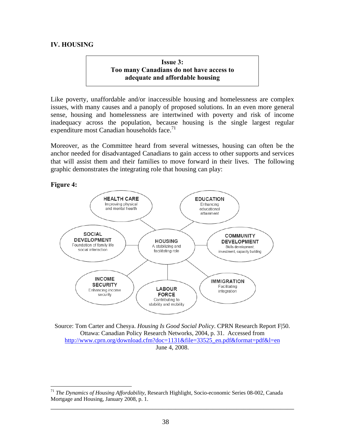## **IV. HOUSING**

**Issue 3: Too many Canadians do not have access to adequate and affordable housing** 

Like poverty, unaffordable and/or inaccessible housing and homelessness are complex issues, with many causes and a panoply of proposed solutions. In an even more general sense, housing and homelessness are intertwined with poverty and risk of income inadequacy across the population, because housing is the single largest regular expenditure most Canadian households face.<sup>71</sup>

Moreover, as the Committee heard from several witnesses, housing can often be the anchor needed for disadvantaged Canadians to gain access to other supports and services that will assist them and their families to move forward in their lives. The following graphic demonstrates the integrating role that housing can play:



Source: Tom Carter and Chesya. *Housing Is Good Social Policy*. CPRN Research Report F|50. Ottawa: Canadian Policy Research Networks, 2004, p. 31. Accessed from http://www.cprn.org/download.cfm?doc=1131&file=33525\_en.pdf&format=pdf&l=en June 4, 2008.

 $\overline{a}$ <sup>71</sup> *The Dynamics of Housing Affordability*, Research Highlight, Socio-economic Series 08-002, Canada Mortgage and Housing, January 2008, p. 1.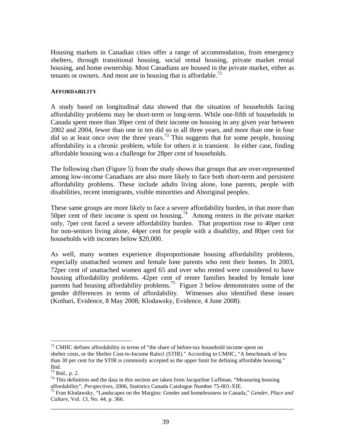Housing markets in Canadian cities offer a range of accommodation, from emergency shelters, through transitional housing, social rental housing, private market rental housing, and home ownership. Most Canadians are housed in the private market, either as tenants or owners. And most are in housing that is affordable.<sup>72</sup>

#### **AFFORDABILITY**

A study based on longitudinal data showed that the situation of households facing affordability problems may be short-term or long-term. While one-fifth of households in Canada spent more than 30per cent of their income on housing in any given year between 2002 and 2004, fewer than one in ten did so in all three years, and more than one in four did so at least once over the three years.<sup>73</sup> This suggests that for some people, housing affordability is a chronic problem, while for others it is transient. In either case, finding affordable housing was a challenge for 28per cent of households.

The following chart (Figure 5) from the study shows that groups that are over-represented among low-income Canadians are also more likely to face both short-term and persistent affordability problems. These include adults living alone, lone parents, people with disabilities, recent immigrants, visible minorities and Aboriginal peoples.

These same groups are more likely to face a severe affordability burden, in that more than 50per cent of their income is spent on housing.<sup>74</sup> Among renters in the private market only, 7per cent faced a severe affordability burden. That proportion rose to 40per cent for non-seniors living alone, 44per cent for people with a disability, and 80per cent for households with incomes below \$20,000.

As well, many women experience disproportionate housing affordability problems, especially unattached women and female lone parents who rent their homes. In 2003, 72per cent of unattached women aged 65 and over who rented were considered to have housing affordability problems. 42per cent of renter families headed by female lone parents had housing affordability problems.<sup>75</sup> Figure 3 below demonstrates some of the gender differences in terms of affordability. Witnesses also identified these issues (Kothari, Evidence, 8 May 2008; Klodawsky, Evidence, 4 June 2008).

 $\overline{a}$  $72$  CMHC defines affordability in terms of "the share of before-tax household income spent on shelter costs, or the Shelter Cost-to-Income Ratio1 (STIR)." According to CMHC, "A benchmark of less than 30 per cent for the STIR is commonly accepted as the upper limit for defining affordable housing." Ibid.

<sup>73</sup> Ibid., p. 2.

 $^{74}$  This definition and the data in this section are taken from Jacqueline Luffman, "Measuring housing affordability", *Perspectives*, 2006, Statistics Canada Catalogue Number 75-001-XIE.

\_\_\_\_\_\_\_\_\_\_\_\_\_\_\_\_\_\_\_\_\_\_\_\_\_\_\_\_\_\_\_\_\_\_\_\_\_\_\_\_\_\_\_\_\_\_\_\_\_\_\_\_\_\_\_\_\_\_\_\_\_\_\_\_\_\_\_\_\_\_\_\_ <sup>75</sup> Fran Klodawsky, "Landscapes on the Margins: Gender and homelessness in Canada," *Gender, Place and Culture*, Vol. 13, No. 44, p. 366.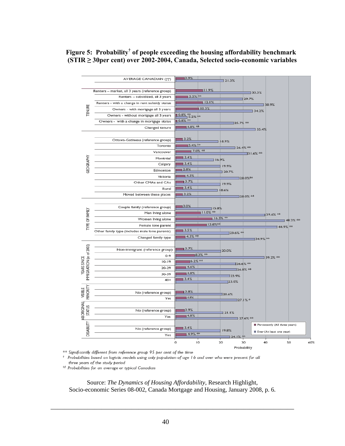## Figure 5: Probability<sup>†</sup> of people exceeding the housing affordability benchmark  **(STIR ≥ 30per cent) over 2002-2004, Canada, Selected socio-economic variables**



\*\* Significantly different from reference group 95 per cent of the time

Probabilities based on logistic models using only population of age 16 and over who were present for all three years of the study period

# Probabilities for an average or typical Canadian

Source: *The Dynamics of Housing Affordability*, Research Highlight, Socio-economic Series 08-002, Canada Mortgage and Housing, January 2008, p. 6.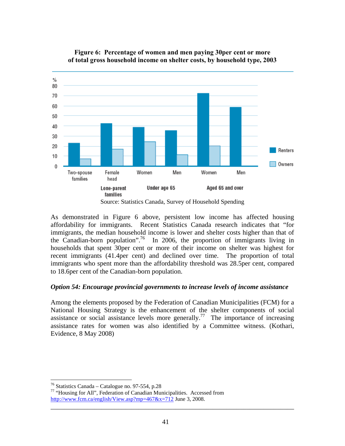

## **Figure 6: Percentage of women and men paying 30per cent or more of total gross household income on shelter costs, by household type, 2003**

Source: Statistics Canada, Survey of Household Spending

As demonstrated in Figure 6 above, persistent low income has affected housing affordability for immigrants. Recent Statistics Canada research indicates that "for immigrants, the median household income is lower and shelter costs higher than that of the Canadian-born population".<sup>76</sup> In 2006, the proportion of immigrants living in households that spent 30per cent or more of their income on shelter was highest for recent immigrants (41.4per cent) and declined over time. The proportion of total immigrants who spent more than the affordability threshold was 28.5per cent, compared to 18.6per cent of the Canadian-born population.

## *Option 54: Encourage provincial governments to increase levels of income assistance*

Among the elements proposed by the Federation of Canadian Municipalities (FCM) for a National Housing Strategy is the enhancement of the shelter components of social assistance or social assistance levels more generally.<sup>77</sup> The importance of increasing assistance rates for women was also identified by a Committee witness. (Kothari, Evidence, 8 May 2008)

 $\overline{a}$ 

 $76$  Statistics Canada – Catalogue no. 97-554, p.28

<sup>77 &</sup>quot;Housing for All", Federation of Canadian Municipalities. Accessed from http://www.fcm.ca/english/View.asp?mp=467&x=712 June 3, 2008.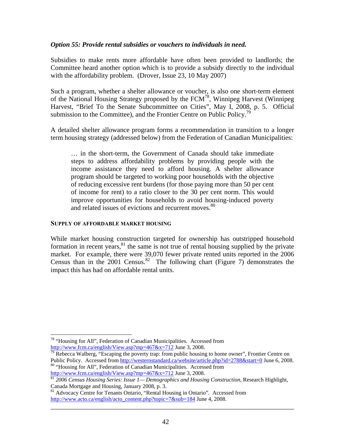#### *Option 55: Provide rental subsidies or vouchers to individuals in need.*

Subsidies to make rents more affordable have often been provided to landlords; the Committee heard another option which is to provide a subsidy directly to the individual with the affordability problem. (Drover, Issue 23, 10 May 2007)

Such a program, whether a shelter allowance or voucher, is also one short-term element of the National Housing Strategy proposed by the FCM78, Winnipeg Harvest (Winnipeg Harvest, "Brief To the Senate Subcommittee on Cities", May I, 2008, p. 5. Official submission to the Committee), and the Frontier Centre on Public Policy.<sup>79</sup>

A detailed shelter allowance program forms a recommendation in transition to a longer term housing strategy (addressed below) from the Federation of Canadian Municipalities:

… in the short-term, the Government of Canada should take immediate steps to address affordability problems by providing people with the income assistance they need to afford housing. A shelter allowance program should be targeted to working poor households with the objective of reducing excessive rent burdens (for those paying more than 50 per cent of income for rent) to a ratio closer to the 30 per cent norm. This would improve opportunities for households to avoid housing-induced poverty and related issues of evictions and recurrent moves.<sup>80</sup>

#### **SUPPLY OF AFFORDABLE MARKET HOUSING**

 $\overline{a}$ 

While market housing construction targeted for ownership has outstripped household formation in recent years, $81$  the same is not true of rental housing supplied by the private market. For example, there were 39,070 fewer private rented units reported in the 2006 Census than in the 2001 Census.<sup>82</sup> The following chart (Figure 7) demonstrates the impact this has had on affordable rental units.

<sup>78 &</sup>quot;Housing for All", Federation of Canadian Municipalities. Accessed from

http://www.fcm.ca/english/View.asp?mp=467&x=712 June 3, 2008.<br><sup>79</sup> Rebecca Walberg, "Escaping the poverty trap: from public housing to home owner", Frontier Centre on Public Policy. Accessed from http://westernstandard.ca/website/article.php?id=2788&start=0 June 6, 2008.<br><sup>80</sup> "Housing for All", Federation of Canadian Municipalities. Accessed from

http://www.fcm.ca/english/View.asp?mp=467&x=712 June 3, 2008. 81 *2006 Census Housing Series: Issue 1— Demographics and Housing Construction*, Research Highlight, Canada Mortgage and Housing, January 2008, p. 3.

<sup>&</sup>lt;sup>82</sup> Advocacy Centre for Tenants Ontario, "Rental Housing in Ontario". Accessed from http://www.acto.ca/english/acto\_content.php?topic=7&sub=184 June 4, 2008.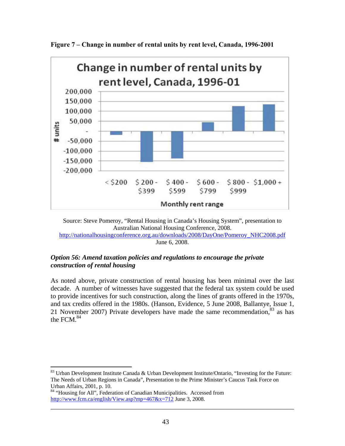

**Figure 7 – Change in number of rental units by rent level, Canada, 1996-2001** 



#### *Option 56: Amend taxation policies and regulations to encourage the private construction of rental housing*

As noted above, private construction of rental housing has been minimal over the last decade. A number of witnesses have suggested that the federal tax system could be used to provide incentives for such construction, along the lines of grants offered in the 1970s, and tax credits offered in the 1980s. (Hanson, Evidence, 5 June 2008, Ballantye, Issue 1, 21 November 2007) Private developers have made the same recommendation,  $83$  as has the FCM. $84$ 

 $\overline{a}$  $83$  Urban Development Institute Canada & Urban Development Institute/Ontario, "Investing for the Future: The Needs of Urban Regions in Canada", Presentation to the Prime Minister's Caucus Task Force on Urban Affairs, 2001, p. 10.

<sup>84 &</sup>quot;Housing for All", Federation of Canadian Municipalities. Accessed from http://www.fcm.ca/english/View.asp?mp=467&x=712 June 3, 2008.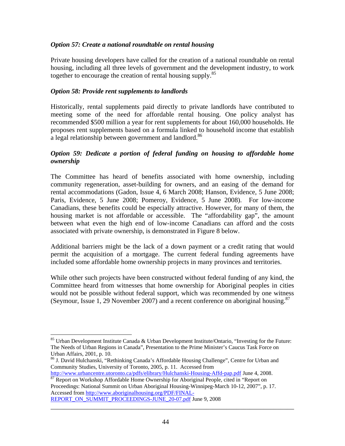### *Option 57: Create a national roundtable on rental housing*

Private housing developers have called for the creation of a national roundtable on rental housing, including all three levels of government and the development industry, to work together to encourage the creation of rental housing supply.<sup>85</sup>

#### *Option 58: Provide rent supplements to landlords*

Historically, rental supplements paid directly to private landlords have contributed to meeting some of the need for affordable rental housing. One policy analyst has recommended \$500 million a year for rent supplements for about 160,000 households. He proposes rent supplements based on a formula linked to household income that establish a legal relationship between government and landlord.<sup>86</sup>

#### *Option 59: Dedicate a portion of federal funding on housing to affordable home ownership*

The Committee has heard of benefits associated with home ownership, including community regeneration, asset-building for owners, and an easing of the demand for rental accommodations (Gadon, Issue 4, 6 March 2008; Hanson, Evidence, 5 June 2008; Paris, Evidence, 5 June 2008; Pomeroy, Evidence, 5 June 2008). For low-income Canadians, these benefits could be especially attractive. However, for many of them, the housing market is not affordable or accessible. The "affordability gap", the amount between what even the high end of low-income Canadians can afford and the costs associated with private ownership, is demonstrated in Figure 8 below.

Additional barriers might be the lack of a down payment or a credit rating that would permit the acquisition of a mortgage. The current federal funding agreements have included some affordable home ownership projects in many provinces and territories.

While other such projects have been constructed without federal funding of any kind, the Committee heard from witnesses that home ownership for Aboriginal peoples in cities would not be possible without federal support, which was recommended by one witness (Seymour, Issue 1, 29 November 2007) and a recent conference on aboriginal housing.87

http://www.urbancentre.utoronto.ca/pdfs/elibrary/Hulchanski-Housing-Affd-pap.pdf June 4, 2008.<br><sup>87</sup> Report on Workshop Affordable Home Ownership for Aboriginal People, cited in "Report on Proceedings: National Summit on Urban Aboriginal Housing-Winnipeg-March 10-12, 2007", p. 17. Accessed from http://www.aboriginalhousing.org/PDF/FINAL-

1

<sup>85</sup> Urban Development Institute Canada & Urban Development Institute/Ontario, "Investing for the Future: The Needs of Urban Regions in Canada", Presentation to the Prime Minister's Caucus Task Force on Urban Affairs, 2001, p. 10.

<sup>86</sup> J. David Hulchanski, "Rethinking Canada's Affordable Housing Challenge", Centre for Urban and Community Studies, University of Toronto, 2005, p. 11. Accessed from

REPORT\_ON\_SUMMIT\_PROCEEDINGS-JUNE\_20-07.pdf June 9, 2008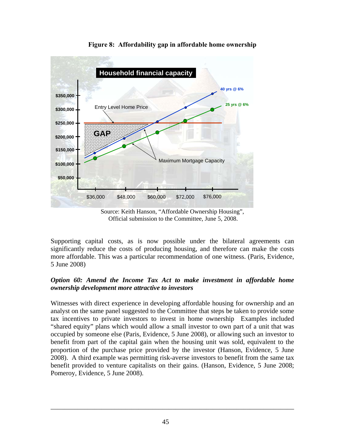

**Figure 8: Affordability gap in affordable home ownership** 

Source: Keith Hanson, "Affordable Ownership Housing", Official submission to the Committee, June 5, 2008.

Supporting capital costs, as is now possible under the bilateral agreements can significantly reduce the costs of producing housing, and therefore can make the costs more affordable. This was a particular recommendation of one witness. (Paris, Evidence, 5 June 2008)

## *Option 60: Amend the Income Tax Act to make investment in affordable home ownership development more attractive to investors*

Witnesses with direct experience in developing affordable housing for ownership and an analyst on the same panel suggested to the Committee that steps be taken to provide some tax incentives to private investors to invest in home ownership Examples included "shared equity" plans which would allow a small investor to own part of a unit that was occupied by someone else (Paris, Evidence, 5 June 2008), or allowing such an investor to benefit from part of the capital gain when the housing unit was sold, equivalent to the proportion of the purchase price provided by the investor (Hanson, Evidence, 5 June 2008). A third example was permitting risk-averse investors to benefit from the same tax benefit provided to venture capitalists on their gains. (Hanson, Evidence, 5 June 2008; Pomeroy, Evidence, 5 June 2008).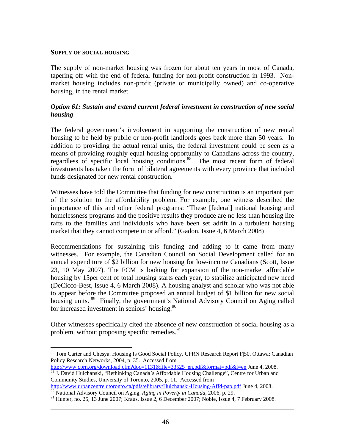#### **SUPPLY OF SOCIAL HOUSING**

 $\overline{a}$ 

The supply of non-market housing was frozen for about ten years in most of Canada, tapering off with the end of federal funding for non-profit construction in 1993. Nonmarket housing includes non-profit (private or municipally owned) and co-operative housing, in the rental market.

## *Option 61: Sustain and extend current federal investment in construction of new social housing*

The federal government's involvement in supporting the construction of new rental housing to be held by public or non-profit landlords goes back more than 50 years. In addition to providing the actual rental units, the federal investment could be seen as a means of providing roughly equal housing opportunity to Canadians across the country, regardless of specific local housing conditions.88 The most recent form of federal investments has taken the form of bilateral agreements with every province that included funds designated for new rental construction.

Witnesses have told the Committee that funding for new construction is an important part of the solution to the affordability problem. For example, one witness described the importance of this and other federal programs: "These [federal] national housing and homelessness programs and the positive results they produce are no less than housing life rafts to the families and individuals who have been set adrift in a turbulent housing market that they cannot compete in or afford." (Gadon, Issue 4, 6 March 2008)

Recommendations for sustaining this funding and adding to it came from many witnesses. For example, the Canadian Council on Social Development called for an annual expenditure of \$2 billion for new housing for low-income Canadians (Scott, Issue 23, 10 May 2007). The FCM is looking for expansion of the non-market affordable housing by 15per cent of total housing starts each year, to stabilize anticipated new need (DeCicco-Best, Issue 4, 6 March 2008). A housing analyst and scholar who was not able to appear before the Committee proposed an annual budget of \$1 billion for new social housing units. <sup>89</sup> Finally, the government's National Advisory Council on Aging called for increased investment in seniors' housing.<sup>90</sup>

Other witnesses specifically cited the absence of new construction of social housing as a problem, without proposing specific remedies.<sup>91</sup>

<sup>88</sup> Tom Carter and Chesya. Housing Is Good Social Policy. CPRN Research Report F|50. Ottawa: Canadian Policy Research Networks, 2004, p. 35. Accessed from

http://www.cprn.org/download.cfm?doc=1131&file=33525\_en.pdf&format=pdf&l=en June 4, 2008. 89 J. David Hulchanski, "Rethinking Canada's Affordable Housing Challenge", Centre for Urban and

Community Studies, University of Toronto, 2005, p. 11. Accessed from http://www.urbancentre.utoronto.ca/pdfs/elibrary/Hulchanski-Housing-Affd-pap.pdf June 4, 2008.

<sup>&</sup>lt;sup>90</sup> National Advisory Council on Aging, *Aging in Poverty in Canada*, 2006, p. 29.

<sup>&</sup>lt;sup>91</sup> Hunter, no. 25, 13 June 2007; Kraus, Issue 2, 6 December 2007; Noble, Issue 4, 7 February 2008.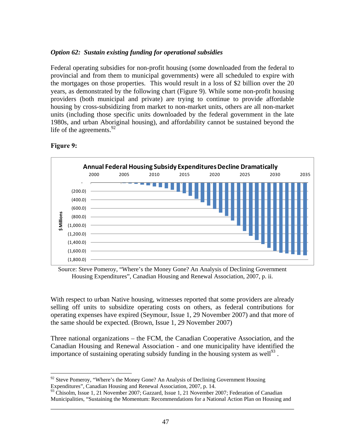### *Option 62: Sustain existing funding for operational subsidies*

Federal operating subsidies for non-profit housing (some downloaded from the federal to provincial and from them to municipal governments) were all scheduled to expire with the mortgages on those properties. This would result in a loss of \$2 billion over the 20 years, as demonstrated by the following chart (Figure 9). While some non-profit housing providers (both municipal and private) are trying to continue to provide affordable housing by cross-subsidizing from market to non-market units, others are all non-market units (including those specific units downloaded by the federal government in the late 1980s, and urban Aboriginal housing), and affordability cannot be sustained beyond the life of the agreements. $92$ 



#### **Figure 9:**

1

Source: Steve Pomeroy, "Where's the Money Gone? An Analysis of Declining Government Housing Expenditures", Canadian Housing and Renewal Association, 2007, p. ii.

With respect to urban Native housing, witnesses reported that some providers are already selling off units to subsidize operating costs on others, as federal contributions for operating expenses have expired (Seymour, Issue 1, 29 November 2007) and that more of the same should be expected. (Brown, Issue 1, 29 November 2007)

Three national organizations – the FCM, the Canadian Cooperative Association, and the Canadian Housing and Renewal Association - and one municipality have identified the importance of sustaining operating subsidy funding in the housing system as well<sup>93</sup>.

 $92$  Steve Pomeroy, "Where's the Money Gone? An Analysis of Declining Government Housing Expenditures", Canadian Housing and Renewal Association, 2007, p. 14.

\_\_\_\_\_\_\_\_\_\_\_\_\_\_\_\_\_\_\_\_\_\_\_\_\_\_\_\_\_\_\_\_\_\_\_\_\_\_\_\_\_\_\_\_\_\_\_\_\_\_\_\_\_\_\_\_\_\_\_\_\_\_\_\_\_\_\_\_\_\_\_\_ <sup>93</sup> Chisolm, Issue 1, 21 November 2007; Gazzard, Issue 1, 21 November 2007; Federation of Canadian Municipalities, "Sustaining the Momentum: Recommendations for a National Action Plan on Housing and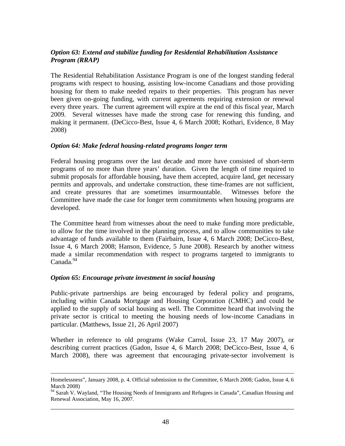## *Option 63: Extend and stabilize funding for Residential Rehabilitation Assistance Program (RRAP)*

The Residential Rehabilitation Assistance Program is one of the longest standing federal programs with respect to housing, assisting low-income Canadians and those providing housing for them to make needed repairs to their properties. This program has never been given on-going funding, with current agreements requiring extension or renewal every three years. The current agreement will expire at the end of this fiscal year, March 2009. Several witnesses have made the strong case for renewing this funding, and making it permanent. (DeCicco-Best, Issue 4, 6 March 2008; Kothari, Evidence, 8 May 2008)

#### *Option 64: Make federal housing-related programs longer term*

Federal housing programs over the last decade and more have consisted of short-term programs of no more than three years' duration. Given the length of time required to submit proposals for affordable housing, have them accepted, acquire land, get necessary permits and approvals, and undertake construction, these time-frames are not sufficient, and create pressures that are sometimes insurmountable. Witnesses before the Committee have made the case for longer term commitments when housing programs are developed.

The Committee heard from witnesses about the need to make funding more predictable, to allow for the time involved in the planning process, and to allow communities to take advantage of funds available to them (Fairbairn, Issue 4, 6 March 2008; DeCicco-Best, Issue 4, 6 March 2008; Hanson, Evidence, 5 June 2008). Research by another witness made a similar recommendation with respect to programs targeted to immigrants to  $C$ anada.<sup>94</sup>

#### *Option 65: Encourage private investment in social housing*

Public-private partnerships are being encouraged by federal policy and programs, including within Canada Mortgage and Housing Corporation (CMHC) and could be applied to the supply of social housing as well. The Committee heard that involving the private sector is critical to meeting the housing needs of low-income Canadians in particular. (Matthews, Issue 21, 26 April 2007)

Whether in reference to old programs (Wake Carrol, Issue 23, 17 May 2007), or describing current practices (Gadon, Issue 4, 6 March 2008; DeCicco-Best, Issue 4, 6 March 2008), there was agreement that encouraging private-sector involvement is

Homelessness", January 2008, p. 4. Official submission to the Committee, 6 March 2008; Gadon, Issue 4, 6 March 2008)

\_\_\_\_\_\_\_\_\_\_\_\_\_\_\_\_\_\_\_\_\_\_\_\_\_\_\_\_\_\_\_\_\_\_\_\_\_\_\_\_\_\_\_\_\_\_\_\_\_\_\_\_\_\_\_\_\_\_\_\_\_\_\_\_\_\_\_\_\_\_\_\_ <sup>94</sup> Sarah V. Wayland, "The Housing Needs of Immigrants and Refugees in Canada", Canadian Housing and Renewal Association, May 16, 2007.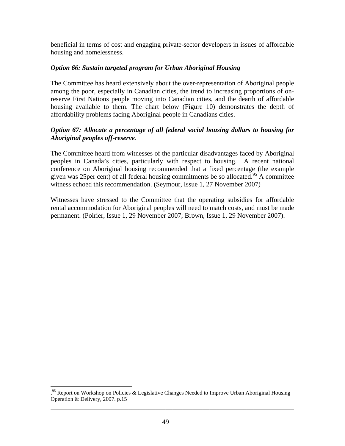beneficial in terms of cost and engaging private-sector developers in issues of affordable housing and homelessness.

## *Option 66: Sustain targeted program for Urban Aboriginal Housing*

The Committee has heard extensively about the over-representation of Aboriginal people among the poor, especially in Canadian cities, the trend to increasing proportions of onreserve First Nations people moving into Canadian cities, and the dearth of affordable housing available to them. The chart below (Figure 10) demonstrates the depth of affordability problems facing Aboriginal people in Canadians cities.

## *Option 67: Allocate a percentage of all federal social housing dollars to housing for Aboriginal peoples off-reserve.*

The Committee heard from witnesses of the particular disadvantages faced by Aboriginal peoples in Canada's cities, particularly with respect to housing. A recent national conference on Aboriginal housing recommended that a fixed percentage (the example given was 25 per cent) of all federal housing commitments be so allocated.<sup>95</sup> A committee witness echoed this recommendation. (Seymour, Issue 1, 27 November 2007)

Witnesses have stressed to the Committee that the operating subsidies for affordable rental accommodation for Aboriginal peoples will need to match costs, and must be made permanent. (Poirier, Issue 1, 29 November 2007; Brown, Issue 1, 29 November 2007).

 $\overline{a}$ 

\_\_\_\_\_\_\_\_\_\_\_\_\_\_\_\_\_\_\_\_\_\_\_\_\_\_\_\_\_\_\_\_\_\_\_\_\_\_\_\_\_\_\_\_\_\_\_\_\_\_\_\_\_\_\_\_\_\_\_\_\_\_\_\_\_\_\_\_\_\_\_\_ <sup>95</sup> Report on Workshop on Policies & Legislative Changes Needed to Improve Urban Aboriginal Housing Operation & Delivery, 2007. p.15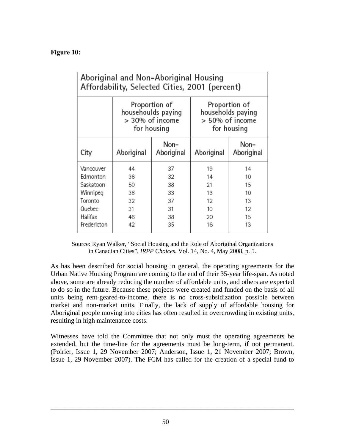# **Figure 10:**

| Aboriginal and Non-Aboriginal Housing<br>Affordability, Selected Cities, 2001 (percent) |                                                                       |                    |                                                                      |                    |
|-----------------------------------------------------------------------------------------|-----------------------------------------------------------------------|--------------------|----------------------------------------------------------------------|--------------------|
|                                                                                         | Proportion of<br>househoulds paying<br>> 30% of income<br>for housing |                    | Proportion of<br>households paying<br>> 50% of income<br>for housing |                    |
| City                                                                                    | Aboriginal                                                            | Non-<br>Aboriginal | Aboriginal                                                           | Non-<br>Aboriginal |
| Vancouver                                                                               | 44                                                                    | 37                 | 19                                                                   | 14                 |
| Edmonton                                                                                | 36                                                                    | 32                 | 14                                                                   | 10                 |
| Saskatoon                                                                               | 50                                                                    | 38                 | 21                                                                   | 15                 |
| Winnipeg                                                                                | 38                                                                    | 33                 | 13                                                                   | 10                 |
| Toronto                                                                                 | 32                                                                    | 37                 | 12                                                                   | 13                 |
| Quebec                                                                                  | 31                                                                    | 31                 | 10                                                                   | 12                 |
| Halifax                                                                                 | 46                                                                    | 38                 | 20                                                                   | 15                 |
| Fredericton                                                                             | 42                                                                    | 35                 | 16                                                                   | 13                 |

Source: Ryan Walker, "Social Housing and the Role of Aboriginal Organizations in Canadian Cities", *IRPP Choices*, Vol. 14, No. 4, May 2008, p. 5.

As has been described for social housing in general, the operating agreements for the Urban Native Housing Program are coming to the end of their 35-year life-span. As noted above, some are already reducing the number of affordable units, and others are expected to do so in the future. Because these projects were created and funded on the basis of all units being rent-geared-to-income, there is no cross-subsidization possible between market and non-market units. Finally, the lack of supply of affordable housing for Aboriginal people moving into cities has often resulted in overcrowding in existing units, resulting in high maintenance costs.

Witnesses have told the Committee that not only must the operating agreements be extended, but the time-line for the agreements must be long-term, if not permanent. (Poirier, Issue 1, 29 November 2007; Anderson, Issue 1, 21 November 2007; Brown, Issue 1, 29 November 2007). The FCM has called for the creation of a special fund to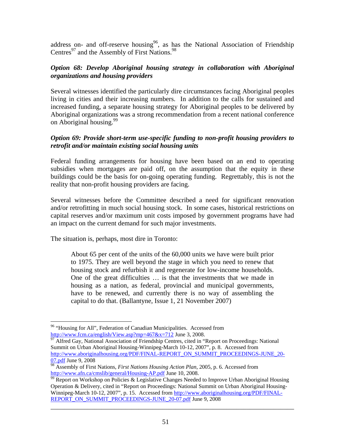address on- and off-reserve housing<sup>96</sup>, as has the National Association of Friendship Centres<sup>97</sup> and the Assembly of First Nations.<sup>98</sup>

## *Option 68: Develop Aboriginal housing strategy in collaboration with Aboriginal organizations and housing providers*

Several witnesses identified the particularly dire circumstances facing Aboriginal peoples living in cities and their increasing numbers. In addition to the calls for sustained and increased funding, a separate housing strategy for Aboriginal peoples to be delivered by Aboriginal organizations was a strong recommendation from a recent national conference on Aboriginal housing.<sup>99</sup>

## *Option 69: Provide short-term use-specific funding to non-profit housing providers to retrofit and/or maintain existing social housing units*

Federal funding arrangements for housing have been based on an end to operating subsidies when mortgages are paid off, on the assumption that the equity in these buildings could be the basis for on-going operating funding. Regrettably, this is not the reality that non-profit housing providers are facing.

Several witnesses before the Committee described a need for significant renovation and/or retrofitting in much social housing stock. In some cases, historical restrictions on capital reserves and/or maximum unit costs imposed by government programs have had an impact on the current demand for such major investments.

The situation is, perhaps, most dire in Toronto:

 $\overline{a}$ 

About 65 per cent of the units of the 60,000 units we have were built prior to 1975. They are well beyond the stage in which you need to renew that housing stock and refurbish it and regenerate for low-income households. One of the great difficulties … is that the investments that we made in housing as a nation, as federal, provincial and municipal governments, have to be renewed, and currently there is no way of assembling the capital to do that. (Ballantyne, Issue 1, 21 November 2007)

<sup>&</sup>lt;sup>96</sup> "Housing for All", Federation of Canadian Municipalities. Accessed from http://www.fcm.ca/english/View.asp?mp=467&x=712 June 3, 2008.

 $\frac{97}{97}$  Alfred Gay, National Association of Friendship Centres, cited in "Report on Proceedings: National Summit on Urban Aboriginal Housing-Winnipeg-March 10-12, 2007", p. 8. Accessed from http://www.aboriginalhousing.org/PDF/FINAL-REPORT\_ON\_SUMMIT\_PROCEEDINGS-JUNE\_20-07.pdf June 9, 2008

<sup>98</sup> Assembly of First Nations, *First Nations Housing Action Plan*, 2005, p. 6. Accessed from

http://www.afn.ca/cmslib/general/Housing-AP.pdf June 10, 2008.<br><sup>99</sup> Report on Workshop on Policies & Legislative Changes Needed to Improve Urban Aboriginal Housing Operation & Delivery, cited in "Report on Proceedings: National Summit on Urban Aboriginal Housing-Winnipeg-March 10-12, 2007", p. 15. Accessed from http://www.aboriginalhousing.org/PDF/FINAL-REPORT\_ON\_SUMMIT\_PROCEEDINGS-JUNE\_20-07.pdf June 9, 2008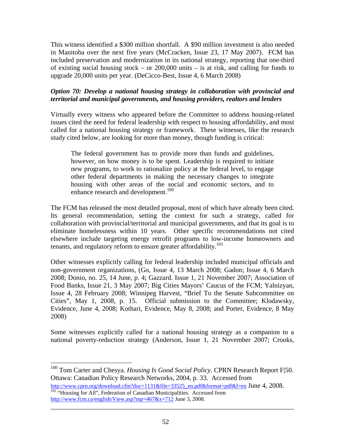This witness identified a \$300 million shortfall. A \$90 million investment is also needed in Manitoba over the next five years (McCracken, Issue 23, 17 May 2007). FCM has included preservation and modernization in its national strategy, reporting that one-third of existing social housing stock – or 200,000 units – is at risk, and calling for funds to upgrade 20,000 units per year. (DeCicco-Best, Issue 4, 6 March 2008)

## *Option 70: Develop a national housing strategy in collaboration with provincial and territorial and municipal governments, and housing providers, realtors and lenders*

Virtually every witness who appeared before the Committee to address housing-related issues cited the need for federal leadership with respect to housing affordability, and most called for a national housing strategy or framework. These witnesses, like the research study cited below, are looking for more than money, though funding is critical:

The federal government has to provide more than funds and guidelines, however, on how money is to be spent. Leadership is required to initiate new programs, to work to rationalize policy at the federal level, to engage other federal departments in making the necessary changes to integrate housing with other areas of the social and economic sectors, and to enhance research and development.<sup>100</sup>

The FCM has released the most detailed proposal, most of which have already been cited. Its general recommendation, setting the context for such a strategy, called for collaboration with provincial/territorial and municipal governments, and that its goal is to eliminate homelessness within 10 years. Other specific recommendations not cited elsewhere include targeting energy retrofit programs to low-income homeowners and tenants, and regulatory reform to ensure greater affordability.<sup>101</sup>

Other witnesses explicitly calling for federal leadership included municipal officials and non-government organizations, (Go, Issue 4, 13 March 2008; Gadon; Issue 4, 6 March 2008; Donio, no. 25, 14 June, p. 4; Gazzard. Issue 1, 21 November 2007; Association of Food Banks, Issue 21, 3 May 2007; Big Cities Mayors' Caucus of the FCM; Yalnizyan, Issue 4, 28 February 2008; Winnipeg Harvest, "Brief To the Senate Subcommittee on Cities", May 1, 2008, p. 15. Official submission to the Committee; Klodawsky, Evidence, June 4, 2008; Kothari, Evidence, May 8, 2008; and Porter, Evidence, 8 May 2008)

Some witnesses explicitly called for a national housing strategy as a companion to a national poverty-reduction strategy (Anderson, Issue 1, 21 November 2007; Crooks,

\_\_\_\_\_\_\_\_\_\_\_\_\_\_\_\_\_\_\_\_\_\_\_\_\_\_\_\_\_\_\_\_\_\_\_\_\_\_\_\_\_\_\_\_\_\_\_\_\_\_\_\_\_\_\_\_\_\_\_\_\_\_\_\_\_\_\_\_\_\_\_\_

http://www.cprn.org/download.cfm?doc=1131&file=33525\_en.pdf&format=pdf&l=en June 4, 2008. <sup>101</sup> "Housing for All", Federation of Canadian Municipalities. Accessed from http://www.fcm.ca/english/View.asp?mp=467&x=712 June 3, 2008.

1

<sup>100</sup> Tom Carter and Chesya. *Housing Is Good Social Policy*. CPRN Research Report F|50. Ottawa: Canadian Policy Research Networks, 2004, p. 33. Accessed from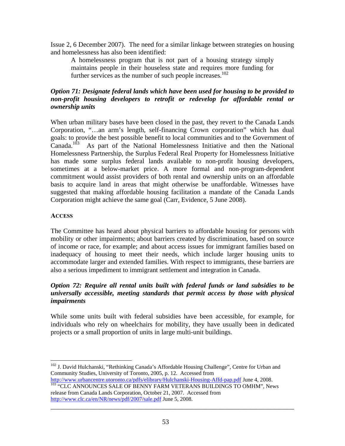Issue 2, 6 December 2007). The need for a similar linkage between strategies on housing and homelessness has also been identified:

A homelessness program that is not part of a housing strategy simply maintains people in their houseless state and requires more funding for further services as the number of such people increases.<sup>102</sup>

## *Option 71: Designate federal lands which have been used for housing to be provided to non-profit housing developers to retrofit or redevelop for affordable rental or ownership units*

When urban military bases have been closed in the past, they revert to the Canada Lands Corporation, "…an arm's length, self-financing Crown corporation" which has dual goals: to provide the best possible benefit to local communities and to the Government of Canada.<sup>103</sup> As part of the National Homelessness Initiative and then the National Homelessness Partnership, the Surplus Federal Real Property for Homelessness Initiative has made some surplus federal lands available to non-profit housing developers, sometimes at a below-market price. A more formal and non-program-dependent commitment would assist providers of both rental and ownership units on an affordable basis to acquire land in areas that might otherwise be unaffordable. Witnesses have suggested that making affordable housing facilitation a mandate of the Canada Lands Corporation might achieve the same goal (Carr, Evidence, 5 June 2008).

#### **ACCESS**

 $\overline{a}$ 

The Committee has heard about physical barriers to affordable housing for persons with mobility or other impairments; about barriers created by discrimination, based on source of income or race, for example; and about access issues for immigrant families based on inadequacy of housing to meet their needs, which include larger housing units to accommodate larger and extended families. With respect to immigrants, these barriers are also a serious impediment to immigrant settlement and integration in Canada.

## *Option 72: Require all rental units built with federal funds or land subsidies to be universally accessible, meeting standards that permit access by those with physical impairments*

While some units built with federal subsidies have been accessible, for example, for individuals who rely on wheelchairs for mobility, they have usually been in dedicated projects or a small proportion of units in large multi-unit buildings.

<sup>&</sup>lt;sup>102</sup> J. David Hulchanski, "Rethinking Canada's Affordable Housing Challenge", Centre for Urban and Community Studies, University of Toronto, 2005, p. 12. Accessed from<br>http://www.urbancentre.utoronto.ca/pdfs/elibrary/Hulchanski-Housing-Affd-pap.pdf June 4, 2008.

 $\frac{103}{103}$  "CLC ANNOUNCES SALE OF BENNY FARM VETERANS BUILDINGS TO OMHM", News release from Canada Lands Corporation, October 21, 2007. Accessed from

http://www.clc.ca/en/NR/news/pdf/2007/sale.pdf June 5, 2008.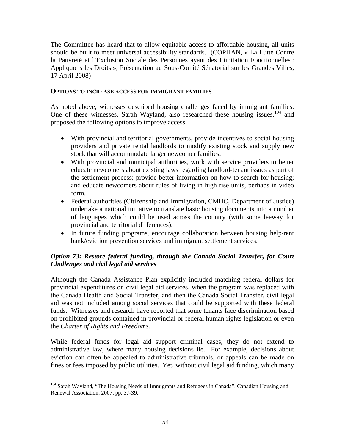The Committee has heard that to allow equitable access to affordable housing, all units should be built to meet universal accessibility standards. (COPHAN, « La Lutte Contre la Pauvreté et l'Exclusion Sociale des Personnes ayant des Limitation Fonctionnelles : Appliquons les Droits », Présentation au Sous-Comité Sénatorial sur les Grandes Villes, 17 April 2008)

#### **OPTIONS TO INCREASE ACCESS FOR IMMIGRANT FAMILIES**

As noted above, witnesses described housing challenges faced by immigrant families. One of these witnesses, Sarah Wayland, also researched these housing issues,  $104$  and proposed the following options to improve access:

- With provincial and territorial governments, provide incentives to social housing providers and private rental landlords to modify existing stock and supply new stock that will accommodate larger newcomer families.
- With provincial and municipal authorities, work with service providers to better educate newcomers about existing laws regarding landlord-tenant issues as part of the settlement process; provide better information on how to search for housing; and educate newcomers about rules of living in high rise units, perhaps in video form.
- Federal authorities (Citizenship and Immigration, CMHC, Department of Justice) undertake a national initiative to translate basic housing documents into a number of languages which could be used across the country (with some leeway for provincial and territorial differences).
- In future funding programs, encourage collaboration between housing help/rent bank/eviction prevention services and immigrant settlement services.

## *Option 73: Restore federal funding, through the Canada Social Transfer, for Court Challenges and civil legal aid services*

Although the Canada Assistance Plan explicitly included matching federal dollars for provincial expenditures on civil legal aid services, when the program was replaced with the Canada Health and Social Transfer, and then the Canada Social Transfer, civil legal aid was not included among social services that could be supported with these federal funds. Witnesses and research have reported that some tenants face discrimination based on prohibited grounds contained in provincial or federal human rights legislation or even the *Charter of Rights and Freedoms.* 

While federal funds for legal aid support criminal cases, they do not extend to administrative law, where many housing decisions lie. For example, decisions about eviction can often be appealed to administrative tribunals, or appeals can be made on fines or fees imposed by public utilities. Yet, without civil legal aid funding, which many

 $\overline{a}$ 

<sup>&</sup>lt;sup>104</sup> Sarah Wayland, "The Housing Needs of Immigrants and Refugees in Canada". Canadian Housing and Renewal Association, 2007, pp. 37-39.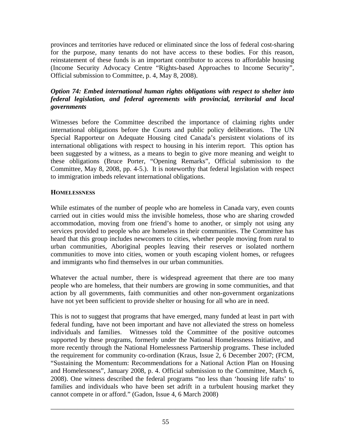provinces and territories have reduced or eliminated since the loss of federal cost-sharing for the purpose, many tenants do not have access to these bodies. For this reason, reinstatement of these funds is an important contributor to access to affordable housing (Income Security Advocacy Centre "Rights-based Approaches to Income Security", Official submission to Committee, p. 4, May 8, 2008).

## *Option 74: Embed international human rights obligations with respect to shelter into federal legislation, and federal agreements with provincial, territorial and local governments*

Witnesses before the Committee described the importance of claiming rights under international obligations before the Courts and public policy deliberations. The UN Special Rapporteur on Adequate Housing cited Canada's persistent violations of its international obligations with respect to housing in his interim report. This option has been suggested by a witness, as a means to begin to give more meaning and weight to these obligations (Bruce Porter, "Opening Remarks", Official submission to the Committee, May 8, 2008, pp. 4-5.). It is noteworthy that federal legislation with respect to immigration imbeds relevant international obligations.

## **HOMELESSNESS**

While estimates of the number of people who are homeless in Canada vary, even counts carried out in cities would miss the invisible homeless, those who are sharing crowded accommodation, moving from one friend's home to another, or simply not using any services provided to people who are homeless in their communities. The Committee has heard that this group includes newcomers to cities, whether people moving from rural to urban communities, Aboriginal peoples leaving their reserves or isolated northern communities to move into cities, women or youth escaping violent homes, or refugees and immigrants who find themselves in our urban communities.

Whatever the actual number, there is widespread agreement that there are too many people who are homeless, that their numbers are growing in some communities, and that action by all governments, faith communities and other non-government organizations have not yet been sufficient to provide shelter or housing for all who are in need.

This is not to suggest that programs that have emerged, many funded at least in part with federal funding, have not been important and have not alleviated the stress on homeless individuals and families. Witnesses told the Committee of the positive outcomes supported by these programs, formerly under the National Homelessness Initiative, and more recently through the National Homelessness Partnership programs. These included the requirement for community co-ordination (Kraus, Issue 2, 6 December 2007; (FCM, "Sustaining the Momentum: Recommendations for a National Action Plan on Housing and Homelessness", January 2008, p. 4. Official submission to the Committee, March 6, 2008). One witness described the federal programs "no less than 'housing life rafts' to families and individuals who have been set adrift in a turbulent housing market they cannot compete in or afford." (Gadon, Issue 4, 6 March 2008)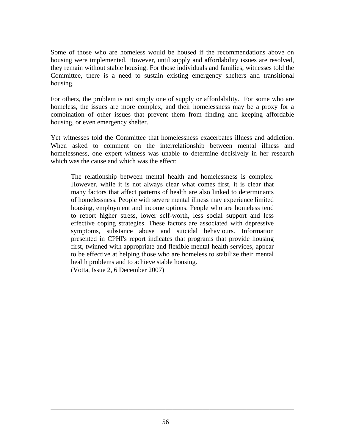Some of those who are homeless would be housed if the recommendations above on housing were implemented. However, until supply and affordability issues are resolved, they remain without stable housing. For those individuals and families, witnesses told the Committee, there is a need to sustain existing emergency shelters and transitional housing.

For others, the problem is not simply one of supply or affordability. For some who are homeless, the issues are more complex, and their homelessness may be a proxy for a combination of other issues that prevent them from finding and keeping affordable housing, or even emergency shelter.

Yet witnesses told the Committee that homelessness exacerbates illness and addiction. When asked to comment on the interrelationship between mental illness and homelessness, one expert witness was unable to determine decisively in her research which was the cause and which was the effect:

The relationship between mental health and homelessness is complex. However, while it is not always clear what comes first, it is clear that many factors that affect patterns of health are also linked to determinants of homelessness. People with severe mental illness may experience limited housing, employment and income options. People who are homeless tend to report higher stress, lower self-worth, less social support and less effective coping strategies. These factors are associated with depressive symptoms, substance abuse and suicidal behaviours. Information presented in CPHI's report indicates that programs that provide housing first, twinned with appropriate and flexible mental health services, appear to be effective at helping those who are homeless to stabilize their mental health problems and to achieve stable housing. (Votta, Issue 2, 6 December 2007)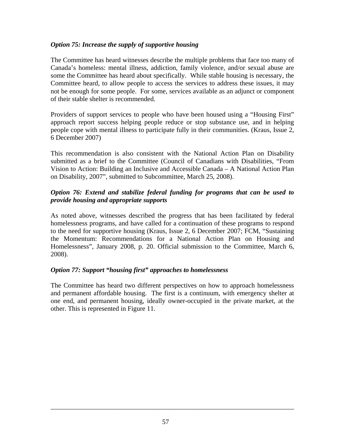## *Option 75: Increase the supply of supportive housing*

The Committee has heard witnesses describe the multiple problems that face too many of Canada's homeless: mental illness, addiction, family violence, and/or sexual abuse are some the Committee has heard about specifically. While stable housing is necessary, the Committee heard, to allow people to access the services to address these issues, it may not be enough for some people. For some, services available as an adjunct or component of their stable shelter is recommended.

Providers of support services to people who have been housed using a "Housing First" approach report success helping people reduce or stop substance use, and in helping people cope with mental illness to participate fully in their communities. (Kraus, Issue 2, 6 December 2007)

This recommendation is also consistent with the National Action Plan on Disability submitted as a brief to the Committee (Council of Canadians with Disabilities, "From Vision to Action: Building an Inclusive and Accessible Canada – A National Action Plan on Disability, 2007", submitted to Subcommittee, March 25, 2008).

## *Option 76: Extend and stabilize federal funding for programs that can be used to provide housing and appropriate supports*

As noted above, witnesses described the progress that has been facilitated by federal homelessness programs, and have called for a continuation of these programs to respond to the need for supportive housing (Kraus, Issue 2, 6 December 2007; FCM, "Sustaining the Momentum: Recommendations for a National Action Plan on Housing and Homelessness", January 2008, p. 20. Official submission to the Committee, March 6, 2008).

# *Option 77: Support "housing first" approaches to homelessness*

The Committee has heard two different perspectives on how to approach homelessness and permanent affordable housing. The first is a continuum, with emergency shelter at one end, and permanent housing, ideally owner-occupied in the private market, at the other. This is represented in Figure 11.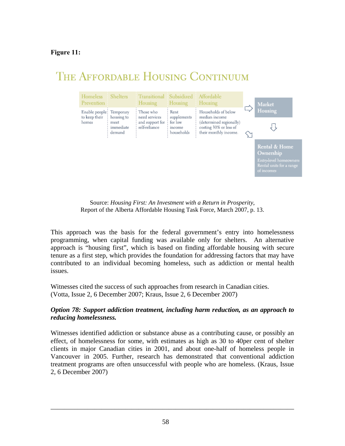## **Figure 11:**

# THE AFFORDABLE HOUSING CONTINUUM



Source: *Housing First: An Investment with a Return in Prosperity*, Report of the Alberta Affordable Housing Task Force, March 2007, p. 13.

This approach was the basis for the federal government's entry into homelessness programming, when capital funding was available only for shelters. An alternative approach is "housing first", which is based on finding affordable housing with secure tenure as a first step, which provides the foundation for addressing factors that may have contributed to an individual becoming homeless, such as addiction or mental health issues.

Witnesses cited the success of such approaches from research in Canadian cities. (Votta, Issue 2, 6 December 2007; Kraus, Issue 2, 6 December 2007)

## *Option 78: Support addiction treatment, including harm reduction, as an approach to reducing homelessness.*

Witnesses identified addiction or substance abuse as a contributing cause, or possibly an effect, of homelessness for some, with estimates as high as 30 to 40per cent of shelter clients in major Canadian cities in 2001, and about one-half of homeless people in Vancouver in 2005. Further, research has demonstrated that conventional addiction treatment programs are often unsuccessful with people who are homeless. (Kraus, Issue 2, 6 December 2007)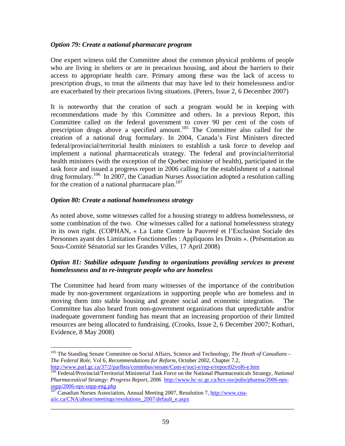#### *Option 79: Create a national pharmacare program*

One expert witness told the Committee about the common physical problems of people who are living in shelters or are in precarious housing, and about the barriers to their access to appropriate health care. Primary among these was the lack of access to prescription drugs, to treat the ailments that may have led to their homelessness and/or are exacerbated by their precarious living situations. (Peters, Issue 2, 6 December 2007)

It is noteworthy that the creation of such a program would be in keeping with recommendations made by this Committee and others. In a previous Report, this Committee called on the federal government to cover 90 per cent of the costs of prescription drugs above a specified amount.<sup>105</sup> The Committee also called for the creation of a national drug formulary. In 2004, Canada's First Ministers directed federal/provincial/territorial health ministers to establish a task force to develop and implement a national pharmaceuticals strategy. The federal and provincial/territorial health ministers (with the exception of the Quebec minister of health), participated in the task force and issued a progress report in 2006 calling for the establishment of a national drug formulary.106 In 2007, the Canadian Nurses Association adopted a resolution calling for the creation of a national pharmacare plan. $107$ 

#### *Option 80: Create a national homelessness strategy*

As noted above, some witnesses called for a housing strategy to address homelessness, or some combination of the two. One witnesses called for a national homelessness strategy in its own right. (COPHAN, « La Lutte Contre la Pauvreté et l'Exclusion Sociale des Personnes ayant des Limitation Fonctionnelles : Appliquons les Droits ». (Présentation au Sous-Comité Sénatorial sur les Grandes Villes, 17 April 2008)

## *Option 81: Stabilize adequate funding to organizations providing services to prevent homelessness and to re-integrate people who are homeless*

The Committee had heard from many witnesses of the importance of the contribution made by non-government organizations in supporting people who are homeless and in moving them into stable housing and greater social and economic integration. The Committee has also heard from non-government organizations that unpredictable and/or inadequate government funding has meant that an increasing proportion of their limited resources are being allocated to fundraising. (Crooks, Issue 2, 6 December 2007; Kothari, Evidence, 8 May 2008)

 $\overline{a}$ 

<sup>105</sup> The Standing Senate Committee on Social Affairs, Science and Technology, *The Heath of Canadians – The Federal Role*, Vol 6, *Recommendations for Reform*, October 2002, Chapter 7.2,

http://www.parl.gc.ca/37/2/parlbus/commbus/senate/Com-e/soci-e/rep-e/repoct02vol6-e.htm 106 Federal/Provincial/Territorial Ministerial Task Force on the National Pharmaceuticals Strategy, *National Pharmaceutical Strategy: Progress Report*, 2006 http://www.hc-sc.gc.ca/hcs-sss/pubs/pharma/2006-nps-

snpp/2006-nps-snpp-eng.php<br><sup>107</sup> Canadian Nurses Association, Annual Meeting 2007, Resolution 7, http://www.cnaaiic.ca/CNA/about/meetings/resolutions\_2007/default\_e.aspx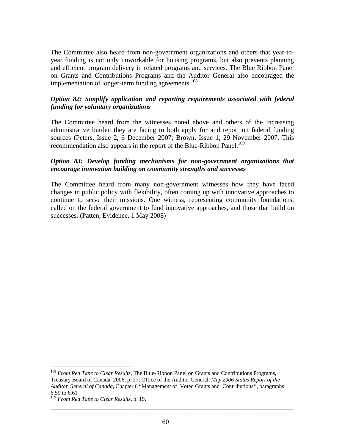The Committee also heard from non-government organizations and others that year-toyear funding is not only unworkable for housing programs, but also prevents planning and efficient program delivery in related programs and services. The Blue Ribbon Panel on Grants and Contributions Programs and the Auditor General also encouraged the implementation of longer-term funding agreements.<sup>108</sup>

### *Option 82: Simplify application and reporting requirements associated with federal funding for voluntary organizations*

The Committee heard from the witnesses noted above and others of the increasing administrative burden they are facing to both apply for and report on federal funding sources (Peters, Issue 2, 6 December 2007; Brown, Issue 1, 29 November 2007. This recommendation also appears in the report of the Blue-Ribbon Panel.<sup>109</sup>

#### *Option 83: Develop funding mechanisms for non-government organizations that encourage innovation building on community strengths and successes*

The Committee heard from many non-government witnesses how they have faced changes in public policy with flexibility, often coming up with innovative approaches to continue to serve their missions. One witness, representing community foundations, called on the federal government to fund innovative approaches, and those that build on successes. (Patten, Evidence, 1 May 2008)

<sup>&</sup>lt;u>.</u> <sup>108</sup> *From Red Tape to Clear Results*, The Blue-Ribbon Panel on Grants and Contributions Programs, Treasury Board of Canada, 2006, p. 27; Office of the Auditor General, *May 2006 Status Report of the Auditor General of Canada*, Chapter 6 "Management of Voted Grants and Contributions*"*, paragraphs 6.59 to 6.61

<sup>109</sup> *From Red Tape to Clear Results*, p. 19.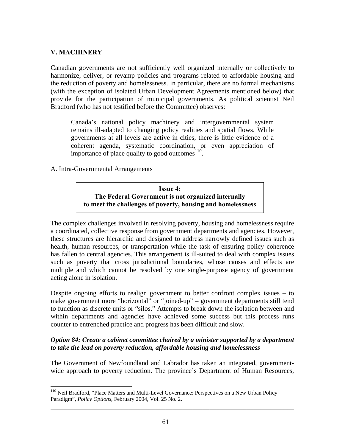## **V. MACHINERY**

 $\overline{a}$ 

Canadian governments are not sufficiently well organized internally or collectively to harmonize, deliver, or revamp policies and programs related to affordable housing and the reduction of poverty and homelessness. In particular, there are no formal mechanisms (with the exception of isolated Urban Development Agreements mentioned below) that provide for the participation of municipal governments. As political scientist Neil Bradford (who has not testified before the Committee) observes:

Canada's national policy machinery and intergovernmental system remains ill-adapted to changing policy realities and spatial flows. While governments at all levels are active in cities, there is little evidence of a coherent agenda, systematic coordination, or even appreciation of importance of place quality to good outcomes $110$ .

## A. Intra-Governmental Arrangements

## **Issue 4: The Federal Government is not organized internally to meet the challenges of poverty, housing and homelessness**

The complex challenges involved in resolving poverty, housing and homelessness require a coordinated, collective response from government departments and agencies. However, these structures are hierarchic and designed to address narrowly defined issues such as health, human resources, or transportation while the task of ensuring policy coherence has fallen to central agencies. This arrangement is ill-suited to deal with complex issues such as poverty that cross jurisdictional boundaries, whose causes and effects are multiple and which cannot be resolved by one single-purpose agency of government acting alone in isolation.

Despite ongoing efforts to realign government to better confront complex issues – to make government more "horizontal" or "joined-up" – government departments still tend to function as discrete units or "silos." Attempts to break down the isolation between and within departments and agencies have achieved some success but this process runs counter to entrenched practice and progress has been difficult and slow.

## *Option 84: Create a cabinet committee chaired by a minister supported by a department to take the lead on poverty reduction, affordable housing and homelessness*

The Government of Newfoundland and Labrador has taken an integrated, governmentwide approach to poverty reduction. The province's Department of Human Resources,

<sup>&</sup>lt;sup>110</sup> Neil Bradford, "Place Matters and Multi-Level Governance: Perspectives on a New Urban Policy Paradigm", *Policy Options*, February 2004, Vol. 25 No. 2.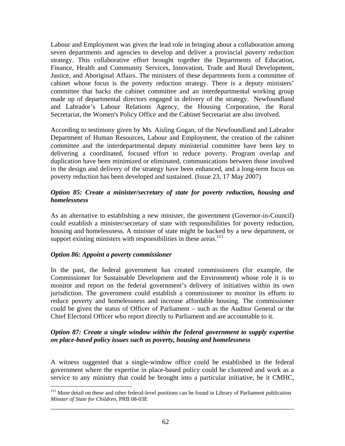Labour and Employment was given the lead role in bringing about a collaboration among seven departments and agencies to develop and deliver a provincial poverty reduction strategy. This collaborative effort brought together the Departments of Education, Finance, Health and Community Services, Innovation, Trade and Rural Development, Justice, and Aboriginal Affairs. The ministers of these departments form a committee of cabinet whose focus is the poverty reduction strategy. There is a deputy ministers' committee that backs the cabinet committee and an interdepartmental working group made up of departmental directors engaged in delivery of the strategy. Newfoundland and Labrador's Labour Relations Agency, the Housing Corporation, the Rural Secretariat, the Women's Policy Office and the Cabinet Secretariat are also involved.

According to testimony given by Ms. Aisling Gogan, of the Newfoundland and Labrador Department of Human Resources, Labour and Employment, the creation of the cabinet committee and the interdepartmental deputy ministerial committee have been key to delivering a coordinated, focused effort to reduce poverty. Program overlap and duplication have been minimized or eliminated, communications between those involved in the design and delivery of the strategy have been enhanced, and a long-term focus on poverty reduction has been developed and sustained. (Issue 23, 17 May 2007)

## *Option 85: Create a minister/secretary of state for poverty reduction, housing and homelessness*

As an alternative to establishing a new minister, the government (Governor-in-Council) could establish a minister/secretary of state with responsibilities for poverty reduction, housing and homelessness. A minister of state might be backed by a new department, or support existing ministers with responsibilities in these areas.<sup>111</sup>

## *Option 86: Appoint a poverty commissioner*

In the past, the federal government has created commissioners (for example, the Commissioner for Sustainable Development and the Environment) whose role it is to monitor and report on the federal government's delivery of initiatives within its own jurisdiction. The government could establish a commissioner to monitor its efforts to reduce poverty and homelessness and increase affordable housing. The commissioner could be given the status of Officer of Parliament – such as the Auditor General or the Chief Electoral Officer who report directly to Parliament and are accountable to it.

## *Option 87: Create a single window within the federal government to supply expertise on place-based policy issues such as poverty, housing and homelessness*

A witness suggested that a single-window office could be established in the federal government where the expertise in place-based policy could be clustered and work as a service to any ministry that could be brought into a particular initiative, be it CMHC,

\_\_\_\_\_\_\_\_\_\_\_\_\_\_\_\_\_\_\_\_\_\_\_\_\_\_\_\_\_\_\_\_\_\_\_\_\_\_\_\_\_\_\_\_\_\_\_\_\_\_\_\_\_\_\_\_\_\_\_\_\_\_\_\_\_\_\_\_\_\_\_\_  $\overline{a}$ <sup>111</sup> More detail on these and other federal-level positions can be found in Library of Parliament publication *Minster of State for Children*, PRB 08-03E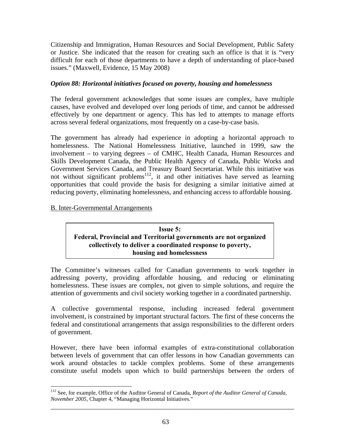Citizenship and Immigration, Human Resources and Social Development, Public Safety or Justice. She indicated that the reason for creating such an office is that it is "very difficult for each of those departments to have a depth of understanding of place-based issues." (Maxwell, Evidence, 15 May 2008)

## *Option 88: Horizontal initiatives focused on poverty, housing and homelessness*

The federal government acknowledges that some issues are complex, have multiple causes, have evolved and developed over long periods of time, and cannot be addressed effectively by one department or agency. This has led to attempts to manage efforts across several federal organizations, most frequently on a case-by-case basis.

The government has already had experience in adopting a horizontal approach to homelessness. The National Homelessness Initiative, launched in 1999, saw the involvement – to varying degrees – of CMHC, Health Canada, Human Resources and Skills Development Canada, the Public Health Agency of Canada, Public Works and Government Services Canada, and Treasury Board Secretariat. While this initiative was not without significant problems<sup>112</sup>, it and other initiatives have served as learning opportunities that could provide the basis for designing a similar initiative aimed at reducing poverty, eliminating homelessness, and enhancing access to affordable housing.

B. Inter-Governmental Arrangements

**Issue 5: Federal, Provincial and Territorial governments are not organized collectively to deliver a coordinated response to poverty, housing and homelessness**

The Committee's witnesses called for Canadian governments to work together in addressing poverty, providing affordable housing, and reducing or eliminating homelessness. These issues are complex, not given to simple solutions, and require the attention of governments and civil society working together in a coordinated partnership.

A collective governmental response, including increased federal government involvement, is constrained by important structural factors. The first of these concerns the federal and constitutional arrangements that assign responsibilities to the different orders of government.

However, there have been informal examples of extra-constitutional collaboration between levels of government that can offer lessons in how Canadian governments can work around obstacles to tackle complex problems. Some of these arrangements constitute useful models upon which to build partnerships between the orders of

 $\overline{a}$ 112 See, for example, Office of the Auditor General of Canada, *Report of the Auditor General of Canada, November 2005*, Chapter 4, "Managing Horizontal Initiatives."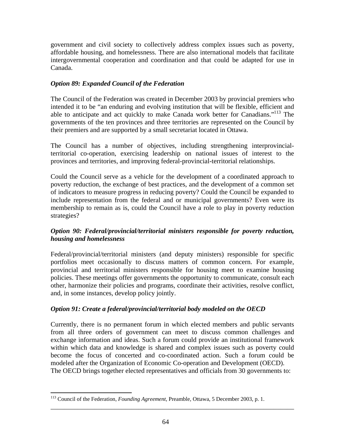government and civil society to collectively address complex issues such as poverty, affordable housing, and homelessness. There are also international models that facilitate intergovernmental cooperation and coordination and that could be adapted for use in Canada.

## *Option 89: Expanded Council of the Federation*

The Council of the Federation was created in December 2003 by provincial premiers who intended it to be "an enduring and evolving institution that will be flexible, efficient and able to anticipate and act quickly to make Canada work better for Canadians."<sup>113</sup> The governments of the ten provinces and three territories are represented on the Council by their premiers and are supported by a small secretariat located in Ottawa.

The Council has a number of objectives, including strengthening interprovincialterritorial co-operation, exercising leadership on national issues of interest to the provinces and territories, and improving federal-provincial-territorial relationships.

Could the Council serve as a vehicle for the development of a coordinated approach to poverty reduction, the exchange of best practices, and the development of a common set of indicators to measure progress in reducing poverty? Could the Council be expanded to include representation from the federal and or municipal governments? Even were its membership to remain as is, could the Council have a role to play in poverty reduction strategies?

## *Option 90: Federal/provincial/territorial ministers responsible for poverty reduction, housing and homelessness*

Federal/provincial/territorial ministers (and deputy ministers) responsible for specific portfolios meet occasionally to discuss matters of common concern. For example, provincial and territorial ministers responsible for housing meet to examine housing policies. These meetings offer governments the opportunity to communicate, consult each other, harmonize their policies and programs, coordinate their activities, resolve conflict, and, in some instances, develop policy jointly.

## *Option 91: Create a federal/provincial/territorial body modeled on the OECD*

Currently, there is no permanent forum in which elected members and public servants from all three orders of government can meet to discuss common challenges and exchange information and ideas. Such a forum could provide an institutional framework within which data and knowledge is shared and complex issues such as poverty could become the focus of concerted and co-coordinated action. Such a forum could be modeled after the Organization of Economic Co-operation and Development (OECD). The OECD brings together elected representatives and officials from 30 governments to:

1

<sup>113</sup> Council of the Federation, *Founding Agreement*, Preamble, Ottawa, 5 December 2003, p. 1.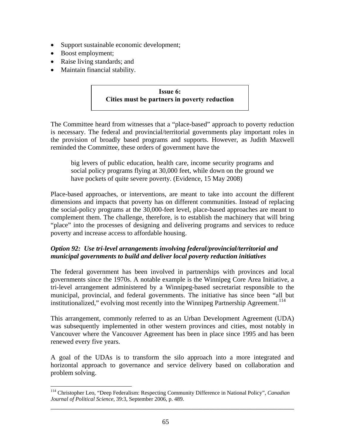- Support sustainable economic development;
- Boost employment;
- Raise living standards; and
- Maintain financial stability.

# **Issue 6: Cities must be partners in poverty reduction**

The Committee heard from witnesses that a "place-based" approach to poverty reduction is necessary. The federal and provincial/territorial governments play important roles in the provision of broadly based programs and supports. However, as Judith Maxwell reminded the Committee, these orders of government have the

big levers of public education, health care, income security programs and social policy programs flying at 30,000 feet, while down on the ground we have pockets of quite severe poverty. (Evidence, 15 May 2008)

Place-based approaches, or interventions, are meant to take into account the different dimensions and impacts that poverty has on different communities. Instead of replacing the social-policy programs at the 30,000-feet level, place-based approaches are meant to complement them. The challenge, therefore, is to establish the machinery that will bring "place" into the processes of designing and delivering programs and services to reduce poverty and increase access to affordable housing.

## *Option 92: Use tri-level arrangements involving federal/provincial/territorial and municipal governments to build and deliver local poverty reduction initiatives*

The federal government has been involved in partnerships with provinces and local governments since the 1970s. A notable example is the Winnipeg Core Area Initiative, a tri-level arrangement administered by a Winnipeg-based secretariat responsible to the municipal, provincial, and federal governments. The initiative has since been "all but institutionalized," evolving most recently into the Winnipeg Partnership Agreement.<sup>114</sup>

This arrangement, commonly referred to as an Urban Development Agreement (UDA) was subsequently implemented in other western provinces and cities, most notably in Vancouver where the Vancouver Agreement has been in place since 1995 and has been renewed every five years.

A goal of the UDAs is to transform the silo approach into a more integrated and horizontal approach to governance and service delivery based on collaboration and problem solving.

<sup>&</sup>lt;u>.</u> 114 Christopher Leo, "Deep Federalism: Respecting Community Difference in National Policy", *Canadian Journal of Political Science*, 39:3, September 2006, p. 489.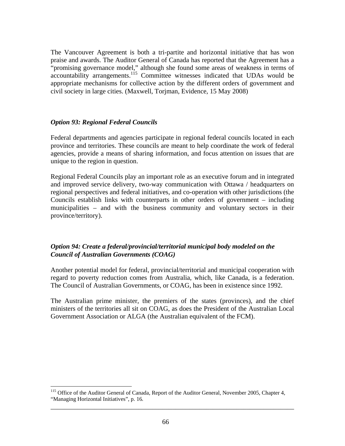The Vancouver Agreement is both a tri-partite and horizontal initiative that has won praise and awards. The Auditor General of Canada has reported that the Agreement has a "promising governance model," although she found some areas of weakness in terms of accountability arrangements.<sup>115</sup> Committee witnesses indicated that UDAs would be appropriate mechanisms for collective action by the different orders of government and civil society in large cities. (Maxwell, Torjman, Evidence, 15 May 2008)

## *Option 93: Regional Federal Councils*

 $\overline{a}$ 

Federal departments and agencies participate in regional federal councils located in each province and territories. These councils are meant to help coordinate the work of federal agencies, provide a means of sharing information, and focus attention on issues that are unique to the region in question.

Regional Federal Councils play an important role as an executive forum and in integrated and improved service delivery, two-way communication with Ottawa / headquarters on regional perspectives and federal initiatives, and co-operation with other jurisdictions (the Councils establish links with counterparts in other orders of government – including municipalities – and with the business community and voluntary sectors in their province/territory).

## *Option 94: Create a federal/provincial/territorial municipal body modeled on the Council of Australian Governments (COAG)*

Another potential model for federal, provincial/territorial and municipal cooperation with regard to poverty reduction comes from Australia, which, like Canada, is a federation. The Council of Australian Governments, or COAG, has been in existence since 1992.

The Australian prime minister, the premiers of the states (provinces), and the chief ministers of the territories all sit on COAG, as does the President of the Australian Local Government Association or ALGA (the Australian equivalent of the FCM).

<sup>&</sup>lt;sup>115</sup> Office of the Auditor General of Canada, Report of the Auditor General, November 2005, Chapter 4, "Managing Horizontal Initiatives", p. 16*.*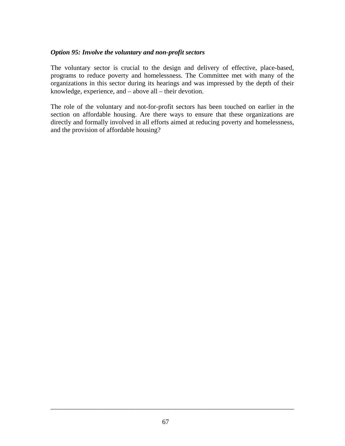### *Option 95: Involve the voluntary and non-profit sectors*

The voluntary sector is crucial to the design and delivery of effective, place-based, programs to reduce poverty and homelessness. The Committee met with many of the organizations in this sector during its hearings and was impressed by the depth of their knowledge, experience, and – above all – their devotion.

The role of the voluntary and not-for-profit sectors has been touched on earlier in the section on affordable housing. Are there ways to ensure that these organizations are directly and formally involved in all efforts aimed at reducing poverty and homelessness, and the provision of affordable housing?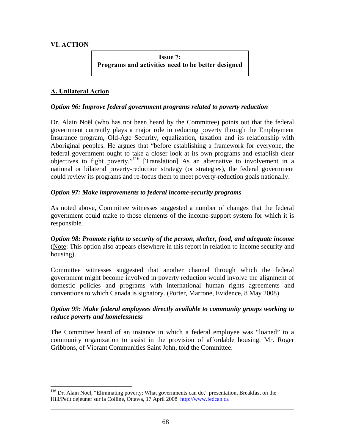# **VI. ACTION**

 $\overline{a}$ 

**Issue 7: Programs and activities need to be better designed** 

# **A. Unilateral Action**

### *Option 96: Improve federal government programs related to poverty reduction*

Dr. Alain Noël (who has not been heard by the Committee) points out that the federal government currently plays a major role in reducing poverty through the Employment Insurance program, Old-Age Security, equalization, taxation and its relationship with Aboriginal peoples. He argues that "before establishing a framework for everyone, the federal government ought to take a closer look at its own programs and establish clear objectives to fight poverty."116 [Translation] As an alternative to involvement in a national or bilateral poverty-reduction strategy (or strategies), the federal government could review its programs and re-focus them to meet poverty-reduction goals nationally.

### *Option 97: Make improvements to federal income-security programs*

As noted above, Committee witnesses suggested a number of changes that the federal government could make to those elements of the income-support system for which it is responsible.

*Option 98: Promote rights to security of the person, shelter, food, and adequate income* (Note: This option also appears elsewhere in this report in relation to income security and housing).

Committee witnesses suggested that another channel through which the federal government might become involved in poverty reduction would involve the alignment of domestic policies and programs with international human rights agreements and conventions to which Canada is signatory. (Porter, Marrone, Evidence, 8 May 2008)

### *Option 99: Make federal employees directly available to community groups working to reduce poverty and homelessness*

The Committee heard of an instance in which a federal employee was "loaned" to a community organization to assist in the provision of affordable housing. Mr. Roger Gribbons, of Vibrant Communities Saint John, told the Committee:

<sup>&</sup>lt;sup>116</sup> Dr. Alain Noël, "Eliminating poverty: What governments can do," presentation, Breakfast on the Hill/Petit déjeuner sur la Colline, Ottawa, 17 April 2008 http://www.fedcan.ca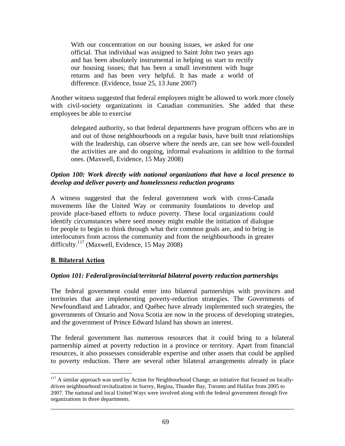With our concentration on our housing issues, we asked for one official. That individual was assigned to Saint John two years ago and has been absolutely instrumental in helping us start to rectify our housing issues; that has been a small investment with huge returns and has been very helpful. It has made a world of difference. (Evidence, Issue 25, 13 June 2007)

Another witness suggested that federal employees might be allowed to work more closely with civil-society organizations in Canadian communities. She added that these employees be able to exercise

delegated authority, so that federal departments have program officers who are in and out of those neighbourhoods on a regular basis, have built trust relationships with the leadership, can observe where the needs are, can see how well-founded the activities are and do ongoing, informal evaluations in addition to the formal ones. (Maxwell, Evidence, 15 May 2008)

### *Option 100: Work directly with national organizations that have a local presence to develop and deliver poverty and homelessness reduction programs*

A witness suggested that the federal government work with cross-Canada movements like the United Way or community foundations to develop and provide place-based efforts to reduce poverty. These local organizations could identify circumstances where seed money might enable the initiation of dialogue for people to begin to think through what their common goals are, and to bring in interlocutors from across the community and from the neighbourhoods in greater difficulty.<sup>117</sup> (Maxwell, Evidence, 15 May 2008)

# **B**. **Bilateral Action**

 $\overline{a}$ 

### *Option 101: Federal/provincial/territorial bilateral poverty reduction partnerships*

The federal government could enter into bilateral partnerships with provinces and territories that are implementing poverty-reduction strategies. The Governments of Newfoundland and Labrador, and Québec have already implemented such strategies, the governments of Ontario and Nova Scotia are now in the process of developing strategies, and the government of Prince Edward Island has shown an interest.

The federal government has numerous resources that it could bring to a bilateral partnership aimed at poverty reduction in a province or territory. Apart from financial resources, it also possesses considerable expertise and other assets that could be applied to poverty reduction. There are several other bilateral arrangements already in place

<sup>&</sup>lt;sup>117</sup> A similar approach was used by Action for Neighbourhood Change, an initiative that focused on locallydriven neighbourhood revitalization in Surrey, Regina, Thunder Bay, Toronto and Halifax from 2005 to 2007. The national and local United Ways were involved along with the federal government through five organizations in three departments.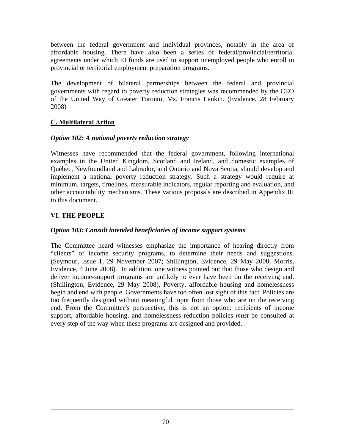between the federal government and individual provinces, notably in the area of affordable housing. There have also been a series of federal/provincial/territorial agreements under which EI funds are used to support unemployed people who enroll in provincial or territorial employment preparation programs.

The development of bilateral partnerships between the federal and provincial governments with regard to poverty reduction strategies was recommended by the CEO of the United Way of Greater Toronto, Ms. Francis Lankin. (Evidence, 28 February 2008)

# **C. Multilateral Action**

# *Option 102: A national poverty reduction strategy*

Witnesses have recommended that the federal government, following international examples in the United Kingdom, Scotland and Ireland, and domestic examples of Québec, Newfoundland and Labrador, and Ontario and Nova Scotia, should develop and implement a national poverty reduction strategy. Such a strategy would require at minimum, targets, timelines, measurable indicators, regular reporting and evaluation, and other accountability mechanisms. These various proposals are described in Appendix III to this document.

# **VI. THE PEOPLE**

# *Option 103: Consult intended beneficiaries of income support systems*

The Committee heard witnesses emphasize the importance of hearing directly from "clients" of income security programs, to determine their needs and suggestions. (Seymour, Issue 1, 29 November 2007; Shillington, Evidence, 29 May 2008; Morris, Evidence, 4 June 2008). In addition, one witness pointed out that those who design and deliver income-support programs are unlikely to ever have been on the receiving end. (Shillington, Evidence, 29 May 2008), Poverty, affordable housing and homelessness begin and end with people. Governments have too often lost sight of this fact. Policies are too frequently designed without meaningful input from those who are on the receiving end. From the Committee's perspective, this is not an option: recipients of income support, affordable housing, and homelessness reduction policies *must* be consulted at every step of the way when these programs are designed and provided.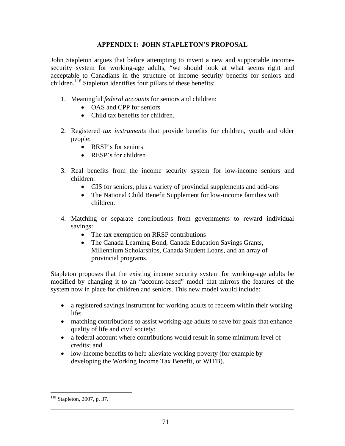### **APPENDIX I: JOHN STAPLETON'S PROPOSAL**

John Stapleton argues that before attempting to invent a new and supportable incomesecurity system for working-age adults, "we should look at what seems right and acceptable to Canadians in the structure of income security benefits for seniors and children.<sup>118</sup> Stapleton identifies four pillars of these benefits:

- 1. Meaningful *federal accounts* for seniors and children:
	- OAS and CPP for seniors
	- Child tax benefits for children.
- 2. Registered *tax instruments* that provide benefits for children, youth and older people:
	- RRSP's for seniors
	- RESP's for children
- 3. Real benefits from the income security system for low-income seniors and children:
	- GIS for seniors, plus a variety of provincial supplements and add-ons
	- The National Child Benefit Supplement for low-income families with children.
- 4. Matching or separate contributions from governments to reward individual savings:
	- The tax exemption on RRSP contributions
	- The Canada Learning Bond, Canada Education Savings Grants, Millennium Scholarships, Canada Student Loans, and an array of provincial programs.

Stapleton proposes that the existing income security system for working-age adults be modified by changing it to an "account-based" model that mirrors the features of the system now in place for children and seniors. This new model would include:

- a registered savings instrument for working adults to redeem within their working life;
- matching contributions to assist working-age adults to save for goals that enhance quality of life and civil society;
- a federal account where contributions would result in some minimum level of credits; and
- low-income benefits to help alleviate working poverty (for example by developing the Working Income Tax Benefit, or WITB).

 $\overline{a}$ 

<sup>118</sup> Stapleton, 2007, p. 37.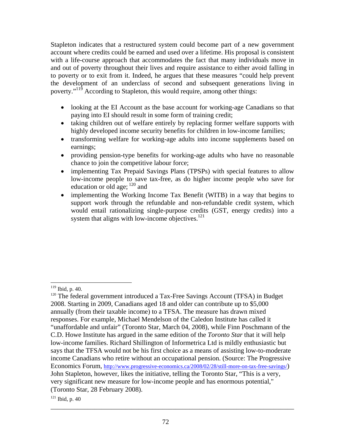Stapleton indicates that a restructured system could become part of a new government account where credits could be earned and used over a lifetime. His proposal is consistent with a life-course approach that accommodates the fact that many individuals move in and out of poverty throughout their lives and require assistance to either avoid falling in to poverty or to exit from it. Indeed, he argues that these measures "could help prevent the development of an underclass of second and subsequent generations living in poverty."119 According to Stapleton, this would require, among other things:

- looking at the EI Account as the base account for working-age Canadians so that paying into EI should result in some form of training credit;
- taking children out of welfare entirely by replacing former welfare supports with highly developed income security benefits for children in low-income families;
- transforming welfare for working-age adults into income supplements based on earnings;
- providing pension-type benefits for working-age adults who have no reasonable chance to join the competitive labour force;
- implementing Tax Prepaid Savings Plans (TPSPs) with special features to allow low-income people to save tax-free, as do higher income people who save for education or old age;  $^{120}$  and
- implementing the Working Income Tax Benefit (WITB) in a way that begins to support work through the refundable and non-refundable credit system, which would entail rationalizing single-purpose credits (GST, energy credits) into a system that aligns with low-income objectives. $121$

 $119$  Ibid, p. 40.

<sup>&</sup>lt;sup>120</sup> The federal government introduced a Tax-Free Savings Account (TFSA) in Budget 2008. Starting in 2009, Canadians aged 18 and older can contribute up to \$5,000 annually (from their taxable income) to a TFSA. The measure has drawn mixed responses. For example, Michael Mendelson of the Caledon Institute has called it "unaffordable and unfair" (Toronto Star, March 04, 2008), while Finn Poschmann of the C.D. Howe Institute has argued in the same edition of the *Toronto Star* that it will help low-income families. Richard Shillington of Informetrica Ltd is mildly enthusiastic but says that the TFSA would not be his first choice as a means of assisting low-to-moderate income Canadians who retire without an occupational pension. (Source: The Progressive Economics Forum, http://www.progressive-economics.ca/2008/02/28/still-more-on-tax-free-savings/) John Stapleton, however, likes the initiative, telling the Toronto Star, "This is a very, very significant new measure for low-income people and has enormous potential," (Toronto Star, 28 February 2008).

 $121$  Ibid, p. 40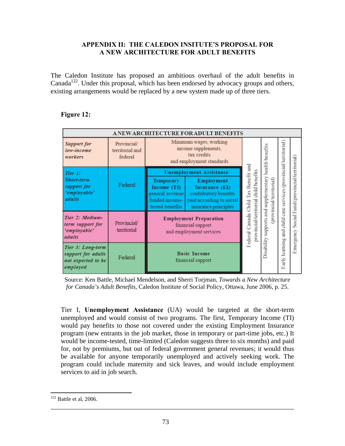### **APPENDIX II: THE CALEDON INSITUTE'S PROPOSAL FOR A NEW ARCHITECTURE FOR ADULT BENEFITS**

The Caledon Institute has proposed an ambitious overhaul of the adult benefits in Canada<sup>122</sup>. Under this proposal, which has been endorsed by advocacy groups and others, existing arrangements would be replaced by a new system made up of three tiers.

| A NEW ARCHITECTURE FOR ADULT BENEFITS                                     |                                           |                                                                                         |                                                                                                           |                                                                       |                                                                        |                                   |                                      |
|---------------------------------------------------------------------------|-------------------------------------------|-----------------------------------------------------------------------------------------|-----------------------------------------------------------------------------------------------------------|-----------------------------------------------------------------------|------------------------------------------------------------------------|-----------------------------------|--------------------------------------|
| <b>Support for</b><br>low-income<br>workers                               | Provincial/<br>territorial and<br>federal |                                                                                         | Minimum wages, working<br>income supplements,<br>tax credits<br>and employment standards                  |                                                                       |                                                                        |                                   |                                      |
| Tier 1:                                                                   |                                           |                                                                                         | <b>Unemployment Assistance</b>                                                                            |                                                                       |                                                                        |                                   |                                      |
| <b>Short-term</b><br>support for<br>'employable'<br>adults                | Federal                                   | <b>Temporary</b><br>Income (TI)<br>general revenue<br>funded income-<br>tested benefits | Employment<br>Insurance (EI)<br>contributory benefits<br>paid according to social<br>insurance principles | Canada Child Tax Benefit and<br>provincial/territorial child benefits | supports and supplementary health benefits<br>(provincial/territorial) | services (provincial/territorial) | Social Fund (provincial/territorial) |
| Tier 2: Medium-<br>term support for<br>'employable'<br>adults             | Provincial/<br>territorial                |                                                                                         | <b>Employment Preparation</b><br>financial support<br>and employment services                             | Federal                                                               |                                                                        | child care<br>amd<br>≣            | Emergency                            |
| Tier 3: Long-term<br>support for adults<br>not expected to be<br>employed | Federal                                   |                                                                                         | <b>Basic Income</b><br>financial support                                                                  |                                                                       | Disability                                                             | arly learning<br>ш                |                                      |

### **Figure 12:**

Source: Ken Battle, Michael Mendelson, and Sherri Torjman, *Towards a New Architecture for Canada's Adult Benefits*, Caledon Institute of Social Policy, Ottawa, June 2006, p. 25.

Tier I, **Unemployment Assistance** (UA) would be targeted at the short-term unemployed and would consist of two programs. The first, Temporary Income (TI) would pay benefits to those not covered under the existing Employment Insurance program (new entrants in the job market, those in temporary or part-time jobs, etc.) It would be income-tested, time-limited (Caledon suggests three to six months) and paid for, not by premiums, but out of federal government general revenues; it would thus be available for anyone temporarily unemployed and actively seeking work. The program could include maternity and sick leaves, and would include employment services to aid in job search.

 $\overline{a}$ 

 $122$  Battle et al, 2006.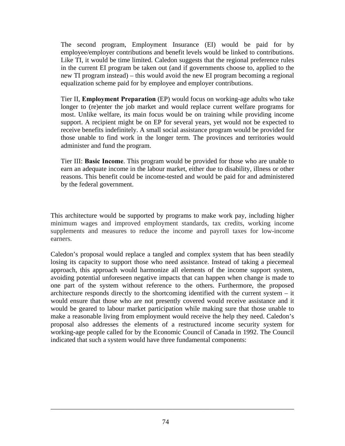The second program, Employment Insurance (EI) would be paid for by employee/employer contributions and benefit levels would be linked to contributions. Like TI, it would be time limited. Caledon suggests that the regional preference rules in the current EI program be taken out (and if governments choose to, applied to the new TI program instead) – this would avoid the new EI program becoming a regional equalization scheme paid for by employee and employer contributions.

Tier II, **Employment Preparation** (EP) would focus on working-age adults who take longer to (re)enter the job market and would replace current welfare programs for most. Unlike welfare, its main focus would be on training while providing income support. A recipient might be on EP for several years, yet would not be expected to receive benefits indefinitely. A small social assistance program would be provided for those unable to find work in the longer term. The provinces and territories would administer and fund the program.

Tier III: **Basic Income**. This program would be provided for those who are unable to earn an adequate income in the labour market, either due to disability, illness or other reasons. This benefit could be income-tested and would be paid for and administered by the federal government.

This architecture would be supported by programs to make work pay, including higher minimum wages and improved employment standards, tax credits, working income supplements and measures to reduce the income and payroll taxes for low-income earners.

Caledon's proposal would replace a tangled and complex system that has been steadily losing its capacity to support those who need assistance. Instead of taking a piecemeal approach, this approach would harmonize all elements of the income support system, avoiding potential unforeseen negative impacts that can happen when change is made to one part of the system without reference to the others. Furthermore, the proposed architecture responds directly to the shortcoming identified with the current system – it would ensure that those who are not presently covered would receive assistance and it would be geared to labour market participation while making sure that those unable to make a reasonable living from employment would receive the help they need. Caledon's proposal also addresses the elements of a restructured income security system for working-age people called for by the Economic Council of Canada in 1992. The Council indicated that such a system would have three fundamental components: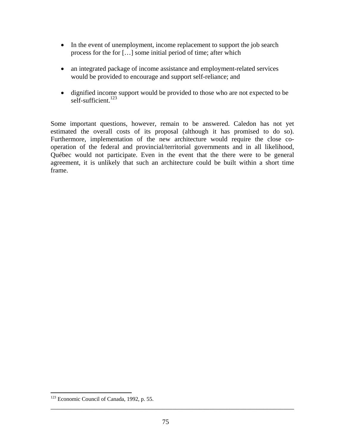- In the event of unemployment, income replacement to support the job search process for the for […] some initial period of time; after which
- an integrated package of income assistance and employment-related services would be provided to encourage and support self-reliance; and
- dignified income support would be provided to those who are not expected to be self-sufficient.<sup>123</sup>

Some important questions, however, remain to be answered. Caledon has not yet estimated the overall costs of its proposal (although it has promised to do so). Furthermore, implementation of the new architecture would require the close cooperation of the federal and provincial/territorial governments and in all likelihood, Québec would not participate. Even in the event that the there were to be general agreement, it is unlikely that such an architecture could be built within a short time frame.

 $\overline{a}$ 

<sup>&</sup>lt;sup>123</sup> Economic Council of Canada, 1992, p. 55.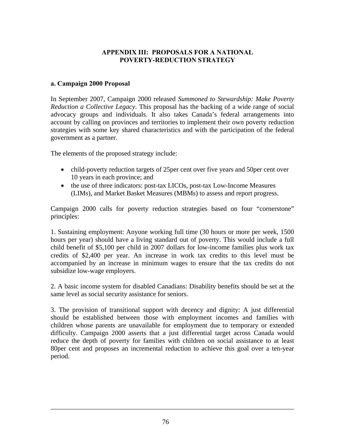# **APPENDIX III: PROPOSALS FOR A NATIONAL POVERTY-REDUCTION STRATEGY**

### **a. Campaign 2000 Proposal**

In September 2007, Campaign 2000 released *Summoned to Stewardship: Make Poverty Reduction a Collective Legacy*. This proposal has the backing of a wide range of social advocacy groups and individuals. It also takes Canada's federal arrangements into account by calling on provinces and territories to implement their own poverty reduction strategies with some key shared characteristics and with the participation of the federal government as a partner.

The elements of the proposed strategy include:

- child-poverty reduction targets of 25 per cent over five years and 50 per cent over 10 years in each province; and
- the use of three indicators: post-tax LICOs, post-tax Low-Income Measures (LIMs), and Market Basket Measures (MBMs) to assess and report progress.

Campaign 2000 calls for poverty reduction strategies based on four "cornerstone" principles:

1. Sustaining employment: Anyone working full time (30 hours or more per week, 1500 hours per year) should have a living standard out of poverty. This would include a full child benefit of \$5,100 per child in 2007 dollars for low-income families plus work tax credits of \$2,400 per year. An increase in work tax credits to this level must be accompanied by an increase in minimum wages to ensure that the tax credits do not subsidize low-wage employers.

2. A basic income system for disabled Canadians: Disability benefits should be set at the same level as social security assistance for seniors.

3. The provision of transitional support with decency and dignity: A just differential should be established between those with employment incomes and families with children whose parents are unavailable for employment due to temporary or extended difficulty. Campaign 2000 asserts that a just differential target across Canada would reduce the depth of poverty for families with children on social assistance to at least 80per cent and proposes an incremental reduction to achieve this goal over a ten-year period.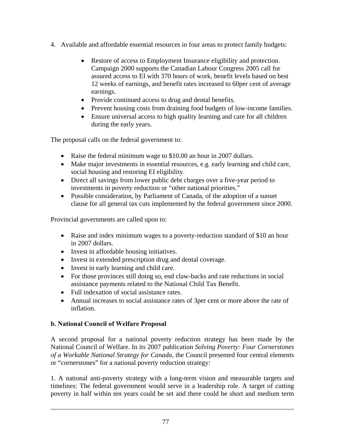- 4. Available and affordable essential resources in four areas to protect family budgets:
	- Restore of access to Employment Insurance eligibility and protection. Campaign 2000 supports the Canadian Labour Congress 2005 call for assured access to EI with 370 hours of work, benefit levels based on best 12 weeks of earnings, and benefit rates increased to 60per cent of average earnings.
	- Provide continued access to drug and dental benefits.
	- Prevent housing costs from draining food budgets of low-income families.
	- Ensure universal access to high quality learning and care for all children during the early years.

The proposal calls on the federal government to:

- Raise the federal minimum wage to \$10.00 an hour in 2007 dollars.
- Make major investments in essential resources, e.g. early learning and child care, social housing and restoring EI eligibility.
- Direct all savings from lower public debt charges over a five-year period to investments in poverty reduction or "other national priorities."
- Possible consideration, by Parliament of Canada, of the adoption of a sunset clause for all general tax cuts implemented by the federal government since 2000.

Provincial governments are called upon to:

- Raise and index minimum wages to a poverty-reduction standard of \$10 an hour in 2007 dollars.
- Invest in affordable housing initiatives.
- Invest in extended prescription drug and dental coverage.
- Invest in early learning and child care.
- For those provinces still doing so, end claw-backs and rate reductions in social assistance payments related to the National Child Tax Benefit.
- Full indexation of social assistance rates.
- Annual increases to social assistance rates of 3per cent or more above the rate of inflation.

### **b. National Council of Welfare Proposal**

A second proposal for a national poverty reduction strategy has been made by the National Council of Welfare. In its 2007 publication *Solving Poverty: Four Cornerstones of a Workable National Strategy for Canada*, the Council presented four central elements or "cornerstones" for a national poverty reduction strategy:

1. A national anti-poverty strategy with a long-term vision and measurable targets and timelines: The federal government would serve in a leadership role. A target of cutting poverty in half within ten years could be set and there could be short and medium term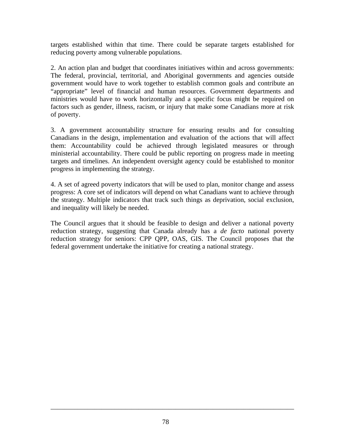targets established within that time. There could be separate targets established for reducing poverty among vulnerable populations.

2. An action plan and budget that coordinates initiatives within and across governments: The federal, provincial, territorial, and Aboriginal governments and agencies outside government would have to work together to establish common goals and contribute an "appropriate" level of financial and human resources. Government departments and ministries would have to work horizontally and a specific focus might be required on factors such as gender, illness, racism, or injury that make some Canadians more at risk of poverty.

3. A government accountability structure for ensuring results and for consulting Canadians in the design, implementation and evaluation of the actions that will affect them: Accountability could be achieved through legislated measures or through ministerial accountability. There could be public reporting on progress made in meeting targets and timelines. An independent oversight agency could be established to monitor progress in implementing the strategy.

4. A set of agreed poverty indicators that will be used to plan, monitor change and assess progress: A core set of indicators will depend on what Canadians want to achieve through the strategy. Multiple indicators that track such things as deprivation, social exclusion, and inequality will likely be needed.

The Council argues that it should be feasible to design and deliver a national poverty reduction strategy, suggesting that Canada already has a *de facto* national poverty reduction strategy for seniors: CPP QPP, OAS, GIS. The Council proposes that the federal government undertake the initiative for creating a national strategy.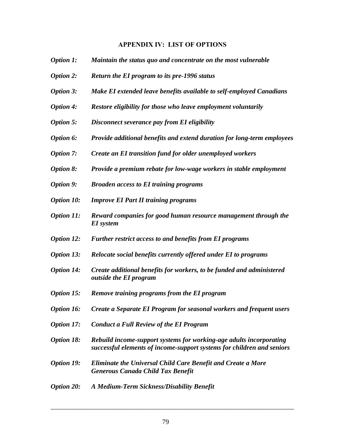#### **APPENDIX IV: LIST OF OPTIONS**

- *Option 1: Maintain the status quo and concentrate on the most vulnerable*
- *Option 2: Return the EI program to its pre-1996 status*
- *Option 3: Make EI extended leave benefits available to self-employed Canadians*
- *Option 4: Restore eligibility for those who leave employment voluntarily*
- *Option 5: Disconnect severance pay from EI eligibility*
- *Option 6: Provide additional benefits and extend duration for long-term employees*
- *Option 7: Create an EI transition fund for older unemployed workers*
- *Option 8: Provide a premium rebate for low-wage workers in stable employment*
- *Option 9: Broaden access to EI training programs*
- *Option 10: Improve EI Part II training programs*
- *Option 11: Reward companies for good human resource management through the EI system*
- *Option 12: Further restrict access to and benefits from EI programs*
- *Option 13: Relocate social benefits currently offered under EI to programs*
- *Option 14: Create additional benefits for workers, to be funded and administered outside the EI program*
- *Option 15: Remove training programs from the EI program*
- *Option 16: Create a Separate EI Program for seasonal workers and frequent users*
- *Option 17: Conduct a Full Review of the EI Program*
- *Option 18: Rebuild income-support systems for working-age adults incorporating successful elements of income-support systems for children and seniors*
- *Option 19: Eliminate the Universal Child Care Benefit and Create a More Generous Canada Child Tax Benefit*
- *Option 20: A Medium-Term Sickness/Disability Benefit*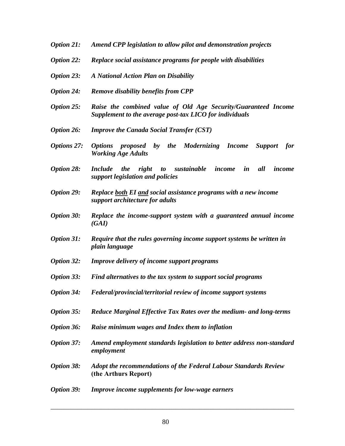- *Option 21: Amend CPP legislation to allow pilot and demonstration projects*
- *Option 22: Replace social assistance programs for people with disabilities*
- *Option 23: A National Action Plan on Disability*
- *Option 24: Remove disability benefits from CPP*
- *Option 25: Raise the combined value of Old Age Security/Guaranteed Income Supplement to the average post-tax LICO for individuals*
- *Option 26: Improve the Canada Social Transfer (CST)*
- *Options 27: Options proposed by the Modernizing Income Support for Working Age Adults*
- *Option 28: Include the right to sustainable income in all income support legislation and policies*
- *Option 29: Replace both EI and social assistance programs with a new income support architecture for adults*
- *Option 30: Replace the income-support system with a guaranteed annual income (GAI)*
- *Option 31: Require that the rules governing income support systems be written in plain language*
- *Option 32: Improve delivery of income support programs*
- *Option 33: Find alternatives to the tax system to support social programs*
- *Option 34: Federal/provincial/territorial review of income support systems*
- *Option 35: Reduce Marginal Effective Tax Rates over the medium- and long-terms*
- *Option 36: Raise minimum wages and Index them to inflation*
- *Option 37: Amend employment standards legislation to better address non-standard employment*
- *Option 38: Adopt the recommendations of the Federal Labour Standards Review* **(the Arthurs Report)**
- *Option 39: Improve income supplements for low-wage earners*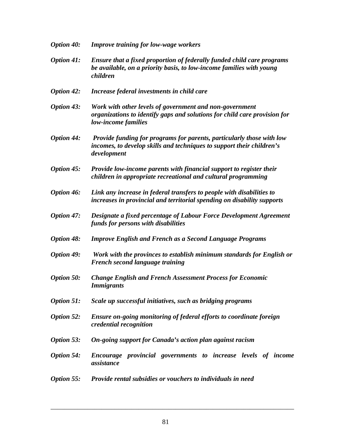| <b>Option 40:</b> | <b>Improve training for low-wage workers</b>                                                                                                                  |  |  |
|-------------------|---------------------------------------------------------------------------------------------------------------------------------------------------------------|--|--|
| <b>Option 41:</b> | Ensure that a fixed proportion of federally funded child care programs<br>be available, on a priority basis, to low-income families with young<br>children    |  |  |
| <b>Option 42:</b> | Increase federal investments in child care                                                                                                                    |  |  |
| <b>Option 43:</b> | Work with other levels of government and non-government<br>organizations to identify gaps and solutions for child care provision for<br>low-income families   |  |  |
| <b>Option 44:</b> | Provide funding for programs for parents, particularly those with low<br>incomes, to develop skills and techniques to support their children's<br>development |  |  |
| <b>Option 45:</b> | Provide low-income parents with financial support to register their<br>children in appropriate recreational and cultural programming                          |  |  |
| <b>Option 46:</b> | Link any increase in federal transfers to people with disabilities to<br>increases in provincial and territorial spending on disability supports              |  |  |
| <b>Option 47:</b> | Designate a fixed percentage of Labour Force Development Agreement<br>funds for persons with disabilities                                                     |  |  |
| <b>Option 48:</b> | <b>Improve English and French as a Second Language Programs</b>                                                                                               |  |  |
| <b>Option 49:</b> | Work with the provinces to establish minimum standards for English or<br>French second language training                                                      |  |  |
| <b>Option 50:</b> | <b>Change English and French Assessment Process for Economic</b><br><b>Immigrants</b>                                                                         |  |  |
| <b>Option 51:</b> | Scale up successful initiatives, such as bridging programs                                                                                                    |  |  |
| <b>Option 52:</b> | Ensure on-going monitoring of federal efforts to coordinate foreign<br>credential recognition                                                                 |  |  |
| <b>Option 53:</b> | On-going support for Canada's action plan against racism                                                                                                      |  |  |
| <b>Option 54:</b> | Encourage provincial governments to increase levels of income<br>assistance                                                                                   |  |  |
| Option 55:        | Provide rental subsidies or vouchers to individuals in need                                                                                                   |  |  |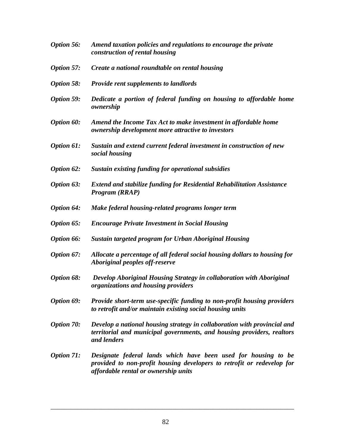| <b>Option 56:</b> | Amend taxation policies and regulations to encourage the private<br>construction of rental housing                                                                               |
|-------------------|----------------------------------------------------------------------------------------------------------------------------------------------------------------------------------|
| <b>Option 57:</b> | Create a national roundtable on rental housing                                                                                                                                   |
| <b>Option 58:</b> | <b>Provide rent supplements to landlords</b>                                                                                                                                     |
| <b>Option 59:</b> | Dedicate a portion of federal funding on housing to affordable home<br>ownership                                                                                                 |
| <b>Option 60:</b> | Amend the Income Tax Act to make investment in affordable home<br>ownership development more attractive to investors                                                             |
| <b>Option 61:</b> | Sustain and extend current federal investment in construction of new<br>social housing                                                                                           |
| Option 62:        | <b>Sustain existing funding for operational subsidies</b>                                                                                                                        |
| Option 63:        | <b>Extend and stabilize funding for Residential Rehabilitation Assistance</b><br>Program (RRAP)                                                                                  |
| <b>Option 64:</b> | Make federal housing-related programs longer term                                                                                                                                |
| Option 65:        | <b>Encourage Private Investment in Social Housing</b>                                                                                                                            |
| Option 66:        | <b>Sustain targeted program for Urban Aboriginal Housing</b>                                                                                                                     |
| Option 67:        | Allocate a percentage of all federal social housing dollars to housing for<br>Aboriginal peoples off-reserve                                                                     |
| Option 68:        | Develop Aboriginal Housing Strategy in collaboration with Aboriginal<br>organizations and housing providers                                                                      |
| Option 69:        | Provide short-term use-specific funding to non-profit housing providers<br>to retrofit and/or maintain existing social housing units                                             |
| <b>Option 70:</b> | Develop a national housing strategy in collaboration with provincial and<br>territorial and municipal governments, and housing providers, realtors<br>and lenders                |
| <b>Option 71:</b> | Designate federal lands which have been used for housing to be<br>provided to non-profit housing developers to retrofit or redevelop for<br>affordable rental or ownership units |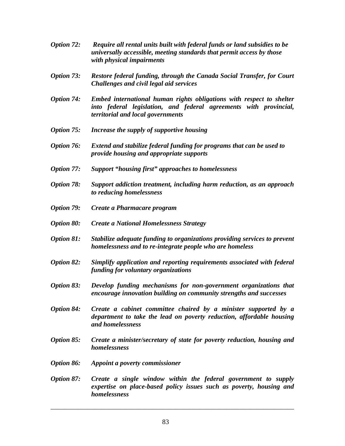- *Option 72: Require all rental units built with federal funds or land subsidies to be universally accessible, meeting standards that permit access by those with physical impairments*
- *Option 73: Restore federal funding, through the Canada Social Transfer, for Court Challenges and civil legal aid services*
- *Option 74: Embed international human rights obligations with respect to shelter into federal legislation, and federal agreements with provincial, territorial and local governments*
- *Option 75: Increase the supply of supportive housing*
- *Option 76: Extend and stabilize federal funding for programs that can be used to provide housing and appropriate supports*
- *Option 77: Support "housing first" approaches to homelessness*
- *Option 78: Support addiction treatment, including harm reduction, as an approach to reducing homelessness*
- *Option 79: Create a Pharmacare program*
- *Option 80: Create a National Homelessness Strategy*
- *Option 81: Stabilize adequate funding to organizations providing services to prevent homelessness and to re-integrate people who are homeless*
- *Option 82: Simplify application and reporting requirements associated with federal funding for voluntary organizations*
- *Option 83: Develop funding mechanisms for non-government organizations that encourage innovation building on community strengths and successes*
- *Option 84: Create a cabinet committee chaired by a minister supported by a department to take the lead on poverty reduction, affordable housing and homelessness*
- *Option 85: Create a minister/secretary of state for poverty reduction, housing and homelessness*
- *Option 86: Appoint a poverty commissioner*
- *Option 87: Create a single window within the federal government to supply expertise on place-based policy issues such as poverty, housing and homelessness*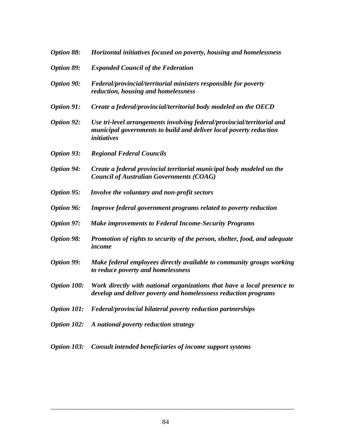| <b>Option 88:</b>  | Horizontal initiatives focused on poverty, housing and homelessness                                                                                                 |
|--------------------|---------------------------------------------------------------------------------------------------------------------------------------------------------------------|
| <b>Option 89:</b>  | <b>Expanded Council of the Federation</b>                                                                                                                           |
| <b>Option 90:</b>  | Federal/provincial/territorial ministers responsible for poverty<br>reduction, housing and homelessness                                                             |
| <b>Option 91:</b>  | Create a federal/provincial/territorial body modeled on the OECD                                                                                                    |
| <b>Option 92:</b>  | Use tri-level arrangements involving federal/provincial/territorial and<br>municipal governments to build and deliver local poverty reduction<br><i>initiatives</i> |
| <b>Option 93:</b>  | <b>Regional Federal Councils</b>                                                                                                                                    |
| <b>Option 94:</b>  | Create a federal provincial territorial municipal body modeled on the<br><b>Council of Australian Governments (COAG)</b>                                            |
| <b>Option 95:</b>  | Involve the voluntary and non-profit sectors                                                                                                                        |
| <b>Option 96:</b>  | Improve federal government programs related to poverty reduction                                                                                                    |
| Option 97:         | <b>Make improvements to Federal Income-Security Programs</b>                                                                                                        |
| <b>Option 98:</b>  | Promotion of rights to security of the person, shelter, food, and adequate<br>income                                                                                |
| <b>Option 99:</b>  | Make federal employees directly available to community groups working<br>to reduce poverty and homelessness                                                         |
| <b>Option 100:</b> | Work directly with national organizations that have a local presence to<br>develop and deliver poverty and homelessness reduction programs                          |
| <b>Option 101:</b> | Federal/provincial bilateral poverty reduction partnerships                                                                                                         |
| <b>Option 102:</b> | A national poverty reduction strategy                                                                                                                               |
|                    |                                                                                                                                                                     |

*Option 103: Consult intended beneficiaries of income support systems*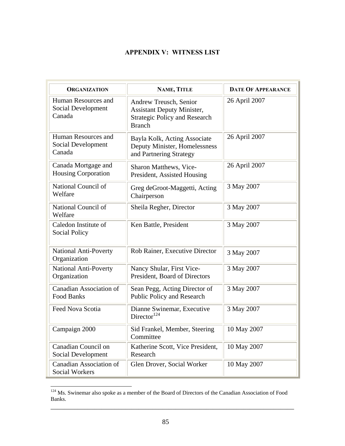# **APPENDIX V: WITNESS LIST**

| <b>ORGANIZATION</b>                                 | NAME, TITLE                                                                                                          | <b>DATE OF APPEARANCE</b> |  |
|-----------------------------------------------------|----------------------------------------------------------------------------------------------------------------------|---------------------------|--|
| Human Resources and<br>Social Development<br>Canada | Andrew Treusch, Senior<br><b>Assistant Deputy Minister,</b><br><b>Strategic Policy and Research</b><br><b>Branch</b> | 26 April 2007             |  |
| Human Resources and<br>Social Development<br>Canada | Bayla Kolk, Acting Associate<br>Deputy Minister, Homelessness<br>and Partnering Strategy                             | 26 April 2007             |  |
| Canada Mortgage and<br><b>Housing Corporation</b>   | Sharon Matthews, Vice-<br>President, Assisted Housing                                                                | 26 April 2007             |  |
| National Council of<br>Welfare                      | Greg deGroot-Maggetti, Acting<br>Chairperson                                                                         | 3 May 2007                |  |
| National Council of<br>Welfare                      | Sheila Regher, Director                                                                                              | 3 May 2007                |  |
| Caledon Institute of<br><b>Social Policy</b>        | Ken Battle, President                                                                                                | 3 May 2007                |  |
| <b>National Anti-Poverty</b><br>Organization        | Rob Rainer, Executive Director                                                                                       | 3 May 2007                |  |
| <b>National Anti-Poverty</b><br>Organization        | Nancy Shular, First Vice-<br>President, Board of Directors                                                           | 3 May 2007                |  |
| <b>Canadian Association of</b><br>Food Banks        | Sean Pegg, Acting Director of<br>Public Policy and Research                                                          | 3 May 2007                |  |
| Feed Nova Scotia                                    | Dianne Swinemar, Executive<br>Director <sup>124</sup>                                                                | 3 May 2007                |  |
| Campaign 2000                                       | Sid Frankel, Member, Steering<br>Committee                                                                           | 10 May 2007               |  |
| Canadian Council on<br>Social Development           | Katherine Scott, Vice President,<br>Research                                                                         | 10 May 2007               |  |
| <b>Canadian Association of</b><br>Social Workers    | Glen Drover, Social Worker                                                                                           | 10 May 2007               |  |

<sup>&</sup>lt;sup>124</sup> Ms. Swinemar also spoke as a member of the Board of Directors of the Canadian Association of Food Banks.

 $\overline{a}$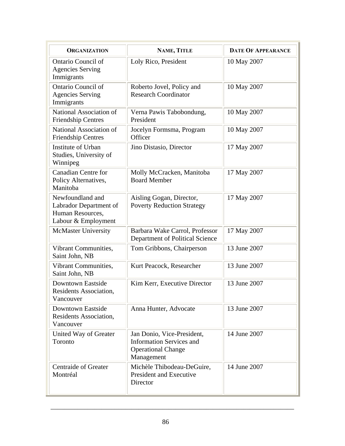| <b>ORGANIZATION</b>                                                                   | NAME, TITLE                                                                                              | <b>DATE OF APPEARANCE</b> |
|---------------------------------------------------------------------------------------|----------------------------------------------------------------------------------------------------------|---------------------------|
| <b>Ontario Council of</b><br><b>Agencies Serving</b><br>Immigrants                    | Loly Rico, President                                                                                     | 10 May 2007               |
| Ontario Council of<br><b>Agencies Serving</b><br>Immigrants                           | Roberto Jovel, Policy and<br><b>Research Coordinator</b>                                                 | 10 May 2007               |
| National Association of<br><b>Friendship Centres</b>                                  | Verna Pawis Tabobondung,<br>President                                                                    | 10 May 2007               |
| National Association of<br><b>Friendship Centres</b>                                  | Jocelyn Formsma, Program<br>Officer                                                                      | 10 May 2007               |
| Institute of Urban<br>Studies, University of<br>Winnipeg                              | Jino Distasio, Director                                                                                  | 17 May 2007               |
| <b>Canadian Centre for</b><br>Policy Alternatives,<br>Manitoba                        | Molly McCracken, Manitoba<br><b>Board Member</b>                                                         | 17 May 2007               |
| Newfoundland and<br>Labrador Department of<br>Human Resources,<br>Labour & Employment | Aisling Gogan, Director,<br><b>Poverty Reduction Strategy</b>                                            | 17 May 2007               |
| <b>McMaster University</b>                                                            | Barbara Wake Carrol, Professor<br>Department of Political Science                                        | 17 May 2007               |
| Vibrant Communities,<br>Saint John, NB                                                | Tom Gribbons, Chairperson                                                                                | 13 June 2007              |
| Vibrant Communities,<br>Saint John, NB                                                | Kurt Peacock, Researcher                                                                                 | 13 June 2007              |
| Downtown Eastside<br>Residents Association,<br>Vancouver                              | Kim Kerr, Executive Director                                                                             | 13 June 2007              |
| Downtown Eastside<br>Residents Association,<br>Vancouver                              | Anna Hunter, Advocate                                                                                    | 13 June 2007              |
| United Way of Greater<br>Toronto                                                      | Jan Donio, Vice-President,<br><b>Information Services and</b><br><b>Operational Change</b><br>Management | 14 June 2007              |
| <b>Centraide of Greater</b><br>Montréal                                               | Michèle Thibodeau-DeGuire,<br><b>President and Executive</b><br>Director                                 | 14 June 2007              |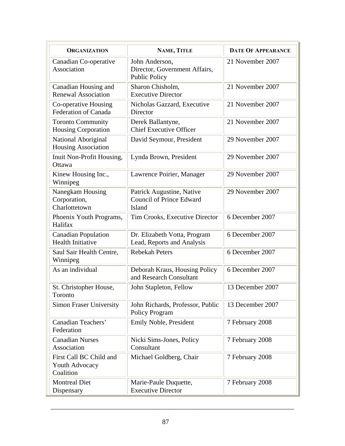| <b>ORGANIZATION</b>                                    | NAME, TITLE                                                             | <b>DATE OF APPEARANCE</b> |
|--------------------------------------------------------|-------------------------------------------------------------------------|---------------------------|
| Canadian Co-operative<br>Association                   | John Anderson,<br>Director, Government Affairs,<br><b>Public Policy</b> | 21 November 2007          |
| Canadian Housing and<br><b>Renewal Association</b>     | Sharon Chisholm,<br><b>Executive Director</b>                           | 21 November 2007          |
| Co-operative Housing<br><b>Federation of Canada</b>    | Nicholas Gazzard, Executive<br>Director                                 | 21 November 2007          |
| <b>Toronto Community</b><br><b>Housing Corporation</b> | Derek Ballantyne,<br><b>Chief Executive Officer</b>                     | 21 November 2007          |
| National Aboriginal<br>Housing Association             | David Seymour, President                                                | 29 November 2007          |
| Inuit Non-Profit Housing,<br>Ottawa                    | Lynda Brown, President                                                  | 29 November 2007          |
| Kinew Housing Inc.,<br>Winnipeg                        | Lawrence Poirier, Manager                                               | 29 November 2007          |
| Nanegkam Housing<br>Corporation,<br>Charlottetown      | Patrick Augustine, Native<br><b>Council of Prince Edward</b><br>Island  | 29 November 2007          |
| Phoenix Youth Programs,<br>Halifax                     | Tim Crooks, Executive Director                                          | 6 December 2007           |
| <b>Canadian Population</b><br><b>Health Initiative</b> | Dr. Elizabeth Votta, Program<br>Lead, Reports and Analysis              | 6 December 2007           |
| Saul Sair Health Centre,<br>Winnipeg                   | <b>Rebekah Peters</b>                                                   | 6 December 2007           |
| As an individual                                       | Deborah Kraus, Housing Policy<br>and Research Consultant                | 6 December 2007           |
| St. Christopher House,<br>Toronto                      | John Stapleton, Fellow                                                  | 13 December 2007          |
| <b>Simon Fraser University</b>                         | John Richards, Professor, Public<br><b>Policy Program</b>               | 13 December 2007          |
| Canadian Teachers'<br>Federation                       | Emily Noble, President                                                  | 7 February 2008           |
| <b>Canadian Nurses</b><br>Association                  | Nicki Sims-Jones, Policy<br>Consultant                                  | 7 February 2008           |
| First Call BC Child and<br>Youth Advocacy<br>Coalition | Michael Goldberg, Chair                                                 | 7 February 2008           |
| <b>Montreal Diet</b><br>Dispensary                     | Marie-Paule Duquette,<br><b>Executive Director</b>                      | 7 February 2008           |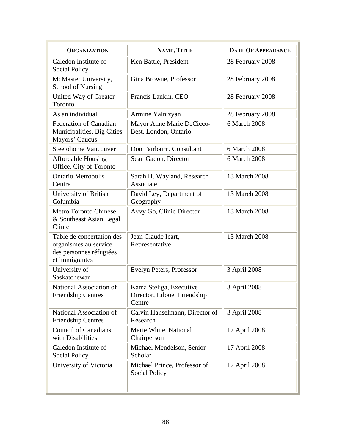| <b>ORGANIZATION</b>                                                                             | NAME, TITLE                                                       | <b>DATE OF APPEARANCE</b> |
|-------------------------------------------------------------------------------------------------|-------------------------------------------------------------------|---------------------------|
| Caledon Institute of<br><b>Social Policy</b>                                                    | Ken Battle, President                                             | 28 February 2008          |
| McMaster University,<br><b>School of Nursing</b>                                                | Gina Browne, Professor                                            | 28 February 2008          |
| United Way of Greater<br>Toronto                                                                | Francis Lankin, CEO                                               | 28 February 2008          |
| As an individual                                                                                | Armine Yalnizyan                                                  | 28 February 2008          |
| <b>Federation of Canadian</b><br>Municipalities, Big Cities<br>Mayors' Caucus                   | Mayor Anne Marie DeCicco-<br>Best, London, Ontario                | 6 March 2008              |
| <b>Steetohome Vancouver</b>                                                                     | Don Fairbairn, Consultant                                         | 6 March 2008              |
| <b>Affordable Housing</b><br>Office, City of Toronto                                            | Sean Gadon, Director                                              | 6 March 2008              |
| Ontario Metropolis<br>Centre                                                                    | Sarah H. Wayland, Research<br>Associate                           | 13 March 2008             |
| University of British<br>Columbia                                                               | David Ley, Department of<br>Geography                             | 13 March 2008             |
| <b>Metro Toronto Chinese</b><br>& Southeast Asian Legal<br>Clinic                               | Avvy Go, Clinic Director                                          | 13 March 2008             |
| Table de concertation des<br>organismes au service<br>des personnes réfugiées<br>et immigrantes | Jean Claude Icart,<br>Representative                              | 13 March 2008             |
| University of<br>Saskatchewan                                                                   | Evelyn Peters, Professor                                          | 3 April 2008              |
| National Association of<br><b>Friendship Centres</b>                                            | Kama Steliga, Executive<br>Director, Lilooet Friendship<br>Centre | 3 April 2008              |
| National Association of<br><b>Friendship Centres</b>                                            | Calvin Hanselmann, Director of<br>Research                        | 3 April 2008              |
| <b>Council of Canadians</b><br>with Disabilities                                                | Marie White, National<br>Chairperson                              | 17 April 2008             |
| Caledon Institute of<br><b>Social Policy</b>                                                    | Michael Mendelson, Senior<br>Scholar                              | 17 April 2008             |
| University of Victoria                                                                          | Michael Prince, Professor of<br>Social Policy                     | 17 April 2008             |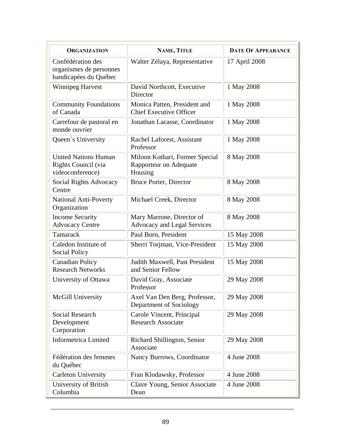| <b>ORGANIZATION</b>                                                    | NAME, TITLE                                                         | <b>DATE OF APPEARANCE</b> |  |
|------------------------------------------------------------------------|---------------------------------------------------------------------|---------------------------|--|
| Confédération des<br>organismes de personnes<br>handicapées du Québec  | Walter Zélaya, Representative                                       | 17 April 2008             |  |
| <b>Winnipeg Harvest</b>                                                | David Northcott, Executive<br>Director                              | 1 May 2008                |  |
| <b>Community Foundations</b><br>of Canada                              | Monica Patten, President and<br><b>Chief Executive Officer</b>      | 1 May 2008                |  |
| Carrefour de pastoral en<br>monde ouvrier                              | Jonathan Lacasse, Coordinator                                       | 1 May 2008                |  |
| Queen's University                                                     | Rachel Laforest, Assistant<br>Professor                             | 1 May 2008                |  |
| <b>United Nations Human</b><br>Rights Council (via<br>videoconference) | Miloon Kothari, Former Special<br>Rapporteur on Adequate<br>Housing | 8 May 2008                |  |
| <b>Social Rights Advocacy</b><br>Centre                                | <b>Bruce Porter, Director</b>                                       | 8 May 2008                |  |
| National Anti-Poverty<br>Organization                                  | Michael Creek, Director                                             | 8 May 2008                |  |
| <b>Income Security</b><br><b>Advocacy Centre</b>                       | Mary Marrone, Director of<br>Advocacy and Legal Services            | 8 May 2008                |  |
| Tamarack                                                               | Paul Born, President                                                | 15 May 2008               |  |
| Caledon Institute of<br><b>Social Policy</b>                           | Sherri Torjman, Vice-President                                      | 15 May 2008               |  |
| <b>Canadian Policy</b><br><b>Research Networks</b>                     | Judith Maxwell, Past President<br>and Senior Fellow                 | 15 May 2008               |  |
| University of Ottawa                                                   | David Gray, Associate<br>Professor                                  | 29 May 2008               |  |
| McGill University                                                      | Axel Van Den Berg, Professor,<br>Department of Sociology            | 29 May 2008               |  |
| <b>Social Research</b><br>Development<br>Corporation                   | Carole Vincent, Principal<br><b>Research Associate</b>              | 29 May 2008               |  |
| <b>Informetrica Limited</b>                                            | Richard Shillington, Senior<br>Associate                            | 29 May 2008               |  |
| Fédération des femmes<br>du Québec                                     | Nancy Burrows, Coordinator                                          | 4 June 2008               |  |
| <b>Carleton University</b>                                             | Fran Klodawsky, Professor                                           | 4 June 2008               |  |
| University of British<br>Columbia                                      | Claire Young, Senior Associate<br>Dean                              | 4 June 2008               |  |